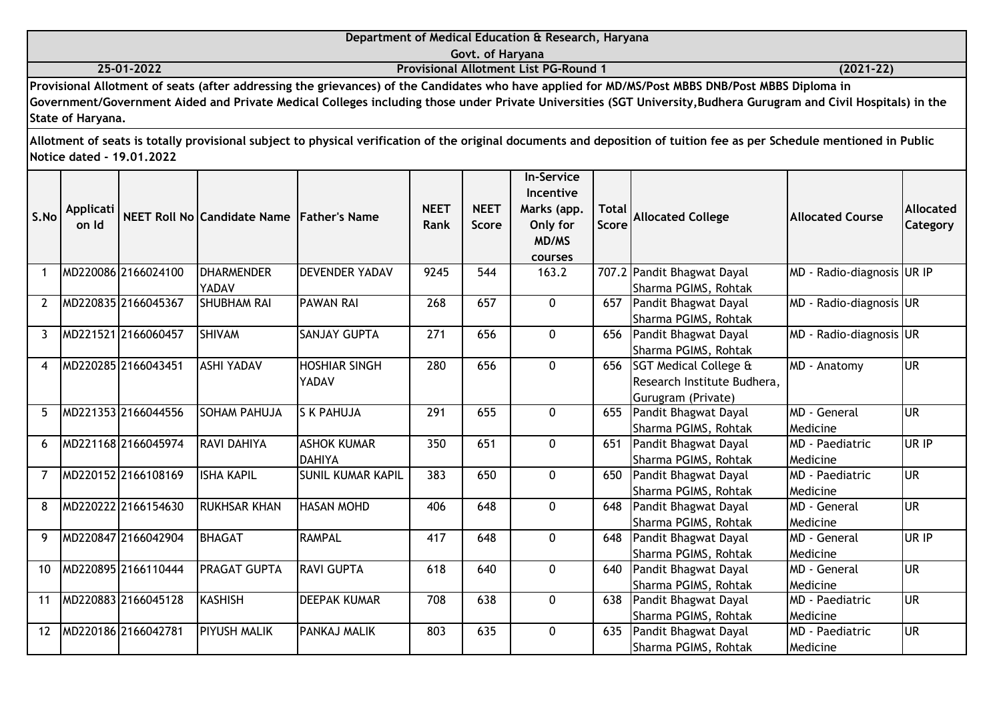|                   | Department of Medical Education & Research, Haryana                                                                                                               |               |
|-------------------|-------------------------------------------------------------------------------------------------------------------------------------------------------------------|---------------|
|                   | Govt. of Haryana                                                                                                                                                  |               |
| 25-01-2022        | <b>Provisional Allotment List PG-Round 1</b>                                                                                                                      | $(2021 - 22)$ |
|                   | Provisional Allotment of seats (after addressing the grievances) of the Candidates who have applied for MD/MS/Post MBBS DNB/Post MBBS Diploma in                  |               |
|                   | Government/Government Aided and Private Medical Colleges including those under Private Universities (SGT University, Budhera Gurugram and Civil Hospitals) in the |               |
| State of Haryana. |                                                                                                                                                                   |               |

| S.No           | Applicati<br>on Id |                     | NEET Roll No Candidate Name Father's Name |                                     | <b>NEET</b><br>Rank | <b>NEET</b><br><b>Score</b> | <b>In-Service</b><br>Incentive<br>Marks (app.<br>Only for<br>MD/MS<br>courses | <b>Total</b><br><b>Score</b> | <b>Allocated College</b>                                                       | <b>Allocated Course</b>            | Allocated<br>Category |
|----------------|--------------------|---------------------|-------------------------------------------|-------------------------------------|---------------------|-----------------------------|-------------------------------------------------------------------------------|------------------------------|--------------------------------------------------------------------------------|------------------------------------|-----------------------|
|                |                    | MD220086 2166024100 | <b>DHARMENDER</b><br>YADAV                | <b>DEVENDER YADAV</b>               | 9245                | 544                         | 163.2                                                                         |                              | 707.2 Pandit Bhagwat Dayal<br>Sharma PGIMS, Rohtak                             | MD - Radio-diagnosis UR IP         |                       |
| 2              |                    | MD220835 2166045367 | <b>SHUBHAM RAI</b>                        | <b>PAWAN RAI</b>                    | 268                 | 657                         | $\overline{0}$                                                                | 657                          | Pandit Bhagwat Dayal<br>Sharma PGIMS, Rohtak                                   | MD - Radio-diagnosis UR            |                       |
| 3              |                    | MD221521 2166060457 | <b>SHIVAM</b>                             | <b>SANJAY GUPTA</b>                 | 271                 | 656                         | 0                                                                             | 656                          | Pandit Bhagwat Dayal<br>Sharma PGIMS, Rohtak                                   | MD - Radio-diagnosis UR            |                       |
| 4              |                    | MD220285 2166043451 | <b>ASHI YADAV</b>                         | <b>HOSHIAR SINGH</b><br>YADAV       | 280                 | 656                         | 0                                                                             |                              | 656 SGT Medical College &<br>Research Institute Budhera,<br>Gurugram (Private) | MD - Anatomy                       | <b>UR</b>             |
| 5              |                    | MD221353 2166044556 | <b>SOHAM PAHUJA</b>                       | <b>S K PAHUJA</b>                   | 291                 | 655                         | 0                                                                             | 655                          | Pandit Bhagwat Dayal<br>Sharma PGIMS, Rohtak                                   | <b>MD</b> - General<br>Medicine    | <b>UR</b>             |
| 6              |                    | MD221168 2166045974 | <b>RAVI DAHIYA</b>                        | <b>ASHOK KUMAR</b><br><b>DAHIYA</b> | 350                 | 651                         | 0                                                                             | 651                          | Pandit Bhagwat Dayal<br>Sharma PGIMS, Rohtak                                   | <b>MD</b> - Paediatric<br>Medicine | UR IP                 |
| $\overline{7}$ |                    | MD220152 2166108169 | <b>ISHA KAPIL</b>                         | <b>SUNIL KUMAR KAPIL</b>            | 383                 | 650                         | $\mathbf{0}$                                                                  | 650                          | Pandit Bhagwat Dayal<br>Sharma PGIMS, Rohtak                                   | <b>MD</b> - Paediatric<br>Medicine | lur                   |
| 8              |                    | MD220222 2166154630 | <b>RUKHSAR KHAN</b>                       | <b>HASAN MOHD</b>                   | 406                 | 648                         | $\mathbf{0}$                                                                  | 648                          | Pandit Bhagwat Dayal<br>Sharma PGIMS, Rohtak                                   | <b>MD</b> - General<br>Medicine    | <b>UR</b>             |
| 9              |                    | MD220847 2166042904 | <b>BHAGAT</b>                             | <b>RAMPAL</b>                       | 417                 | 648                         | 0                                                                             | 648                          | Pandit Bhagwat Dayal<br>Sharma PGIMS, Rohtak                                   | MD - General<br>Medicine           | UR IP                 |
| 10             |                    | MD220895 2166110444 | <b>PRAGAT GUPTA</b>                       | <b>RAVI GUPTA</b>                   | 618                 | 640                         | 0                                                                             | 640                          | Pandit Bhagwat Dayal<br>Sharma PGIMS, Rohtak                                   | MD - General<br>Medicine           | <b>UR</b>             |
| 11             |                    | MD220883 2166045128 | <b>KASHISH</b>                            | <b>DEEPAK KUMAR</b>                 | 708                 | 638                         | 0                                                                             | 638                          | Pandit Bhagwat Dayal<br>Sharma PGIMS, Rohtak                                   | <b>MD</b> - Paediatric<br>Medicine | <b>UR</b>             |
| 12             |                    | MD220186 2166042781 | <b>PIYUSH MALIK</b>                       | PANKAJ MALIK                        | 803                 | 635                         | $\mathbf{0}$                                                                  | 635                          | Pandit Bhagwat Dayal<br>Sharma PGIMS, Rohtak                                   | <b>MD</b> - Paediatric<br>Medicine | lur                   |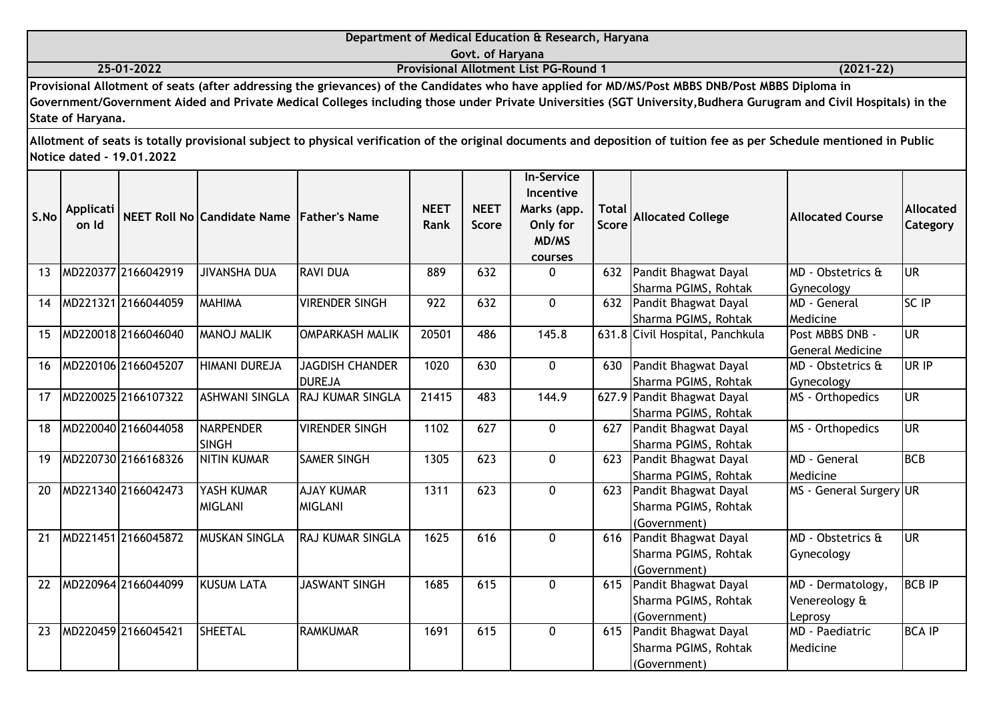|                           | Department of Medical Education & Research, Haryana                                                                                                                                                                                                                                                                   |               |
|---------------------------|-----------------------------------------------------------------------------------------------------------------------------------------------------------------------------------------------------------------------------------------------------------------------------------------------------------------------|---------------|
|                           | Govt. of Haryana                                                                                                                                                                                                                                                                                                      |               |
| 25-01-2022                | <b>Provisional Allotment List PG-Round 1</b>                                                                                                                                                                                                                                                                          | $(2021 - 22)$ |
| State of Haryana.         | Provisional Allotment of seats (after addressing the grievances) of the Candidates who have applied for MD/MS/Post MBBS DNB/Post MBBS Diploma in<br>Government/Government Aided and Private Medical Colleges including those under Private Universities (SGT University, Budhera Gurugram and Civil Hospitals) in the |               |
| Notice dated - 19.01.2022 | Allotment of seats is totally provisional subject to physical verification of the original documents and deposition of tuition fee as per Schedule mentioned in Public                                                                                                                                                |               |

| S.No | Applicati<br>on Id |                     | NEET Roll No Candidate Name Father's Name |                                         | <b>NEET</b><br>Rank | <b>NEET</b><br><b>Score</b> | <b>In-Service</b><br>Incentive<br>Marks (app.<br>Only for<br>MD/MS<br>courses | Total<br><b>Score</b> | <b>Allocated College</b>                                         | <b>Allocated Course</b>                       | <b>Allocated</b><br>Category |
|------|--------------------|---------------------|-------------------------------------------|-----------------------------------------|---------------------|-----------------------------|-------------------------------------------------------------------------------|-----------------------|------------------------------------------------------------------|-----------------------------------------------|------------------------------|
| 13   |                    | MD220377 2166042919 | <b>JIVANSHA DUA</b>                       | <b>RAVI DUA</b>                         | 889                 | 632                         | 0                                                                             |                       | 632 Pandit Bhagwat Dayal<br>Sharma PGIMS, Rohtak                 | MD - Obstetrics &<br>Gynecology               | <b>JUR</b>                   |
| 14   |                    | MD221321 2166044059 | <b>MAHIMA</b>                             | <b>VIRENDER SINGH</b>                   | 922                 | 632                         | $\mathbf{0}$                                                                  |                       | 632 Pandit Bhagwat Dayal<br>Sharma PGIMS, Rohtak                 | IMD - General<br>Medicine                     | SC IP                        |
| 15   |                    | MD220018 2166046040 | <b>MANOJ MALIK</b>                        | <b>OMPARKASH MALIK</b>                  | 20501               | 486                         | 145.8                                                                         |                       | 631.8 Civil Hospital, Panchkula                                  | Post MBBS DNB -<br><b>General Medicine</b>    | lur                          |
| 16   |                    | MD220106 2166045207 | <b>HIMANI DUREJA</b>                      | <b>JAGDISH CHANDER</b><br><b>DUREJA</b> | 1020                | 630                         | $\mathbf{0}$                                                                  | 630                   | Pandit Bhagwat Dayal<br>Sharma PGIMS, Rohtak                     | MD - Obstetrics &<br>Gynecology               | lur ip                       |
| 17   |                    | MD220025 2166107322 | <b>ASHWANI SINGLA</b>                     | <b>RAJ KUMAR SINGLA</b>                 | 21415               | 483                         | 144.9                                                                         |                       | 627.9 Pandit Bhagwat Dayal<br>Sharma PGIMS, Rohtak               | MS - Orthopedics                              | UR                           |
| 18   |                    | MD220040 2166044058 | <b>NARPENDER</b><br><b>SINGH</b>          | <b>VIRENDER SINGH</b>                   | 1102                | 627                         | 0                                                                             |                       | 627 Pandit Bhagwat Dayal<br>Sharma PGIMS, Rohtak                 | MS - Orthopedics                              | lur                          |
| 19   |                    | MD220730 2166168326 | <b>NITIN KUMAR</b>                        | <b>SAMER SINGH</b>                      | 1305                | 623                         | 0                                                                             | 623                   | Pandit Bhagwat Dayal<br>Sharma PGIMS, Rohtak                     | <b>MD</b> - General<br>Medicine               | Івсв                         |
| 20   |                    | MD221340 2166042473 | YASH KUMAR<br><b>MIGLANI</b>              | <b>AJAY KUMAR</b><br><b>MIGLANI</b>     | 1311                | 623                         | 0                                                                             |                       | 623 Pandit Bhagwat Dayal<br>Sharma PGIMS, Rohtak<br>(Government) | MS - General Surgery UR                       |                              |
| 21   |                    | MD221451 2166045872 | <b>MUSKAN SINGLA</b>                      | <b>RAJ KUMAR SINGLA</b>                 | 1625                | 616                         | $\mathbf{0}$                                                                  |                       | 616 Pandit Bhagwat Dayal<br>Sharma PGIMS, Rohtak<br>(Government) | MD - Obstetrics &<br>Gynecology               | lur                          |
| 22   |                    | MD220964 2166044099 | <b>KUSUM LATA</b>                         | <b>JASWANT SINGH</b>                    | 1685                | 615                         | $\Omega$                                                                      |                       | 615 Pandit Bhagwat Dayal<br>Sharma PGIMS, Rohtak<br>(Government) | MD - Dermatology,<br>Venereology &<br>Leprosy | <b>BCB IP</b>                |
| 23   |                    | MD220459 2166045421 | <b>SHEETAL</b>                            | <b>RAMKUMAR</b>                         | 1691                | 615                         | 0                                                                             |                       | 615 Pandit Bhagwat Dayal<br>Sharma PGIMS, Rohtak<br>(Government) | <b>MD</b> - Paediatric<br><b>Medicine</b>     | <b>BCA IP</b>                |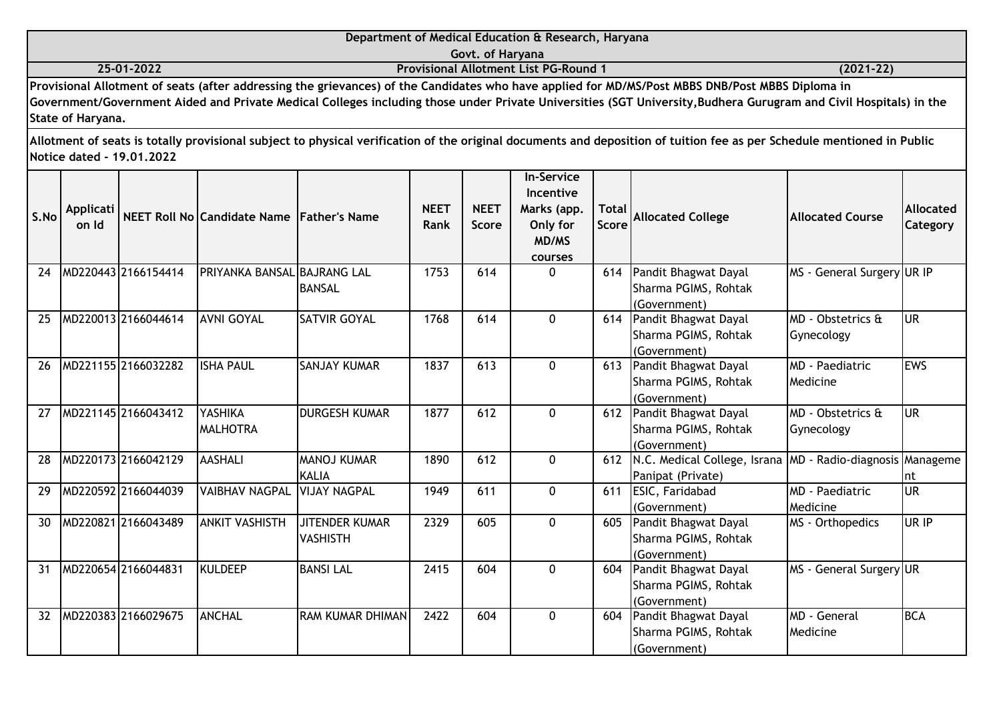|                   | Department of Medical Education & Research, Haryana                                                                                                               |               |
|-------------------|-------------------------------------------------------------------------------------------------------------------------------------------------------------------|---------------|
|                   | Govt. of Haryana                                                                                                                                                  |               |
| 25-01-2022        | <b>Provisional Allotment List PG-Round 1</b>                                                                                                                      | $(2021 - 22)$ |
|                   | Provisional Allotment of seats (after addressing the grievances) of the Candidates who have applied for MD/MS/Post MBBS DNB/Post MBBS Diploma in                  |               |
|                   | Government/Government Aided and Private Medical Colleges including those under Private Universities (SGT University, Budhera Gurugram and Civil Hospitals) in the |               |
| State of Haryana. |                                                                                                                                                                   |               |

| S.No | Applicati<br>on Id |                     | NEET Roll No Candidate Name Father's Name |                                          | <b>NEET</b><br>Rank | <b>NEET</b><br><b>Score</b> | <b>In-Service</b><br>Incentive<br>Marks (app.<br>Only for<br><b>MD/MS</b><br>courses | <b>Total</b><br><b>Score</b> | <b>Allocated College</b>                                                                  | <b>Allocated Course</b>            | <b>Allocated</b><br>Category |
|------|--------------------|---------------------|-------------------------------------------|------------------------------------------|---------------------|-----------------------------|--------------------------------------------------------------------------------------|------------------------------|-------------------------------------------------------------------------------------------|------------------------------------|------------------------------|
| 24   |                    | MD220443 2166154414 | PRIYANKA BANSAL BAJRANG LAL               | <b>BANSAL</b>                            | 1753                | 614                         | $\Omega$                                                                             | 614                          | Pandit Bhagwat Dayal<br>Sharma PGIMS, Rohtak<br>(Government)                              | MS - General Surgery UR IP         |                              |
| 25   |                    | MD220013 2166044614 | <b>AVNI GOYAL</b>                         | <b>SATVIR GOYAL</b>                      | 1768                | 614                         | $\mathbf{0}$                                                                         |                              | 614 Pandit Bhagwat Dayal<br>Sharma PGIMS, Rohtak<br>(Government)                          | MD - Obstetrics &<br>Gynecology    | lur                          |
| 26   |                    | MD221155 2166032282 | <b>ISHA PAUL</b>                          | <b>SANJAY KUMAR</b>                      | 1837                | 613                         | $\mathbf{0}$                                                                         |                              | 613 Pandit Bhagwat Dayal<br>Sharma PGIMS, Rohtak<br>(Government)                          | MD - Paediatric<br><b>Medicine</b> | <b>IEWS</b>                  |
| 27   |                    | MD221145 2166043412 | <b>YASHIKA</b><br><b>MALHOTRA</b>         | <b>DURGESH KUMAR</b>                     | 1877                | 612                         | 0                                                                                    | 612                          | Pandit Bhagwat Dayal<br>Sharma PGIMS, Rohtak<br>(Government)                              | MD - Obstetrics &<br>Gynecology    | <b>UR</b>                    |
| 28   |                    | MD220173 2166042129 | <b>AASHALI</b>                            | <b>MANOJ KUMAR</b><br>KALIA              | 1890                | 612                         | $\Omega$                                                                             |                              | 612   N.C. Medical College, Israna   MD - Radio-diagnosis   Manageme<br>Panipat (Private) |                                    | nt                           |
| 29   |                    | MD220592 2166044039 | <b>VAIBHAV NAGPAL</b>                     | <b>VIJAY NAGPAL</b>                      | 1949                | 611                         | 0                                                                                    | 611                          | ESIC, Faridabad<br>(Government)                                                           | <b>MD</b> - Paediatric<br>Medicine | lur                          |
| 30   |                    | MD220821 2166043489 | <b>ANKIT VASHISTH</b>                     | <b>JITENDER KUMAR</b><br><b>VASHISTH</b> | 2329                | 605                         | $\Omega$                                                                             | 605                          | Pandit Bhagwat Dayal<br>Sharma PGIMS, Rohtak<br>(Government)                              | MS - Orthopedics                   | UR IP                        |
| 31   |                    | MD220654 2166044831 | KULDEEP                                   | <b>BANSI LAL</b>                         | 2415                | 604                         | 0                                                                                    | 604                          | Pandit Bhagwat Dayal<br>Sharma PGIMS, Rohtak<br>(Government)                              | MS - General Surgery UR            |                              |
| 32   |                    | MD220383 2166029675 | <b>ANCHAL</b>                             | <b>RAM KUMAR DHIMAN</b>                  | 2422                | 604                         | $\mathbf{0}$                                                                         | 604                          | Pandit Bhagwat Dayal<br>Sharma PGIMS, Rohtak<br>(Government)                              | IMD - General<br>Medicine          | <b>BCA</b>                   |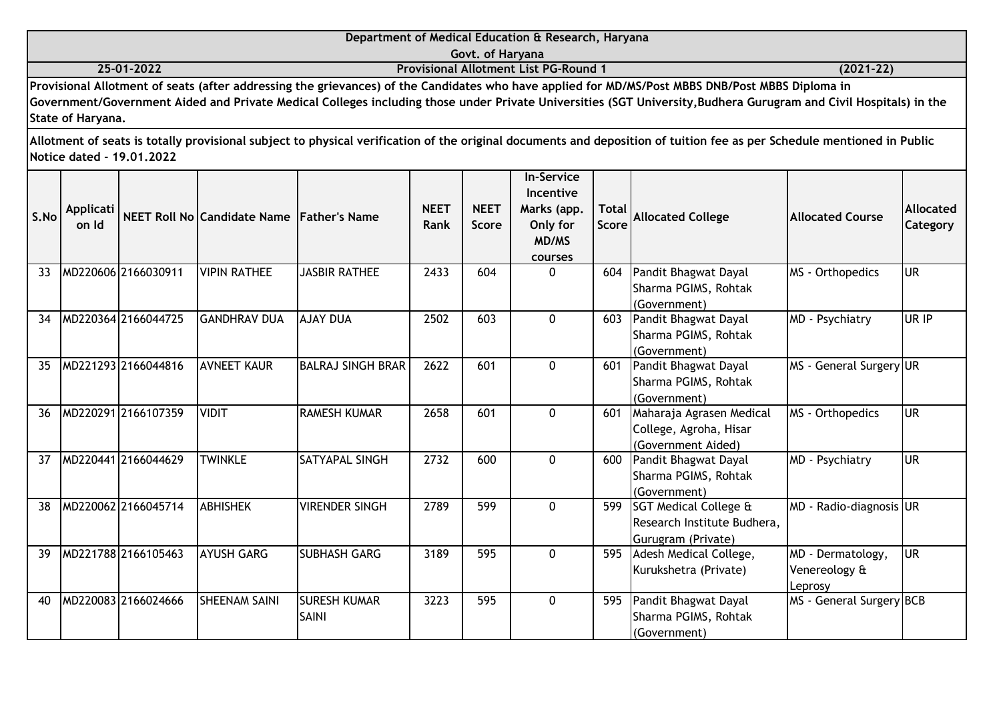| Department of Medical Education & Research, Haryana                                                                                                                                                 |  |           |  |  |  |  |  |  |  |  |  |
|-----------------------------------------------------------------------------------------------------------------------------------------------------------------------------------------------------|--|-----------|--|--|--|--|--|--|--|--|--|
| Govt. of Haryana                                                                                                                                                                                    |  |           |  |  |  |  |  |  |  |  |  |
| <b>Provisional Allotment List PG-Round 1</b><br>25-01-2022<br>$(2021 - 22)$                                                                                                                         |  |           |  |  |  |  |  |  |  |  |  |
| Provisional Allotment of seats (after addressing the grievances) of the Candidates who have applied for MD/MS/Post MBBS DNB/Post MBBS Diploma in                                                    |  |           |  |  |  |  |  |  |  |  |  |
| Government/Government Aided and Private Medical Colleges including those under Private Universities (SGT University, Budhera Gurugram and Civil Hospitals) in the                                   |  |           |  |  |  |  |  |  |  |  |  |
|                                                                                                                                                                                                     |  |           |  |  |  |  |  |  |  |  |  |
| Allotment of seats is totally provisional subject to physical verification of the original documents and deposition of tuition fee as per Schedule mentioned in Public<br>Notice dated - 19.01.2022 |  |           |  |  |  |  |  |  |  |  |  |
| <b>In-Service</b>                                                                                                                                                                                   |  |           |  |  |  |  |  |  |  |  |  |
|                                                                                                                                                                                                     |  | Incentive |  |  |  |  |  |  |  |  |  |
|                                                                                                                                                                                                     |  |           |  |  |  |  |  |  |  |  |  |

| S.No | <b>Applicati</b><br>on Id |                     | NEET Roll No Candidate Name Father's Name |                                     | <b>NEET</b><br>Rank | <b>NEET</b><br><b>Score</b> | <b>INCENTIVE</b><br>Marks (app.<br>Only for<br>MD/MS<br>courses | <b>Total</b><br><b>Score</b> | <b>Allocated College</b>                                                   | <b>Allocated Course</b>                       | Allocated<br>Category |
|------|---------------------------|---------------------|-------------------------------------------|-------------------------------------|---------------------|-----------------------------|-----------------------------------------------------------------|------------------------------|----------------------------------------------------------------------------|-----------------------------------------------|-----------------------|
| 33   |                           | MD220606 2166030911 | <b>VIPIN RATHEE</b>                       | <b>JASBIR RATHEE</b>                | 2433                | 604                         | 0                                                               | 604                          | Pandit Bhagwat Dayal<br>Sharma PGIMS, Rohtak<br>(Government)               | MS - Orthopedics                              | <b>UR</b>             |
| 34   |                           | MD220364 2166044725 | <b>GANDHRAV DUA</b>                       | <b>AJAY DUA</b>                     | 2502                | 603                         | $\Omega$                                                        | 603                          | Pandit Bhagwat Dayal<br>Sharma PGIMS, Rohtak<br>(Government)               | MD - Psychiatry                               | UR IP                 |
| 35   |                           | MD221293 2166044816 | <b>AVNEET KAUR</b>                        | <b>BALRAJ SINGH BRAR</b>            | 2622                | 601                         | $\Omega$                                                        | 601                          | Pandit Bhagwat Dayal<br>Sharma PGIMS, Rohtak<br>(Government)               | MS - General Surgery UR                       |                       |
| 36   |                           | MD220291 2166107359 | <b>VIDIT</b>                              | <b>RAMESH KUMAR</b>                 | 2658                | 601                         | $\Omega$                                                        | 601                          | Maharaja Agrasen Medical<br>College, Agroha, Hisar<br>(Government Aided)   | MS - Orthopedics                              | <b>UR</b>             |
| 37   |                           | MD220441 2166044629 | <b>TWINKLE</b>                            | <b>SATYAPAL SINGH</b>               | 2732                | 600                         | $\Omega$                                                        | 600                          | Pandit Bhagwat Dayal<br>Sharma PGIMS, Rohtak<br>(Government)               | MD - Psychiatry                               | <b>UR</b>             |
| 38   |                           | MD220062 2166045714 | <b>ABHISHEK</b>                           | <b>VIRENDER SINGH</b>               | 2789                | 599                         | $\Omega$                                                        | 599                          | SGT Medical College &<br>Research Institute Budhera,<br>Gurugram (Private) | MD - Radio-diagnosis UR                       |                       |
| 39   |                           | MD221788 2166105463 | <b>AYUSH GARG</b>                         | <b>SUBHASH GARG</b>                 | 3189                | 595                         | $\mathbf 0$                                                     | 595                          | Adesh Medical College,<br>Kurukshetra (Private)                            | MD - Dermatology,<br>Venereology &<br>Leprosy | <b>UR</b>             |
| 40   |                           | MD220083 2166024666 | <b>SHEENAM SAINI</b>                      | <b>SURESH KUMAR</b><br><b>SAINI</b> | 3223                | 595                         | $\mathbf{0}$                                                    | 595                          | Pandit Bhagwat Dayal<br>Sharma PGIMS, Rohtak<br>(Government)               | MS - General Surgery BCB                      |                       |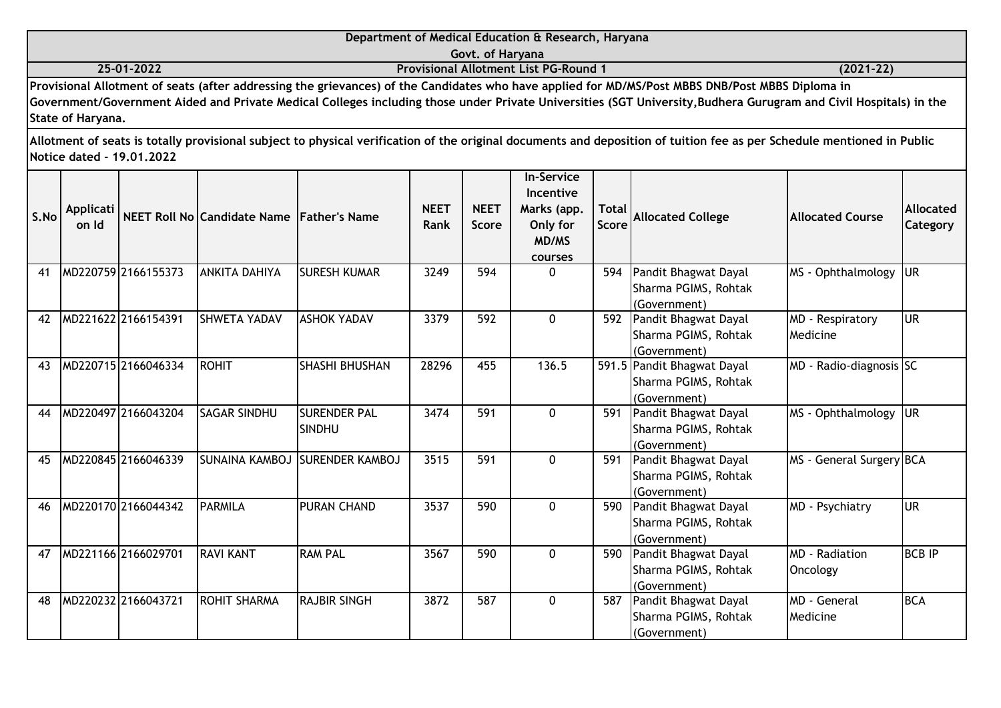|      | Department of Medical Education & Research, Haryana<br>Govt. of Haryana                                                                                                                                                                                                                                                                    |                           |                                             |  |                     |                      |                                                                  |                |                                                                                                                                                                        |                         |                              |  |
|------|--------------------------------------------------------------------------------------------------------------------------------------------------------------------------------------------------------------------------------------------------------------------------------------------------------------------------------------------|---------------------------|---------------------------------------------|--|---------------------|----------------------|------------------------------------------------------------------|----------------|------------------------------------------------------------------------------------------------------------------------------------------------------------------------|-------------------------|------------------------------|--|
|      | <b>Provisional Allotment List PG-Round 1</b><br>25-01-2022<br>$(2021 - 22)$                                                                                                                                                                                                                                                                |                           |                                             |  |                     |                      |                                                                  |                |                                                                                                                                                                        |                         |                              |  |
|      | Provisional Allotment of seats (after addressing the grievances) of the Candidates who have applied for MD/MS/Post MBBS DNB/Post MBBS Diploma in<br>Government/Government Aided and Private Medical Colleges including those under Private Universities (SGT University, Budhera Gurugram and Civil Hospitals) in the<br>State of Haryana. |                           |                                             |  |                     |                      |                                                                  |                |                                                                                                                                                                        |                         |                              |  |
|      |                                                                                                                                                                                                                                                                                                                                            | Notice dated - 19.01.2022 |                                             |  |                     |                      |                                                                  |                | Allotment of seats is totally provisional subject to physical verification of the original documents and deposition of tuition fee as per Schedule mentioned in Public |                         |                              |  |
| S.No | Applicati<br>on Id                                                                                                                                                                                                                                                                                                                         |                           | NEET Roll No Candidate Name   Father's Name |  | <b>NEET</b><br>Rank | <b>NEET</b><br>Score | <b>In-Service</b><br><b>Incentive</b><br>Marks (app.<br>Only for | Total<br>Score | <b>Allocated College</b>                                                                                                                                               | <b>Allocated Course</b> | <b>Allocated</b><br>Category |  |

|    |                     |                      |                                  |       |     | <b>MD/MS</b> |     |                            |                          |               |
|----|---------------------|----------------------|----------------------------------|-------|-----|--------------|-----|----------------------------|--------------------------|---------------|
|    |                     |                      |                                  |       |     | courses      |     |                            |                          |               |
| 41 | MD220759 2166155373 | <b>ANKITA DAHIYA</b> | ISURESH KUMAR                    | 3249  | 594 | $\mathbf{0}$ | 594 | Pandit Bhagwat Dayal       | MS - Ophthalmology       | lur           |
|    |                     |                      |                                  |       |     |              |     | Sharma PGIMS, Rohtak       |                          |               |
|    |                     |                      |                                  |       |     |              |     | (Government)               |                          |               |
| 42 | MD221622 2166154391 | <b>SHWETA YADAV</b>  | <b>ASHOK YADAV</b>               | 3379  | 592 | $\Omega$     | 592 | Pandit Bhagwat Dayal       | MD - Respiratory         | <b>UR</b>     |
|    |                     |                      |                                  |       |     |              |     | Sharma PGIMS, Rohtak       | Medicine                 |               |
|    |                     |                      |                                  |       |     |              |     | (Government)               |                          |               |
| 43 | MD220715 2166046334 | <b>ROHIT</b>         | <b>SHASHI BHUSHAN</b>            | 28296 | 455 | 136.5        |     | 591.5 Pandit Bhagwat Dayal | MD - Radio-diagnosis SC  |               |
|    |                     |                      |                                  |       |     |              |     | Sharma PGIMS, Rohtak       |                          |               |
|    |                     |                      |                                  |       |     |              |     | (Government)               |                          |               |
| 44 | MD220497 2166043204 | <b>SAGAR SINDHU</b>  | <b>SURENDER PAL</b>              | 3474  | 591 | $\Omega$     | 591 | Pandit Bhagwat Dayal       | MS - Ophthalmology       | lur           |
|    |                     |                      | <b>SINDHU</b>                    |       |     |              |     | Sharma PGIMS, Rohtak       |                          |               |
|    |                     |                      |                                  |       |     |              |     | (Government)               |                          |               |
| 45 | MD220845 2166046339 |                      | ISUNAINA KAMBOJ ISURENDER KAMBOJ | 3515  | 591 | $\Omega$     | 591 | Pandit Bhagwat Dayal       | MS - General Surgery BCA |               |
|    |                     |                      |                                  |       |     |              |     | Sharma PGIMS, Rohtak       |                          |               |
|    |                     |                      |                                  |       |     |              |     | (Government)               |                          |               |
| 46 | MD220170 2166044342 | <b>PARMILA</b>       | <b>PURAN CHAND</b>               | 3537  | 590 | $\mathbf{0}$ | 590 | Pandit Bhagwat Dayal       | MD - Psychiatry          | <b>UR</b>     |
|    |                     |                      |                                  |       |     |              |     | Sharma PGIMS, Rohtak       |                          |               |
|    |                     |                      |                                  |       |     |              |     | (Government)               |                          |               |
| 47 | MD221166 2166029701 | <b>RAVI KANT</b>     | <b>RAM PAL</b>                   | 3567  | 590 | $\Omega$     | 590 | Pandit Bhagwat Dayal       | <b>MD</b> - Radiation    | <b>BCB IP</b> |
|    |                     |                      |                                  |       |     |              |     | Sharma PGIMS, Rohtak       | Oncology                 |               |
|    |                     |                      |                                  |       |     |              |     | (Government)               |                          |               |
| 48 | MD220232 2166043721 | <b>ROHIT SHARMA</b>  | <b>RAJBIR SINGH</b>              | 3872  | 587 | $\Omega$     | 587 | Pandit Bhagwat Dayal       | <b>MD</b> - General      | <b>BCA</b>    |
|    |                     |                      |                                  |       |     |              |     | Sharma PGIMS, Rohtak       | Medicine                 |               |
|    |                     |                      |                                  |       |     |              |     | (Government)               |                          |               |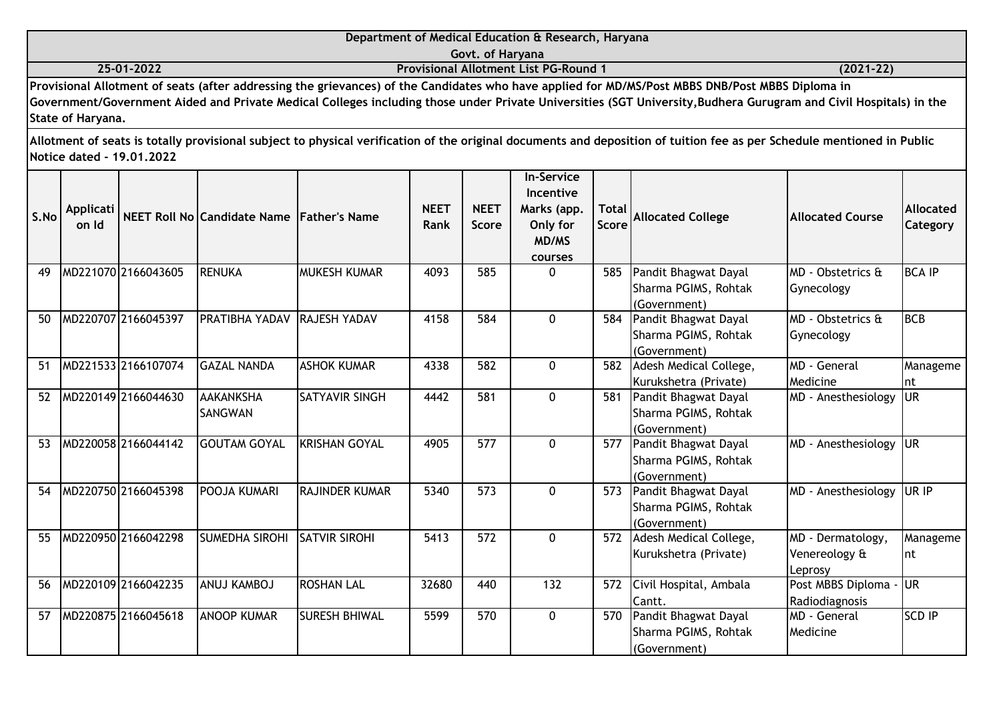|                                                                   | Department of Medical Education & Research, Haryana |           |
|-------------------------------------------------------------------|-----------------------------------------------------|-----------|
|                                                                   | Govt. of Harvana                                    |           |
| 25-01-2022                                                        | <b>Provisional Allotment List PG-Round 1</b>        | (2021-22) |
| 그는 그 그 사람이 없는 그 사람들은 그 사람들을 하고 있다. 그 사람들은 그 사람들은 그 사람들을 지르는 것 같아. | .                                                   |           |

**Provisional Allotment of seats (after addressing the grievances) of the Candidates who have applied for MD/MS/Post MBBS DNB/Post MBBS Diploma in Government/Government Aided and Private Medical Colleges including those under Private Universities (SGT University,Budhera Gurugram and Civil Hospitals) in the State of Haryana.**

| S.No | <b>Applicati</b><br>on Id |                     | NEET Roll No Candidate Name Father's Name |                       | <b>NEET</b><br>Rank | <b>NEET</b><br>Score | <b>In-Service</b><br>Incentive<br>Marks (app.<br>Only for<br><b>MD/MS</b><br>courses | <b>Total</b><br>Score | <b>Allocated College</b>                                     | <b>Allocated Course</b>                              | <b>Allocated</b><br>Category |
|------|---------------------------|---------------------|-------------------------------------------|-----------------------|---------------------|----------------------|--------------------------------------------------------------------------------------|-----------------------|--------------------------------------------------------------|------------------------------------------------------|------------------------------|
| 49   |                           | MD221070 2166043605 | <b>RENUKA</b>                             | <b>MUKESH KUMAR</b>   | 4093                | 585                  | $\Omega$                                                                             | 585                   | Pandit Bhagwat Dayal<br>Sharma PGIMS, Rohtak<br>(Government) | MD - Obstetrics &<br>Gynecology                      | <b>BCA IP</b>                |
| 50   |                           | MD220707 2166045397 | <b>PRATIBHA YADAV</b>                     | <b>RAJESH YADAV</b>   | 4158                | 584                  | $\Omega$                                                                             | 584                   | Pandit Bhagwat Dayal<br>Sharma PGIMS, Rohtak<br>(Government) | MD - Obstetrics &<br>Gynecology                      | <b>BCB</b>                   |
| 51   |                           | MD221533 2166107074 | <b>GAZAL NANDA</b>                        | <b>ASHOK KUMAR</b>    | 4338                | 582                  | $\Omega$                                                                             | 582                   | Adesh Medical College,<br>Kurukshetra (Private)              | MD - General<br>Medicine                             | Manageme<br>Int              |
| 52   |                           | MD220149 2166044630 | <b>AAKANKSHA</b><br><b>SANGWAN</b>        | <b>SATYAVIR SINGH</b> | 4442                | 581                  | $\Omega$                                                                             | 581                   | Pandit Bhagwat Dayal<br>Sharma PGIMS, Rohtak<br>(Government) | MD - Anesthesiology                                  | lur                          |
| 53   |                           | MD220058 2166044142 | <b>GOUTAM GOYAL</b>                       | <b>KRISHAN GOYAL</b>  | 4905                | 577                  | $\mathbf 0$                                                                          | 577                   | Pandit Bhagwat Dayal<br>Sharma PGIMS, Rohtak<br>(Government) | MD - Anesthesiology                                  | <b>JUR</b>                   |
| 54   |                           | MD220750 2166045398 | POOJA KUMARI                              | <b>RAJINDER KUMAR</b> | 5340                | 573                  | $\Omega$                                                                             | 573                   | Pandit Bhagwat Dayal<br>Sharma PGIMS, Rohtak<br>(Government) | MD - Anesthesiology                                  | <b>UR IP</b>                 |
| 55   |                           | MD220950 2166042298 | <b>SUMEDHA SIROHI</b>                     | <b>SATVIR SIROHI</b>  | 5413                | 572                  | $\Omega$                                                                             | 572                   | Adesh Medical College,<br>Kurukshetra (Private)              | MD - Dermatology,<br>Venereology &<br><b>Leprosy</b> | Manageme<br>Int              |
| 56   |                           | MD220109 2166042235 | ANUJ KAMBOJ                               | <b>ROSHAN LAL</b>     | 32680               | 440                  | 132                                                                                  | 572                   | Civil Hospital, Ambala<br>Cantt.                             | Post MBBS Diploma -<br>Radiodiagnosis                | <b>UR</b>                    |
| 57   |                           | MD220875 2166045618 | <b>ANOOP KUMAR</b>                        | <b>SURESH BHIWAL</b>  | 5599                | 570                  | $\mathbf 0$                                                                          | 570                   | Pandit Bhagwat Dayal<br>Sharma PGIMS, Rohtak<br>(Government) | MD - General<br>Medicine                             | <b>SCD IP</b>                |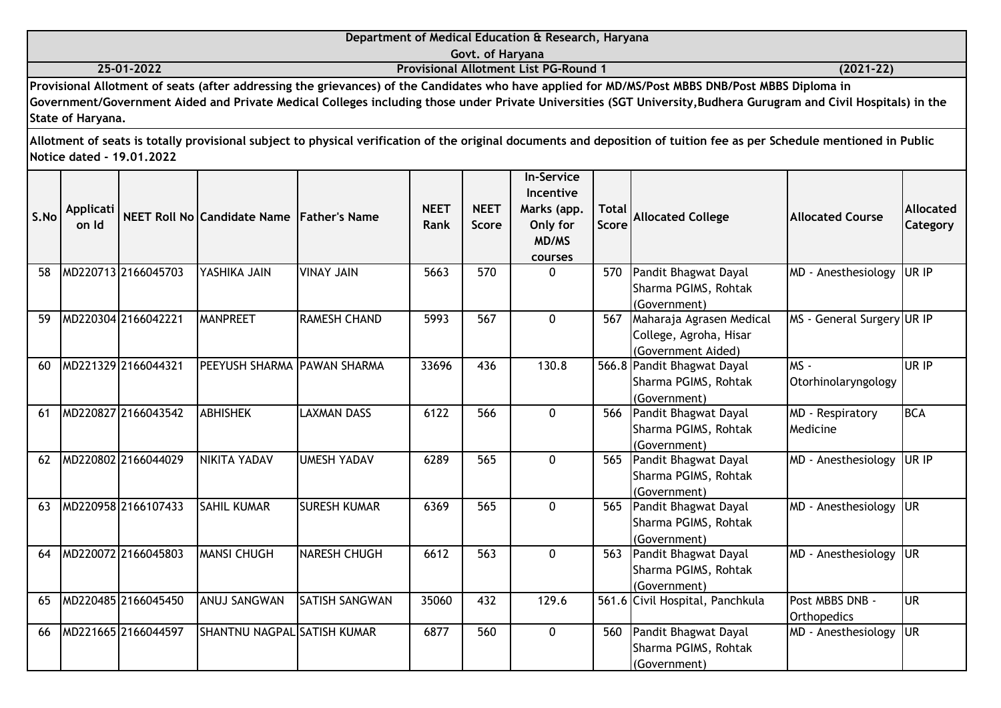|            | Department of Medical Education & Research, Haryana                                                                                              |               |
|------------|--------------------------------------------------------------------------------------------------------------------------------------------------|---------------|
|            | Govt. of Harvana                                                                                                                                 |               |
| 25-01-2022 | <b>Provisional Allotment List PG-Round 1</b>                                                                                                     | $(2021 - 22)$ |
|            | Provisional Allotment of seats (after addressing the grievances) of the Candidates who have applied for MD/MS/Post MBBS DNB/Post MBBS Diploma in |               |

| S.No | <b>Applicati</b><br>on Id |                     | NEET Roll No Candidate Name Father's Name |                       | <b>NEET</b><br><b>Rank</b> | <b>NEET</b><br><b>Score</b> | <b>In-Service</b><br>Incentive<br>Marks (app.<br>Only for<br><b>MD/MS</b><br>courses | <b>Total</b><br><b>Score</b> | <b>Allocated College</b>                                                     | <b>Allocated Course</b>        | <b>Allocated</b><br>Category |
|------|---------------------------|---------------------|-------------------------------------------|-----------------------|----------------------------|-----------------------------|--------------------------------------------------------------------------------------|------------------------------|------------------------------------------------------------------------------|--------------------------------|------------------------------|
| 58   |                           | MD220713 2166045703 | YASHIKA JAIN                              | <b>VINAY JAIN</b>     | 5663                       | 570                         | $\Omega$                                                                             |                              | 570 Pandit Bhagwat Dayal<br>Sharma PGIMS, Rohtak<br>(Government)             | MD - Anesthesiology            | UR IP                        |
| 59   |                           | MD220304 2166042221 | <b>MANPREET</b>                           | <b>RAMESH CHAND</b>   | 5993                       | 567                         | $\mathbf 0$                                                                          |                              | 567 Maharaja Agrasen Medical<br>College, Agroha, Hisar<br>(Government Aided) | MS - General Surgery UR IP     |                              |
| 60   |                           | MD221329 2166044321 | PEEYUSH SHARMA PAWAN SHARMA               |                       | 33696                      | 436                         | 130.8                                                                                |                              | 566.8 Pandit Bhagwat Dayal<br>Sharma PGIMS, Rohtak<br>(Government)           | MS-<br>Otorhinolaryngology     | UR IP                        |
| 61   |                           | MD220827 2166043542 | <b>ABHISHEK</b>                           | <b>LAXMAN DASS</b>    | 6122                       | 566                         | $\Omega$                                                                             |                              | 566 Pandit Bhagwat Dayal<br>Sharma PGIMS, Rohtak<br>(Government)             | MD - Respiratory<br>Medicine   | BCA                          |
| 62   |                           | MD220802 2166044029 | NIKITA YADAV                              | <b>UMESH YADAV</b>    | 6289                       | 565                         | $\Omega$                                                                             |                              | 565 Pandit Bhagwat Dayal<br>Sharma PGIMS, Rohtak<br>(Government)             | MD - Anesthesiology            | UR IP                        |
| 63   |                           | MD220958 2166107433 | <b>SAHIL KUMAR</b>                        | <b>SURESH KUMAR</b>   | 6369                       | 565                         | $\mathbf{0}$                                                                         |                              | 565 Pandit Bhagwat Dayal<br>Sharma PGIMS, Rohtak<br>(Government)             | MD - Anesthesiology            | <b>JUR</b>                   |
| 64   |                           | MD220072 2166045803 | <b>MANSI CHUGH</b>                        | NARESH CHUGH          | 6612                       | 563                         | $\Omega$                                                                             |                              | 563 Pandit Bhagwat Dayal<br>Sharma PGIMS, Rohtak<br>(Government)             | MD - Anesthesiology            | <b>JUR</b>                   |
| 65   |                           | MD220485 2166045450 | <b>ANUJ SANGWAN</b>                       | <b>SATISH SANGWAN</b> | 35060                      | 432                         | 129.6                                                                                |                              | 561.6 Civil Hospital, Panchkula                                              | Post MBBS DNB -<br>Orthopedics | lur                          |
| 66   |                           | MD221665 2166044597 | SHANTNU NAGPAL SATISH KUMAR               |                       | 6877                       | 560                         | $\Omega$                                                                             | 560                          | Pandit Bhagwat Dayal<br>Sharma PGIMS, Rohtak<br>(Government)                 | MD - Anesthesiology            | lur                          |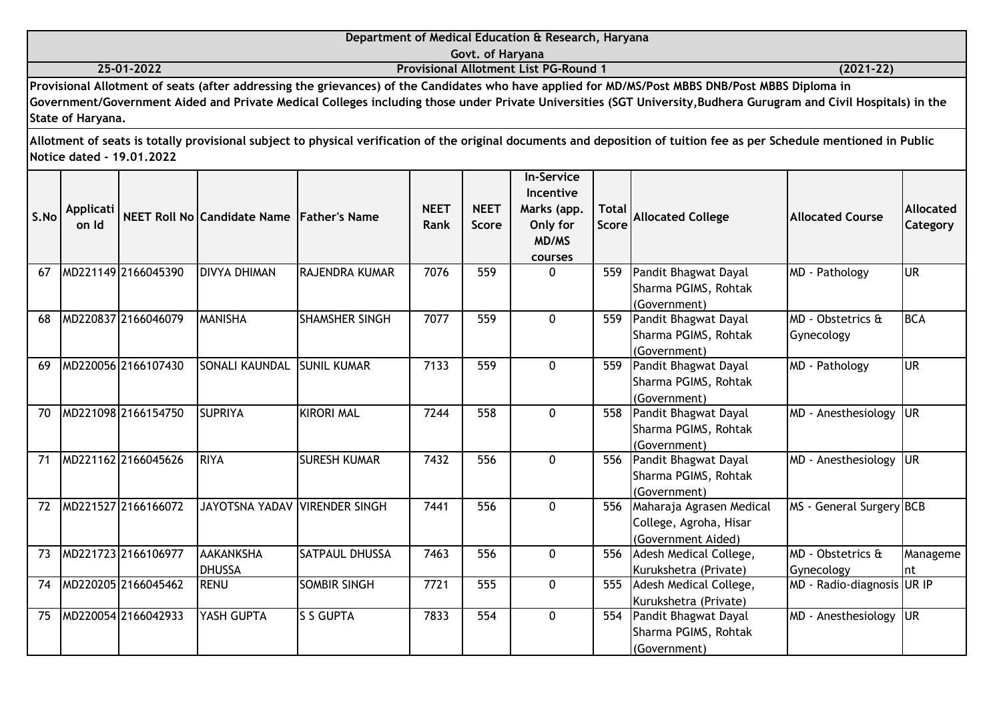|                   | Department of Medical Education & Research, Haryana                                                                                                               |               |
|-------------------|-------------------------------------------------------------------------------------------------------------------------------------------------------------------|---------------|
|                   | Govt. of Harvana                                                                                                                                                  |               |
| 25-01-2022        | <b>Provisional Allotment List PG-Round 1</b>                                                                                                                      | $(2021 - 22)$ |
|                   | Provisional Allotment of seats (after addressing the grievances) of the Candidates who have applied for MD/MS/Post MBBS DNB/Post MBBS Diploma in                  |               |
|                   | Government/Government Aided and Private Medical Colleges including those under Private Universities (SGT University, Budhera Gurugram and Civil Hospitals) in the |               |
| State of Haryana. |                                                                                                                                                                   |               |

| S.No | Applicati<br>on Id |                     | NEET Roll No Candidate Name Father's Name |                       | <b>NEET</b><br>Rank | <b>NEET</b><br><b>Score</b> | <b>In-Service</b><br>Incentive<br>Marks (app.<br>Only for<br>MD/MS<br>courses | <b>Total</b><br>Score | <b>Allocated College</b>                                                 | <b>Allocated Course</b>         | Allocated<br>Category |
|------|--------------------|---------------------|-------------------------------------------|-----------------------|---------------------|-----------------------------|-------------------------------------------------------------------------------|-----------------------|--------------------------------------------------------------------------|---------------------------------|-----------------------|
| 67   |                    | MD221149 2166045390 | <b>DIVYA DHIMAN</b>                       | <b>RAJENDRA KUMAR</b> | 7076                | 559                         | $\mathbf{0}$                                                                  | 559                   | Pandit Bhagwat Dayal<br>Sharma PGIMS, Rohtak<br>(Government)             | MD - Pathology                  | <b>UR</b>             |
| 68   |                    | MD220837 2166046079 | <b>MANISHA</b>                            | <b>SHAMSHER SINGH</b> | 7077                | 559                         | $\Omega$                                                                      | 559                   | Pandit Bhagwat Dayal<br>Sharma PGIMS, Rohtak<br>(Government)             | MD - Obstetrics &<br>Gynecology | <b>BCA</b>            |
| 69   |                    | MD220056 2166107430 | SONALI KAUNDAL                            | <b>SUNIL KUMAR</b>    | 7133                | 559                         | $\Omega$                                                                      | 559                   | Pandit Bhagwat Dayal<br>Sharma PGIMS, Rohtak<br>(Government)             | MD - Pathology                  | lur                   |
| 70   |                    | MD221098 2166154750 | <b>SUPRIYA</b>                            | <b>KIRORI MAL</b>     | 7244                | 558                         | $\Omega$                                                                      | 558                   | Pandit Bhagwat Dayal<br>Sharma PGIMS, Rohtak<br>(Government)             | MD - Anesthesiology             | <b>IUR</b>            |
| 71   |                    | MD221162 2166045626 | <b>RIYA</b>                               | <b>ISURESH KUMAR</b>  | 7432                | 556                         | $\Omega$                                                                      | 556                   | Pandit Bhagwat Dayal<br>Sharma PGIMS, Rohtak<br>(Government)             | MD - Anesthesiology             | <b>JUR</b>            |
| 72   |                    | MD221527 2166166072 | JAYOTSNA YADAV VIRENDER SINGH             |                       | 7441                | 556                         | $\Omega$                                                                      | 556                   | Maharaja Agrasen Medical<br>College, Agroha, Hisar<br>(Government Aided) | MS - General Surgery BCB        |                       |
| 73   |                    | MD221723 2166106977 | <b>AAKANKSHA</b><br><b>DHUSSA</b>         | <b>SATPAUL DHUSSA</b> | 7463                | 556                         | $\Omega$                                                                      | 556                   | Adesh Medical College,<br>Kurukshetra (Private)                          | MD - Obstetrics &<br>Gynecology | Manageme<br>Int       |
| 74   |                    | MD220205 2166045462 | <b>RENU</b>                               | <b>SOMBIR SINGH</b>   | 7721                | 555                         | $\Omega$                                                                      | 555                   | Adesh Medical College,<br>Kurukshetra (Private)                          | MD - Radio-diagnosis UR IP      |                       |
| 75   |                    | MD220054 2166042933 | YASH GUPTA                                | <b>S S GUPTA</b>      | 7833                | 554                         | 0                                                                             | 554                   | Pandit Bhagwat Dayal<br>Sharma PGIMS, Rohtak<br>(Government)             | MD - Anesthesiology             | <b>UR</b>             |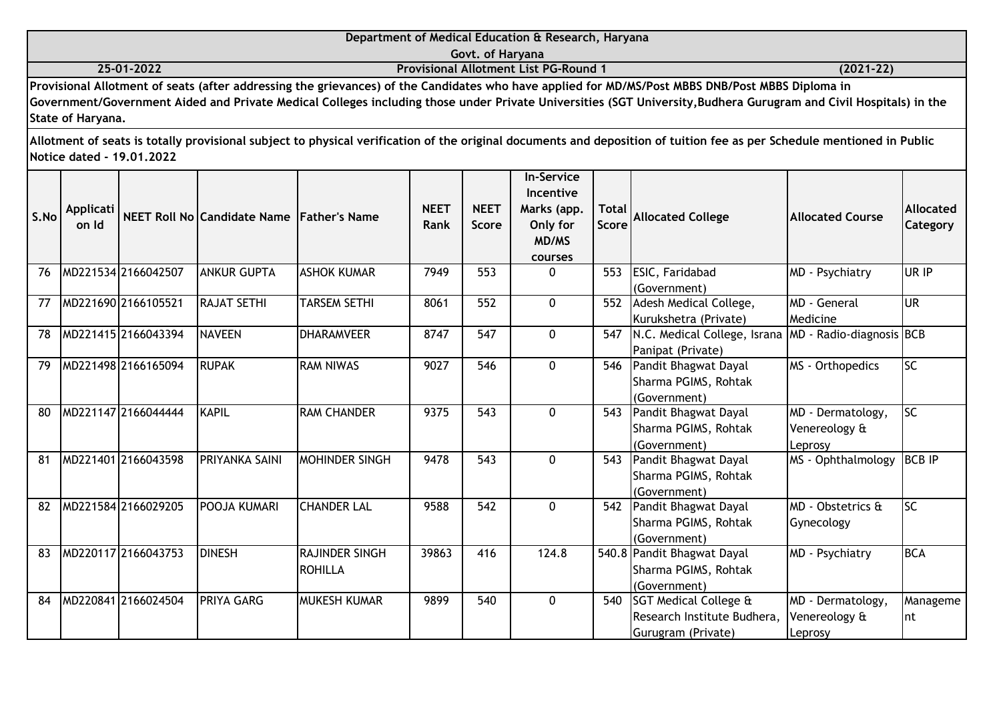|      |                    |                           |                                           |                                  |                     |                             | Department of Medical Education & Research, Haryana                           |                |                                                                                                                                                                                                                                                                                                                       |                                               |                              |
|------|--------------------|---------------------------|-------------------------------------------|----------------------------------|---------------------|-----------------------------|-------------------------------------------------------------------------------|----------------|-----------------------------------------------------------------------------------------------------------------------------------------------------------------------------------------------------------------------------------------------------------------------------------------------------------------------|-----------------------------------------------|------------------------------|
|      |                    |                           |                                           |                                  |                     | Govt. of Haryana            |                                                                               |                |                                                                                                                                                                                                                                                                                                                       |                                               |                              |
|      |                    | 25-01-2022                |                                           |                                  |                     |                             | <b>Provisional Allotment List PG-Round 1</b>                                  |                |                                                                                                                                                                                                                                                                                                                       | $(2021-22)$                                   |                              |
|      | State of Haryana.  |                           |                                           |                                  |                     |                             |                                                                               |                | Provisional Allotment of seats (after addressing the grievances) of the Candidates who have applied for MD/MS/Post MBBS DNB/Post MBBS Diploma in<br>Government/Government Aided and Private Medical Colleges including those under Private Universities (SGT University, Budhera Gurugram and Civil Hospitals) in the |                                               |                              |
|      |                    | Notice dated - 19.01.2022 |                                           |                                  |                     |                             |                                                                               |                | Allotment of seats is totally provisional subject to physical verification of the original documents and deposition of tuition fee as per Schedule mentioned in Public                                                                                                                                                |                                               |                              |
| S.No | Applicati<br>on Id |                           | NEET Roll No Candidate Name Father's Name |                                  | <b>NEET</b><br>Rank | <b>NEET</b><br><b>Score</b> | <b>In-Service</b><br>Incentive<br>Marks (app.<br>Only for<br>MD/MS<br>courses | Total<br>Score | <b>Allocated College</b>                                                                                                                                                                                                                                                                                              | <b>Allocated Course</b>                       | <b>Allocated</b><br>Category |
| 76   |                    | MD221534 2166042507       | <b>ANKUR GUPTA</b>                        | <b>ASHOK KUMAR</b>               | 7949                | 553                         | 0                                                                             | 553            | ESIC, Faridabad<br>(Government)                                                                                                                                                                                                                                                                                       | MD - Psychiatry                               | UR IP                        |
| 77   |                    | MD221690 2166105521       | <b>RAJAT SETHI</b>                        | <b>TARSEM SETHI</b>              | 8061                | 552                         | $\mathbf{0}$                                                                  | 552            | Adesh Medical College,<br>Kurukshetra (Private)                                                                                                                                                                                                                                                                       | MD - General<br>Medicine                      | UR.                          |
| 78   |                    | MD221415 2166043394       | <b>NAVEEN</b>                             | <b>DHARAMVEER</b>                | 8747                | 547                         | $\mathbf{0}$                                                                  | 547            | N.C. Medical College, Israna<br>Panipat (Private)                                                                                                                                                                                                                                                                     | MD - Radio-diagnosis BCB                      |                              |
| 79   |                    | MD221498 2166165094       | <b>RUPAK</b>                              | <b>RAM NIWAS</b>                 | 9027                | 546                         | 0                                                                             | 546            | Pandit Bhagwat Dayal<br>Sharma PGIMS, Rohtak<br>(Government)                                                                                                                                                                                                                                                          | MS - Orthopedics                              | SC                           |
| 80   |                    | MD221147 2166044444       | <b>KAPIL</b>                              | <b>RAM CHANDER</b>               | 9375                | 543                         | 0                                                                             | 543            | Pandit Bhagwat Dayal<br>Sharma PGIMS, Rohtak<br>(Government)                                                                                                                                                                                                                                                          | MD - Dermatology,<br>Venereology &<br>Leprosy | $\overline{SC}$              |
| 81   |                    | MD221401 2166043598       | <b>PRIYANKA SAINI</b>                     | MOHINDER SINGH                   | 9478                | $\overline{543}$            | $\mathbf{0}$                                                                  | 543            | Pandit Bhagwat Dayal<br>Sharma PGIMS, Rohtak<br>(Government)                                                                                                                                                                                                                                                          | MS - Ophthalmology                            | <b>BCB IP</b>                |
| 82   |                    | MD221584 2166029205       | POOJA KUMARI                              | <b>CHANDER LAL</b>               | 9588                | 542                         | $\mathbf{0}$                                                                  | 542            | Pandit Bhagwat Dayal<br>Sharma PGIMS, Rohtak<br>(Government)                                                                                                                                                                                                                                                          | MD - Obstetrics &<br>Gynecology               | $\overline{SC}$              |
| 83   |                    | MD220117 2166043753       | <b>DINESH</b>                             | RAJINDER SINGH<br><b>ROHILLA</b> | 39863               | 416                         | 124.8                                                                         |                | 540.8 Pandit Bhagwat Dayal<br>Sharma PGIMS, Rohtak<br>(Government)                                                                                                                                                                                                                                                    | MD - Psychiatry                               | <b>BCA</b>                   |
| 84   |                    | MD220841 2166024504       | <b>PRIYA GARG</b>                         | MUKESH KUMAR                     | 9899                | 540                         | 0                                                                             | 540            | SGT Medical College &<br>Research Institute Budhera,<br>Gurugram (Private)                                                                                                                                                                                                                                            | MD - Dermatology,<br>Venereology &<br>Leprosy | Manageme<br>nt               |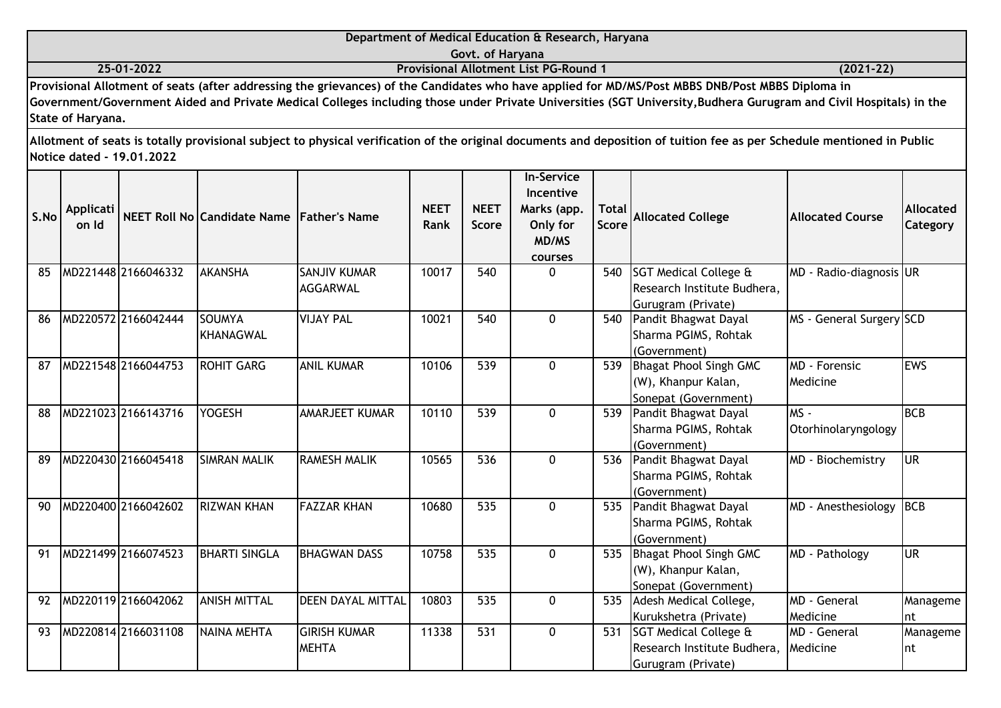|                   | Department of Medical Education & Research, Haryana                                                                                                              |               |
|-------------------|------------------------------------------------------------------------------------------------------------------------------------------------------------------|---------------|
|                   | Govt. of Haryana                                                                                                                                                 |               |
| 25-01-2022        | <b>Provisional Allotment List PG-Round 1</b>                                                                                                                     | $(2021 - 22)$ |
|                   | Provisional Allotment of seats (after addressing the grievances) of the Candidates who have applied for MD/MS/Post MBBS DNB/Post MBBS Diploma in                 |               |
|                   | Government/Government Aided and Private Medical Colleges including those under Private Universities (SGT University,Budhera Gurugram and Civil Hospitals) in the |               |
| State of Haryana. |                                                                                                                                                                  |               |

| S.No | Applicati<br>on Id |                     | NEET Roll No Candidate Name Father's Name |                                        | <b>NEET</b><br>Rank | <b>NEET</b><br>Score | <b>In-Service</b><br>Incentive<br>Marks (app.<br>Only for<br>MD/MS<br>courses | <b>Total</b><br><b>Score</b> | <b>Allocated College</b>                                                               | <b>Allocated Course</b>           | Allocated<br>Category |
|------|--------------------|---------------------|-------------------------------------------|----------------------------------------|---------------------|----------------------|-------------------------------------------------------------------------------|------------------------------|----------------------------------------------------------------------------------------|-----------------------------------|-----------------------|
| 85   |                    | MD221448 2166046332 | <b>AKANSHA</b>                            | <b>SANJIV KUMAR</b><br><b>AGGARWAL</b> | 10017               | 540                  | $\Omega$                                                                      | 540                          | SGT Medical College &<br>Research Institute Budhera,<br>Gurugram (Private)             | MD - Radio-diagnosis UR           |                       |
| 86   |                    | MD220572 2166042444 | <b>SOUMYA</b><br><b>KHANAGWAL</b>         | <b>VIJAY PAL</b>                       | 10021               | 540                  | $\mathbf{0}$                                                                  | 540                          | Pandit Bhagwat Dayal<br>Sharma PGIMS, Rohtak<br>(Government)                           | MS - General Surgery SCD          |                       |
| 87   |                    | MD221548 2166044753 | <b>ROHIT GARG</b>                         | <b>ANIL KUMAR</b>                      | 10106               | 539                  | $\mathbf{0}$                                                                  | 539                          | Bhagat Phool Singh GMC<br>(W), Khanpur Kalan,<br>Sonepat (Government)                  | <b>IMD - Forensic</b><br>Medicine | <b>IEWS</b>           |
| 88   |                    | MD221023 2166143716 | <b>YOGESH</b>                             | AMARJEET KUMAR                         | 10110               | 539                  | $\mathbf 0$                                                                   | 539                          | Pandit Bhagwat Dayal<br>Sharma PGIMS, Rohtak<br>(Government)                           | lms -<br>Otorhinolaryngology      | <b>BCB</b>            |
| 89   |                    | MD220430 2166045418 | <b>SIMRAN MALIK</b>                       | <b>RAMESH MALIK</b>                    | 10565               | 536                  | $\Omega$                                                                      | 536                          | Pandit Bhagwat Dayal<br>Sharma PGIMS, Rohtak<br>(Government)                           | MD - Biochemistry                 | lur                   |
| 90   |                    | MD220400 2166042602 | <b>RIZWAN KHAN</b>                        | <b>FAZZAR KHAN</b>                     | 10680               | 535                  | $\Omega$                                                                      | 535                          | Pandit Bhagwat Dayal<br>Sharma PGIMS, Rohtak<br>(Government)                           | MD - Anesthesiology               | <b>BCB</b>            |
| 91   |                    | MD221499 2166074523 | <b>BHARTI SINGLA</b>                      | <b>BHAGWAN DASS</b>                    | 10758               | 535                  | $\Omega$                                                                      | 535                          | <b>Bhagat Phool Singh GMC</b><br>(W), Khanpur Kalan,<br>Sonepat (Government)           | MD - Pathology                    | lur                   |
| 92   |                    | MD220119 2166042062 | <b>ANISH MITTAL</b>                       | <b>DEEN DAYAL MITTAL</b>               | 10803               | 535                  | $\Omega$                                                                      | 535                          | Adesh Medical College,<br>Kurukshetra (Private)                                        | <b>MD</b> - General<br>Medicine   | Manageme<br>Int       |
| 93   |                    | MD220814 2166031108 | <b>NAINA MEHTA</b>                        | <b>GIRISH KUMAR</b><br><b>MEHTA</b>    | 11338               | 531                  | $\Omega$                                                                      | 531                          | <b>ISGT Medical College &amp;</b><br>Research Institute Budhera,<br>Gurugram (Private) | MD - General<br>Medicine          | Manageme<br>Int       |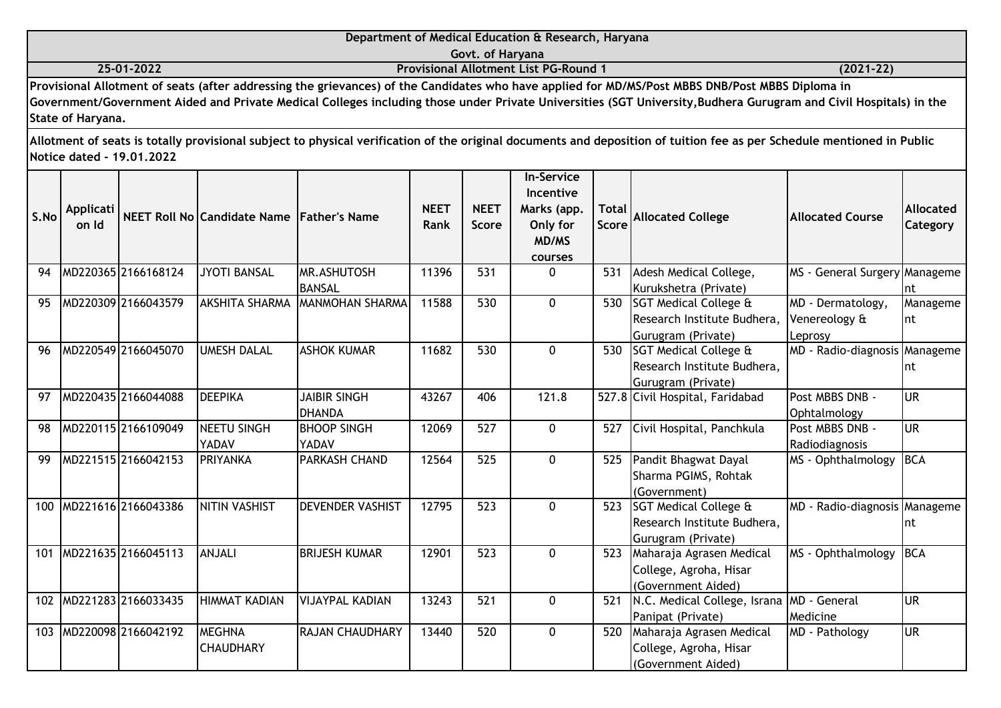|      |                           |                           |                                           |                                      |                     | Govt. of Haryana            | Department of Medical Education & Research, Haryana                                  |                              |                                                                                                                                                                                                                                                                                                                       |                                               |                              |
|------|---------------------------|---------------------------|-------------------------------------------|--------------------------------------|---------------------|-----------------------------|--------------------------------------------------------------------------------------|------------------------------|-----------------------------------------------------------------------------------------------------------------------------------------------------------------------------------------------------------------------------------------------------------------------------------------------------------------------|-----------------------------------------------|------------------------------|
|      |                           | 25-01-2022                |                                           |                                      |                     |                             | <b>Provisional Allotment List PG-Round 1</b>                                         |                              |                                                                                                                                                                                                                                                                                                                       | $(2021 - 22)$                                 |                              |
|      | State of Haryana.         |                           |                                           |                                      |                     |                             |                                                                                      |                              | Provisional Allotment of seats (after addressing the grievances) of the Candidates who have applied for MD/MS/Post MBBS DNB/Post MBBS Diploma in<br>Government/Government Aided and Private Medical Colleges including those under Private Universities (SGT University, Budhera Gurugram and Civil Hospitals) in the |                                               |                              |
|      |                           | Notice dated - 19.01.2022 |                                           |                                      |                     |                             |                                                                                      |                              | Allotment of seats is totally provisional subject to physical verification of the original documents and deposition of tuition fee as per Schedule mentioned in Public                                                                                                                                                |                                               |                              |
| S.No | <b>Applicati</b><br>on Id |                           | NEET Roll No Candidate Name Father's Name |                                      | <b>NEET</b><br>Rank | <b>NEET</b><br><b>Score</b> | <b>In-Service</b><br><b>Incentive</b><br>Marks (app.<br>Only for<br>MD/MS<br>courses | <b>Total</b><br><b>Score</b> | <b>Allocated College</b>                                                                                                                                                                                                                                                                                              | <b>Allocated Course</b>                       | <b>Allocated</b><br>Category |
| 94   |                           | MD220365 2166168124       | <b>JYOTI BANSAL</b>                       | MR.ASHUTOSH<br><b>BANSAL</b>         | 11396               | 531                         | 0                                                                                    | 531                          | Adesh Medical College,<br>Kurukshetra (Private)                                                                                                                                                                                                                                                                       | MS - General Surgery Manageme                 |                              |
| 95   |                           | MD220309 2166043579       | <b>AKSHITA SHARMA</b>                     | <b>MANMOHAN SHARMA</b>               | 11588               | 530                         | $\mathbf 0$                                                                          | 530                          | SGT Medical College &<br>Research Institute Budhera,<br>Gurugram (Private)                                                                                                                                                                                                                                            | MD - Dermatology,<br>Venereology &<br>Leprosy | Manageme<br>nt               |
| 96   |                           | MD220549 2166045070       | <b>UMESH DALAL</b>                        | <b>ASHOK KUMAR</b>                   | 11682               | 530                         | $\mathbf 0$                                                                          | 530                          | SGT Medical College &<br>Research Institute Budhera,<br>Gurugram (Private)                                                                                                                                                                                                                                            | MD - Radio-diagnosis Manageme                 | nt                           |
| 97   |                           | MD220435 2166044088       | <b>DEEPIKA</b>                            | <b>JAIBIR SINGH</b><br><b>DHANDA</b> | 43267               | 406                         | 121.8                                                                                |                              | 527.8 Civil Hospital, Faridabad                                                                                                                                                                                                                                                                                       | Post MBBS DNB -<br>Ophtalmology               | <b>UR</b>                    |
| 98   |                           | MD220115 2166109049       | <b>NEETU SINGH</b><br>YADAV               | <b>BHOOP SINGH</b><br>YADAV          | 12069               | 527                         | $\mathbf 0$                                                                          | 527                          | Civil Hospital, Panchkula                                                                                                                                                                                                                                                                                             | Post MBBS DNB -<br>Radiodiagnosis             | <b>UR</b>                    |
| 99   |                           | MD221515 2166042153       | <b>PRIYANKA</b>                           | <b>PARKASH CHAND</b>                 | 12564               | 525                         | $\overline{0}$                                                                       | 525                          | Pandit Bhagwat Dayal<br>Sharma PGIMS, Rohtak<br>(Government)                                                                                                                                                                                                                                                          | MS - Ophthalmology                            | BCA                          |
|      |                           | 100 MD221616 2166043386   | <b>NITIN VASHIST</b>                      | <b>DEVENDER VASHIST</b>              | 12795               | 523                         | $\mathbf 0$                                                                          | 523                          | SGT Medical College &<br>Research Institute Budhera,<br>Gurugram (Private)                                                                                                                                                                                                                                            | MD - Radio-diagnosis Manageme                 | nt                           |
| 101  |                           | MD221635 2166045113       | ANJALI                                    | <b>BRIJESH KUMAR</b>                 | 12901               | 523                         | $\mathbf 0$                                                                          | 523                          | Maharaja Agrasen Medical<br>College, Agroha, Hisar<br>(Government Aided)                                                                                                                                                                                                                                              | MS - Ophthalmology                            | <b>BCA</b>                   |
|      |                           | 102 MD221283 2166033435   | <b>HIMMAT KADIAN</b>                      | <b>VIJAYPAL KADIAN</b>               | 13243               | 521                         | 0                                                                                    | 521                          | N.C. Medical College, Israna MD - General<br>Panipat (Private)                                                                                                                                                                                                                                                        | Medicine                                      | <b>UR</b>                    |
|      |                           | 103 MD220098 2166042192   | <b>MEGHNA</b>                             | <b>RAJAN CHAUDHARY</b>               | 13440               | 520                         | 0                                                                                    |                              | 520 Maharaja Agrasen Medical                                                                                                                                                                                                                                                                                          | MD - Pathology                                | <b>UR</b>                    |

College, Agroha, Hisar (Government Aided)

**CHAUDHARY**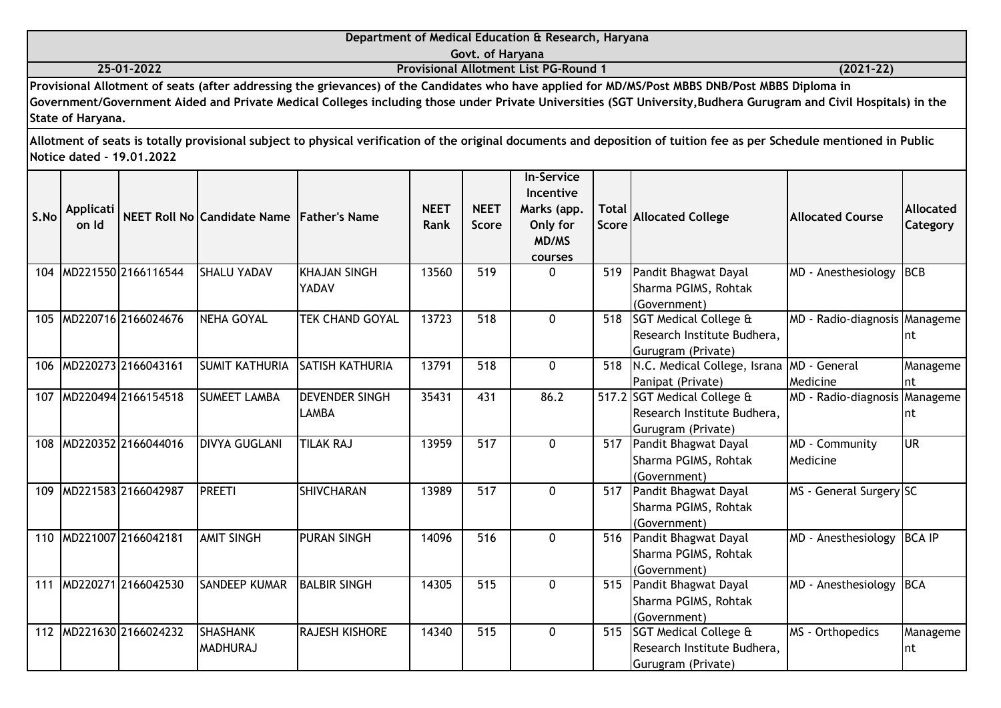|                   | Department of Medical Education & Research, Haryana                                                                                                               |             |
|-------------------|-------------------------------------------------------------------------------------------------------------------------------------------------------------------|-------------|
|                   | Govt. of Haryana                                                                                                                                                  |             |
| 25-01-2022        | <b>Provisional Allotment List PG-Round 1</b>                                                                                                                      | $(2021-22)$ |
|                   | Provisional Allotment of seats (after addressing the grievances) of the Candidates who have applied for MD/MS/Post MBBS DNB/Post MBBS Diploma in                  |             |
|                   | Government/Government Aided and Private Medical Colleges including those under Private Universities (SGT University, Budhera Gurugram and Civil Hospitals) in the |             |
| State of Haryana. |                                                                                                                                                                   |             |

| S.No | <b>Applicati</b><br>on Id |                         | NEET Roll No Candidate Name Father's Name |                                       | <b>NEET</b><br>Rank | <b>NEET</b><br><b>Score</b> | <b>In-Service</b><br>Incentive<br>Marks (app.<br>Only for<br>MD/MS<br>courses | <b>Total</b><br><b>Score</b> | <b>Allocated College</b>                                                              | <b>Allocated Course</b>             | Allocated<br><b>Category</b> |
|------|---------------------------|-------------------------|-------------------------------------------|---------------------------------------|---------------------|-----------------------------|-------------------------------------------------------------------------------|------------------------------|---------------------------------------------------------------------------------------|-------------------------------------|------------------------------|
| 104  |                           | MD221550 2166116544     | <b>SHALU YADAV</b>                        | KHAJAN SINGH<br>YADAV                 | 13560               | 519                         | $\Omega$                                                                      | 519                          | Pandit Bhagwat Dayal<br>Sharma PGIMS, Rohtak<br>(Government)                          | MD - Anesthesiology                 | BCB                          |
| 105  |                           | MD220716 2166024676     | <b>NEHA GOYAL</b>                         | <b>TEK CHAND GOYAL</b>                | 13723               | 518                         | $\mathbf{0}$                                                                  | 518                          | <b>SGT Medical College &amp;</b><br>Research Institute Budhera,<br>Gurugram (Private) | MD - Radio-diagnosis Manageme       | Int                          |
| 106  |                           | MD220273 2166043161     | <b>SUMIT KATHURIA</b>                     | <b>SATISH KATHURIA</b>                | 13791               | 518                         | 0                                                                             | 518                          | N.C. Medical College, Israna MD - General<br>Panipat (Private)                        | Medicine                            | Manageme<br>Int              |
| 107  |                           | MD220494 2166154518     | <b>SUMEET LAMBA</b>                       | <b>DEVENDER SINGH</b><br><b>LAMBA</b> | 35431               | 431                         | 86.2                                                                          |                              | 517.2 SGT Medical College &<br>Research Institute Budhera,<br>Gurugram (Private)      | MD - Radio-diagnosis Manageme       | Int                          |
| 108  |                           | MD220352 2166044016     | <b>DIVYA GUGLANI</b>                      | <b>TILAK RAJ</b>                      | 13959               | 517                         | $\Omega$                                                                      | 517                          | Pandit Bhagwat Dayal<br>Sharma PGIMS, Rohtak<br>(Government)                          | MD - Community<br><b>I</b> Medicine | lur                          |
| 109  |                           | MD221583 2166042987     | <b>PREETI</b>                             | <b>SHIVCHARAN</b>                     | 13989               | 517                         | 0                                                                             | 517                          | Pandit Bhagwat Dayal<br>Sharma PGIMS, Rohtak<br>(Government)                          | MS - General Surgery SC             |                              |
| 110  |                           | MD221007 2166042181     | <b>AMIT SINGH</b>                         | <b>PURAN SINGH</b>                    | 14096               | 516                         | $\Omega$                                                                      | 516                          | Pandit Bhagwat Dayal<br>Sharma PGIMS, Rohtak<br>(Government)                          | MD - Anesthesiology                 | <b>BCA IP</b>                |
| 111  |                           | MD220271 2166042530     | <b>SANDEEP KUMAR</b>                      | <b>BALBIR SINGH</b>                   | 14305               | 515                         | $\mathbf{0}$                                                                  |                              | 515 Pandit Bhagwat Dayal<br>Sharma PGIMS, Rohtak<br>(Government)                      | MD - Anesthesiology                 | <b>BCA</b>                   |
|      |                           | 112 MD221630 2166024232 | <b>SHASHANK</b><br><b>MADHURAJ</b>        | <b>RAJESH KISHORE</b>                 | 14340               | 515                         | $\Omega$                                                                      |                              | 515 SGT Medical College &<br>Research Institute Budhera,<br>Gurugram (Private)        | MS - Orthopedics                    | Manageme<br>Int              |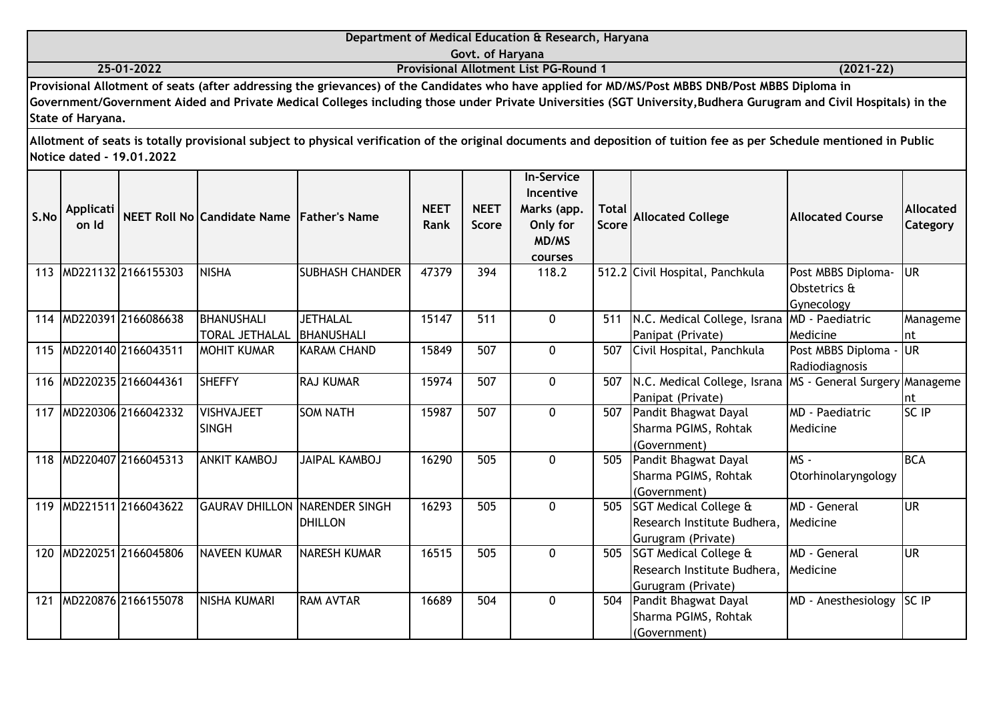|                           | Department of Medical Education & Research, Haryana                                                                                                                                                                                                                                                                   |               |
|---------------------------|-----------------------------------------------------------------------------------------------------------------------------------------------------------------------------------------------------------------------------------------------------------------------------------------------------------------------|---------------|
|                           | Govt. of Haryana                                                                                                                                                                                                                                                                                                      |               |
| 25-01-2022                | <b>Provisional Allotment List PG-Round 1</b>                                                                                                                                                                                                                                                                          | $(2021 - 22)$ |
| State of Haryana.         | Provisional Allotment of seats (after addressing the grievances) of the Candidates who have applied for MD/MS/Post MBBS DNB/Post MBBS Diploma in<br>Government/Government Aided and Private Medical Colleges including those under Private Universities (SGT University, Budhera Gurugram and Civil Hospitals) in the |               |
| Notice dated - 19.01.2022 | Allotment of seats is totally provisional subject to physical verification of the original documents and deposition of tuition fee as per Schedule mentioned in Public                                                                                                                                                |               |

| S.No | Applicati<br>on Id |                     | NEET Roll No Candidate Name Father's Name |                        | <b>NEET</b><br>Rank | <b>NEET</b><br><b>Score</b> | <b>In-Service</b><br>Incentive<br>Marks (app.<br>Only for<br><b>MD/MS</b> | <b>Total</b><br><b>Score</b> | <b>Allocated College</b>                                   | <b>Allocated Course</b> | <b>Allocated</b><br><b>Category</b> |
|------|--------------------|---------------------|-------------------------------------------|------------------------|---------------------|-----------------------------|---------------------------------------------------------------------------|------------------------------|------------------------------------------------------------|-------------------------|-------------------------------------|
|      |                    |                     |                                           |                        |                     |                             | courses                                                                   |                              |                                                            |                         |                                     |
| 113  |                    | MD221132 2166155303 | <b>NISHA</b>                              | <b>SUBHASH CHANDER</b> | 47379               | 394                         | 118.2                                                                     |                              | 512.2 Civil Hospital, Panchkula                            | Post MBBS Diploma-      | <b>JUR</b>                          |
|      |                    |                     |                                           |                        |                     |                             |                                                                           |                              |                                                            | Obstetrics &            |                                     |
|      |                    |                     |                                           |                        |                     |                             |                                                                           |                              |                                                            | Gynecology              |                                     |
| 114  |                    | MD220391 2166086638 | <b>BHANUSHALI</b>                         | <b>JETHALAL</b>        | 15147               | 511                         | $\Omega$                                                                  | 511                          | N.C. Medical College, Israna                               | MD - Paediatric         | Manageme                            |
|      |                    |                     | <b>TORAL JETHALAL</b>                     | BHANUSHALI             |                     |                             |                                                                           |                              | Panipat (Private)                                          | Medicine                | Int                                 |
| 115  |                    | MD220140 2166043511 | <b>MOHIT KUMAR</b>                        | <b>KARAM CHAND</b>     | 15849               | 507                         | $\mathbf 0$                                                               | 507                          | Civil Hospital, Panchkula                                  | Post MBBS Diploma -     | lur                                 |
|      |                    |                     |                                           |                        |                     |                             |                                                                           |                              |                                                            | Radiodiagnosis          |                                     |
| 116  |                    | MD220235 2166044361 | <b>SHEFFY</b>                             | <b>RAJ KUMAR</b>       | 15974               | 507                         | 0                                                                         | 507                          | N.C. Medical College, Israna MS - General Surgery Manageme |                         |                                     |
|      |                    |                     |                                           |                        |                     |                             |                                                                           |                              | Panipat (Private)                                          |                         | Int                                 |
| 117  |                    | MD220306 2166042332 | <b>VISHVAJEET</b>                         | <b>SOM NATH</b>        | 15987               | 507                         | $\Omega$                                                                  | 507                          | Pandit Bhagwat Dayal                                       | MD - Paediatric         | SC IP                               |
|      |                    |                     | <b>SINGH</b>                              |                        |                     |                             |                                                                           |                              | Sharma PGIMS, Rohtak                                       | <b>Medicine</b>         |                                     |
|      |                    |                     |                                           |                        |                     |                             |                                                                           |                              | (Government)                                               |                         |                                     |
| 118  |                    | MD220407 2166045313 | <b>ANKIT KAMBOJ</b>                       | <b>JAIPAL KAMBOJ</b>   | 16290               | 505                         | 0                                                                         | 505                          | Pandit Bhagwat Dayal                                       | $MS -$                  | <b>BCA</b>                          |
|      |                    |                     |                                           |                        |                     |                             |                                                                           |                              | Sharma PGIMS, Rohtak                                       | Otorhinolaryngology     |                                     |
|      |                    |                     |                                           |                        |                     |                             |                                                                           |                              | (Government)                                               |                         |                                     |
| 119  |                    | MD221511 2166043622 | <b>GAURAV DHILLON INARENDER SINGH</b>     |                        | 16293               | 505                         | $\Omega$                                                                  |                              | 505 SGT Medical College &                                  | MD - General            | lur                                 |
|      |                    |                     |                                           | <b>DHILLON</b>         |                     |                             |                                                                           |                              | Research Institute Budhera,                                | <b>I</b> Medicine       |                                     |
|      |                    |                     |                                           |                        |                     |                             |                                                                           |                              | Gurugram (Private)                                         |                         |                                     |
| 120  |                    | MD220251 2166045806 | <b>NAVEEN KUMAR</b>                       | <b>NARESH KUMAR</b>    | 16515               | 505                         | $\Omega$                                                                  | 505                          | <b>SGT Medical College &amp;</b>                           | MD - General            | lur                                 |
|      |                    |                     |                                           |                        |                     |                             |                                                                           |                              | Research Institute Budhera,                                | Medicine                |                                     |
|      |                    |                     |                                           |                        |                     |                             |                                                                           |                              | Gurugram (Private)                                         |                         |                                     |
| 121  |                    | MD220876 2166155078 | <b>NISHA KUMARI</b>                       | <b>RAM AVTAR</b>       | 16689               | 504                         | $\Omega$                                                                  | 504                          | Pandit Bhagwat Dayal                                       | MD - Anesthesiology     | <b>SC IP</b>                        |
|      |                    |                     |                                           |                        |                     |                             |                                                                           |                              | Sharma PGIMS, Rohtak                                       |                         |                                     |
|      |                    |                     |                                           |                        |                     |                             |                                                                           |                              | (Government)                                               |                         |                                     |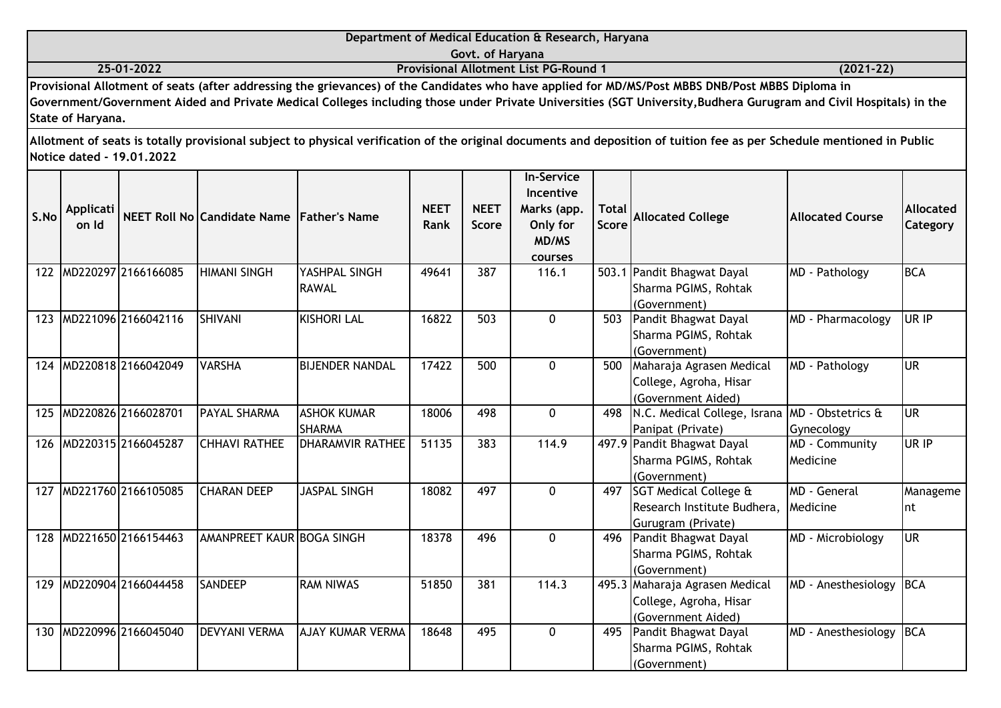|                   | Department of Medical Education & Research, Haryana                                                                                                               |             |
|-------------------|-------------------------------------------------------------------------------------------------------------------------------------------------------------------|-------------|
|                   | Govt. of Haryana                                                                                                                                                  |             |
| 25-01-2022        | <b>Provisional Allotment List PG-Round 1</b>                                                                                                                      | $(2021-22)$ |
|                   | Provisional Allotment of seats (after addressing the grievances) of the Candidates who have applied for MD/MS/Post MBBS DNB/Post MBBS Diploma in                  |             |
|                   | Government/Government Aided and Private Medical Colleges including those under Private Universities (SGT University, Budhera Gurugram and Civil Hospitals) in the |             |
| State of Haryana. |                                                                                                                                                                   |             |

| S.No | <b>Applicati</b><br>on Id |                         | NEET Roll No Candidate Name Father's Name |                                     | <b>NEET</b><br>Rank | <b>NEET</b><br><b>Score</b> | <b>In-Service</b><br>Incentive<br>Marks (app.<br>Only for<br>MD/MS<br>courses | <b>Total</b><br>Score | <b>Allocated College</b>                                                       | <b>Allocated Course</b>    | <b>Allocated</b><br>Category |
|------|---------------------------|-------------------------|-------------------------------------------|-------------------------------------|---------------------|-----------------------------|-------------------------------------------------------------------------------|-----------------------|--------------------------------------------------------------------------------|----------------------------|------------------------------|
|      |                           | 122 MD220297 2166166085 | <b>HIMANI SINGH</b>                       | YASHPAL SINGH<br><b>RAWAL</b>       | 49641               | 387                         | 116.1                                                                         |                       | 503.1 Pandit Bhagwat Dayal<br>Sharma PGIMS, Rohtak<br>(Government)             | MD - Pathology             | <b>BCA</b>                   |
| 123  |                           | MD221096 2166042116     | <b>SHIVANI</b>                            | <b>KISHORI LAL</b>                  | 16822               | 503                         | $\mathbf{0}$                                                                  | 503                   | Pandit Bhagwat Dayal<br>Sharma PGIMS, Rohtak<br>(Government)                   | MD - Pharmacology          | UR IP                        |
|      |                           | 124 MD220818 2166042049 | <b>VARSHA</b>                             | <b>BIJENDER NANDAL</b>              | 17422               | 500                         | $\mathbf{0}$                                                                  | 500                   | Maharaja Agrasen Medical<br>College, Agroha, Hisar<br>(Government Aided)       | MD - Pathology             | lur                          |
| 125  |                           | MD220826 2166028701     | <b>PAYAL SHARMA</b>                       | <b>ASHOK KUMAR</b><br><b>SHARMA</b> | 18006               | 498                         | $\mathbf 0$                                                                   | 498                   | N.C. Medical College, Israna MD - Obstetrics &<br>Panipat (Private)            | Gynecology                 | <b>UR</b>                    |
| 126  |                           | MD220315 2166045287     | <b>CHHAVI RATHEE</b>                      | <b>DHARAMVIR RATHEE</b>             | 51135               | 383                         | 114.9                                                                         |                       | 497.9 Pandit Bhagwat Dayal<br>Sharma PGIMS, Rohtak<br>(Government)             | MD - Community<br>Medicine | UR IP                        |
| 127  |                           | MD221760 2166105085     | <b>CHARAN DEEP</b>                        | <b>JASPAL SINGH</b>                 | 18082               | 497                         | 0                                                                             | 497                   | SGT Medical College &<br>Research Institute Budhera,<br>Gurugram (Private)     | MD - General<br>Medicine   | Manageme<br>Int              |
| 128  |                           | MD221650 2166154463     | AMANPREET KAUR BOGA SINGH                 |                                     | 18378               | 496                         | $\mathbf{0}$                                                                  | 496                   | Pandit Bhagwat Dayal<br>Sharma PGIMS, Rohtak<br>(Government)                   | MD - Microbiology          | lur                          |
| 129  |                           | MD220904 2166044458     | <b>SANDEEP</b>                            | <b>RAM NIWAS</b>                    | 51850               | 381                         | 114.3                                                                         |                       | 495.3 Maharaja Agrasen Medical<br>College, Agroha, Hisar<br>(Government Aided) | MD - Anesthesiology        | <b>BCA</b>                   |
|      |                           | 130 MD220996 2166045040 | <b>DEVYANI VERMA</b>                      | <b>AJAY KUMAR VERMA</b>             | 18648               | 495                         | $\Omega$                                                                      | 495                   | Pandit Bhagwat Dayal<br>Sharma PGIMS, Rohtak<br>(Government)                   | MD - Anesthesiology        | <b>BCA</b>                   |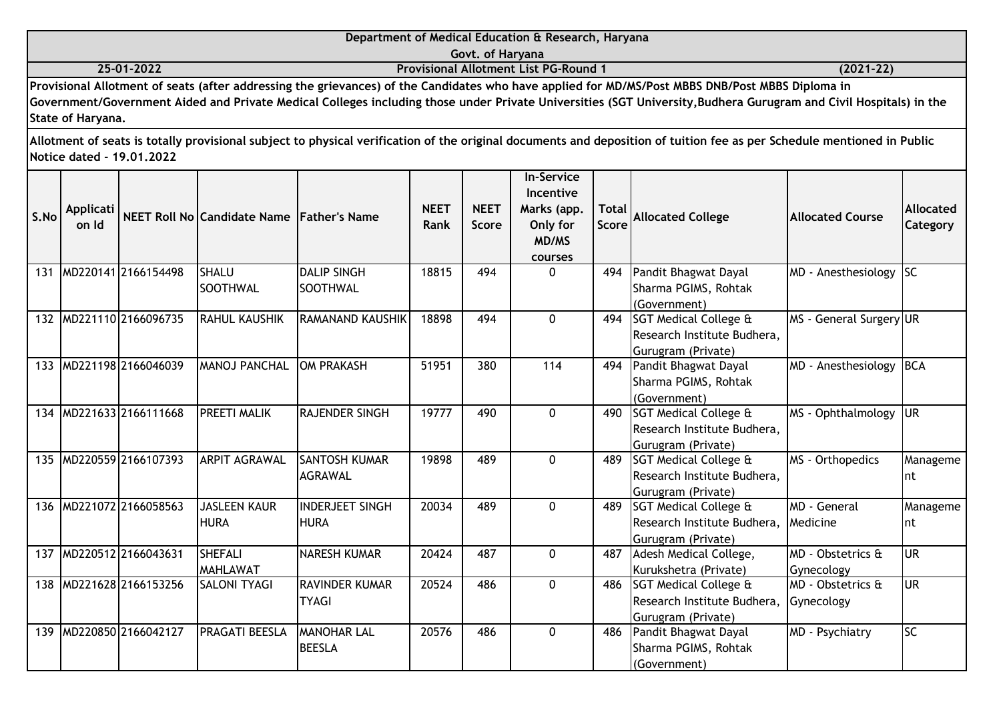|                   | Department of Medical Education & Research, Haryana                                                                                                               |               |  |  |  |  |  |  |  |  |
|-------------------|-------------------------------------------------------------------------------------------------------------------------------------------------------------------|---------------|--|--|--|--|--|--|--|--|
|                   | Govt. of Haryana                                                                                                                                                  |               |  |  |  |  |  |  |  |  |
| 25-01-2022        | <b>Provisional Allotment List PG-Round 1</b>                                                                                                                      | $(2021 - 22)$ |  |  |  |  |  |  |  |  |
|                   | Provisional Allotment of seats (after addressing the grievances) of the Candidates who have applied for MD/MS/Post MBBS DNB/Post MBBS Diploma in                  |               |  |  |  |  |  |  |  |  |
|                   | Government/Government Aided and Private Medical Colleges including those under Private Universities (SGT University, Budhera Gurugram and Civil Hospitals) in the |               |  |  |  |  |  |  |  |  |
| State of Haryana. |                                                                                                                                                                   |               |  |  |  |  |  |  |  |  |
|                   |                                                                                                                                                                   |               |  |  |  |  |  |  |  |  |

| S.No | Applicati<br>on Id |                         | NEET Roll No Candidate Name Father's Name |                                         | <b>NEET</b><br>Rank | <b>NEET</b><br><b>Score</b> | <b>In-Service</b><br>Incentive<br>Marks (app.<br>Only for<br>MD/MS<br>courses | <b>Total</b><br>Score | <b>Allocated College</b>                                                              | <b>Allocated Course</b>                     | Allocated<br>Category |
|------|--------------------|-------------------------|-------------------------------------------|-----------------------------------------|---------------------|-----------------------------|-------------------------------------------------------------------------------|-----------------------|---------------------------------------------------------------------------------------|---------------------------------------------|-----------------------|
| 131  |                    | MD220141 2166154498     | <b>SHALU</b><br><b>SOOTHWAL</b>           | <b>DALIP SINGH</b><br><b>I</b> SOOTHWAL | 18815               | 494                         | 0                                                                             | 494                   | Pandit Bhagwat Dayal<br>Sharma PGIMS, Rohtak<br>(Government)                          | MD - Anesthesiology SC                      |                       |
|      |                    | 132 MD221110 2166096735 | <b>RAHUL KAUSHIK</b>                      | RAMANAND KAUSHIK                        | 18898               | 494                         | $\mathbf{0}$                                                                  | 494                   | <b>SGT Medical College &amp;</b><br>Research Institute Budhera,<br>Gurugram (Private) | MS - General Surgery UR                     |                       |
|      |                    | 133 MD221198 2166046039 | <b>MANOJ PANCHAL</b>                      | <b>OM PRAKASH</b>                       | 51951               | 380                         | 114                                                                           | 494                   | Pandit Bhagwat Dayal<br>Sharma PGIMS, Rohtak<br>(Government)                          | MD - Anesthesiology                         | <b>BCA</b>            |
|      |                    | 134 MD221633 2166111668 | <b>PREETI MALIK</b>                       | <b>RAJENDER SINGH</b>                   | 19777               | 490                         | $\mathbf{0}$                                                                  | 490                   | <b>SGT Medical College &amp;</b><br>Research Institute Budhera,<br>Gurugram (Private) | MS - Ophthalmology                          | <b>JUR</b>            |
|      |                    | 135 MD220559 2166107393 | <b>ARPIT AGRAWAL</b>                      | <b>SANTOSH KUMAR</b><br><b>AGRAWAL</b>  | 19898               | 489                         | 0                                                                             | 489                   | <b>SGT Medical College &amp;</b><br>Research Institute Budhera,<br>Gurugram (Private) | MS - Orthopedics                            | Manageme<br>Int       |
|      |                    | 136 MD221072 2166058563 | <b>JASLEEN KAUR</b><br><b>HURA</b>        | <b>INDERJEET SINGH</b><br><b>HURA</b>   | 20034               | 489                         | $\mathbf{0}$                                                                  | 489                   | <b>SGT Medical College &amp;</b><br>Research Institute Budhera,<br>Gurugram (Private) | MD - General<br>Medicine                    | Manageme<br>Int       |
| 137  |                    | MD220512 2166043631     | <b>SHEFALI</b><br><b>MAHLAWAT</b>         | NARESH KUMAR                            | 20424               | 487                         | 0                                                                             | 487                   | Adesh Medical College,<br>Kurukshetra (Private)                                       | MD - Obstetrics &<br>Gynecology             | <b>UR</b>             |
|      |                    | 138 MD221628 2166153256 | <b>SALONI TYAGI</b>                       | <b>RAVINDER KUMAR</b><br><b>TYAGI</b>   | 20524               | 486                         | $\mathbf{0}$                                                                  | 486                   | SGT Medical College &<br>Research Institute Budhera,<br>Gurugram (Private)            | <b>IMD - Obstetrics &amp;</b><br>Gynecology | <b>UR</b>             |
| 139  |                    | MD220850 2166042127     | PRAGATI BEESLA                            | <b>MANOHAR LAL</b><br><b>BEESLA</b>     | 20576               | 486                         | $\Omega$                                                                      | 486                   | Pandit Bhagwat Dayal<br>Sharma PGIMS, Rohtak<br>(Government)                          | MD - Psychiatry                             | lsc                   |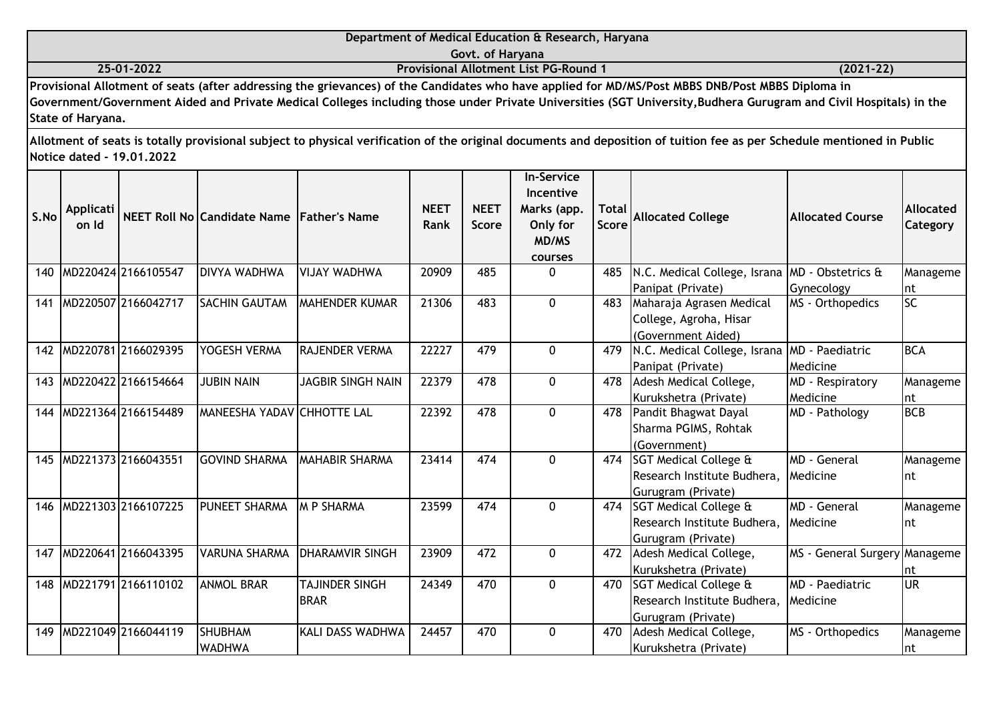|      |                    |                           |                                           |               |                     |                      | Department of Medical Education & Research, Haryana                                         |                              |                                                                                                                                                                                                                                                                                                                      |                  |                                     |
|------|--------------------|---------------------------|-------------------------------------------|---------------|---------------------|----------------------|---------------------------------------------------------------------------------------------|------------------------------|----------------------------------------------------------------------------------------------------------------------------------------------------------------------------------------------------------------------------------------------------------------------------------------------------------------------|------------------|-------------------------------------|
|      |                    |                           |                                           |               |                     | Govt. of Haryana     |                                                                                             |                              |                                                                                                                                                                                                                                                                                                                      |                  |                                     |
|      |                    | 25-01-2022                |                                           |               |                     |                      | <b>Provisional Allotment List PG-Round 1</b>                                                |                              |                                                                                                                                                                                                                                                                                                                      | $(2021 - 22)$    |                                     |
|      | State of Haryana.  |                           |                                           |               |                     |                      |                                                                                             |                              | Provisional Allotment of seats (after addressing the grievances) of the Candidates who have applied for MD/MS/Post MBBS DNB/Post MBBS Diploma in<br>Government/Government Aided and Private Medical Colleges including those under Private Universities (SGT University,Budhera Gurugram and Civil Hospitals) in the |                  |                                     |
|      |                    | Notice dated - 19.01.2022 |                                           |               |                     |                      |                                                                                             |                              | Allotment of seats is totally provisional subject to physical verification of the original documents and deposition of tuition fee as per Schedule mentioned in Public                                                                                                                                               |                  |                                     |
| S.No | Applicati<br>on Id |                           | NEET Roll No Candidate Name Father's Name |               | <b>NEET</b><br>Rank | <b>NEET</b><br>Score | <b>In-Service</b><br><b>Incentive</b><br>Marks (app.<br>Only for<br>MD/MS<br><b>courses</b> | <b>Total</b><br><b>Score</b> | <b>Allocated College</b>                                                                                                                                                                                                                                                                                             | Allocated Course | <b>Allocated</b><br><b>Category</b> |
|      |                    | 140 MD220424 2166105547   | <b>DIVYA WADHWA</b>                       | IVIJAY WADHWA | 20909               | 485                  | $\mathbf{0}$                                                                                | 485                          | N.C. Medical College, Israna  MD - Obstetrics &                                                                                                                                                                                                                                                                      |                  | Manageme                            |

| S.No | Applicati<br>on Id |                     | NEET Roll No Candidate Name Father's Name |                          | <b>NEET</b><br>Rank | <b>NEET</b><br><b>Score</b> | Incentive<br>Marks (app.<br>Only for<br>MD/MS<br>courses | <b>Total</b><br><b>Score</b> | <b>Allocated College</b>         | <b>Allocated Course</b>       | <b>Allocated</b><br>Category |
|------|--------------------|---------------------|-------------------------------------------|--------------------------|---------------------|-----------------------------|----------------------------------------------------------|------------------------------|----------------------------------|-------------------------------|------------------------------|
| 140  |                    | MD220424 2166105547 | <b>DIVYA WADHWA</b>                       | VIJAY WADHWA             | 20909               | 485                         | $\Omega$                                                 | 485                          | N.C. Medical College, Israna     | MD - Obstetrics &             | Manageme                     |
|      |                    |                     |                                           |                          |                     |                             |                                                          |                              | Panipat (Private)                | Gynecology                    | Int                          |
| 141  |                    | MD220507 2166042717 | <b>SACHIN GAUTAM</b>                      | <b>IMAHENDER KUMAR</b>   | 21306               | 483                         | $\mathbf 0$                                              | 483                          | Maharaja Agrasen Medical         | MS - Orthopedics              | SC                           |
|      |                    |                     |                                           |                          |                     |                             |                                                          |                              | College, Agroha, Hisar           |                               |                              |
|      |                    |                     |                                           |                          |                     |                             |                                                          |                              | (Government Aided)               |                               |                              |
| 142  |                    | MD220781 2166029395 | YOGESH VERMA                              | <b>RAJENDER VERMA</b>    | 22227               | 479                         | 0                                                        | 479                          | N.C. Medical College, Israna     | <b>MD</b> - Paediatric        | <b>BCA</b>                   |
|      |                    |                     |                                           |                          |                     |                             |                                                          |                              | Panipat (Private)                | Medicine                      |                              |
| 143  |                    | MD220422 2166154664 | <b>JUBIN NAIN</b>                         | <b>JAGBIR SINGH NAIN</b> | 22379               | 478                         | 0                                                        | 478                          | Adesh Medical College,           | MD - Respiratory              | Manageme                     |
|      |                    |                     |                                           |                          |                     |                             |                                                          |                              | Kurukshetra (Private)            | Medicine                      | Int                          |
| 144  |                    | MD221364 2166154489 | <b>MANEESHA YADAV CHHOTTE LAL</b>         |                          | 22392               | 478                         | $\mathbf{0}$                                             | 478                          | Pandit Bhagwat Dayal             | MD - Pathology                | BCB                          |
|      |                    |                     |                                           |                          |                     |                             |                                                          |                              | Sharma PGIMS, Rohtak             |                               |                              |
|      |                    |                     |                                           |                          |                     |                             |                                                          |                              | (Government)                     |                               |                              |
| 145  |                    | MD221373 2166043551 | <b>GOVIND SHARMA</b>                      | <b>MAHABIR SHARMA</b>    | 23414               | 474                         | $\Omega$                                                 | 474                          | <b>SGT Medical College &amp;</b> | MD - General                  | Manageme                     |
|      |                    |                     |                                           |                          |                     |                             |                                                          |                              | Research Institute Budhera,      | Medicine                      | Int                          |
|      |                    |                     |                                           |                          |                     |                             |                                                          |                              | Gurugram (Private)               |                               |                              |
| 146  |                    | MD221303 2166107225 | <b>PUNEET SHARMA</b>                      | <b>M P SHARMA</b>        | 23599               | 474                         | $\mathbf{0}$                                             | 474                          | <b>SGT Medical College &amp;</b> | MD - General                  | Manageme                     |
|      |                    |                     |                                           |                          |                     |                             |                                                          |                              | Research Institute Budhera,      | Medicine                      | Int                          |
|      |                    |                     |                                           |                          |                     |                             |                                                          |                              | Gurugram (Private)               |                               |                              |
| 147  |                    | MD220641 2166043395 | VARUNA SHARMA                             | <b>DHARAMVIR SINGH</b>   | 23909               | 472                         | $\mathbf 0$                                              | 472                          | Adesh Medical College,           | MS - General Surgery Manageme |                              |
|      |                    |                     |                                           |                          |                     |                             |                                                          |                              | Kurukshetra (Private)            |                               | nt                           |
| 148  |                    | MD221791 2166110102 | <b>ANMOL BRAR</b>                         | <b>TAJINDER SINGH</b>    | 24349               | 470                         | 0                                                        | 470                          | <b>SGT Medical College &amp;</b> | <b>MD</b> - Paediatric        | <b>UR</b>                    |
|      |                    |                     |                                           | <b>BRAR</b>              |                     |                             |                                                          |                              | Research Institute Budhera,      | Medicine                      |                              |
|      |                    |                     |                                           |                          |                     |                             |                                                          |                              | Gurugram (Private)               |                               |                              |
| 149  |                    | MD221049 2166044119 | <b>SHUBHAM</b>                            | <b>KALI DASS WADHWA</b>  | 24457               | 470                         | $\mathbf 0$                                              | 470                          | Adesh Medical College,           | MS - Orthopedics              | Manageme                     |
|      |                    |                     | <b>WADHWA</b>                             |                          |                     |                             |                                                          |                              | Kurukshetra (Private)            |                               | Int                          |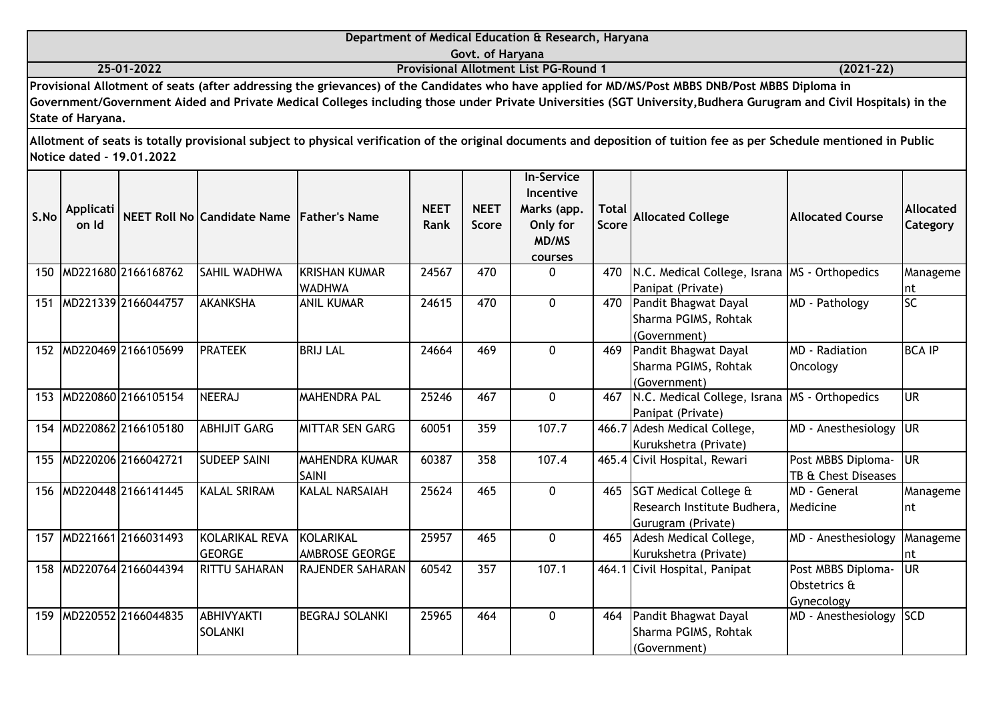|      |                   |                                                                                                                                                                                                                                                                                                                                                                                       |                                           |                   |             |                          | Department of Medical Education & Research, Haryana |                     |                                                                                                                                                                        |                         |                  |
|------|-------------------|---------------------------------------------------------------------------------------------------------------------------------------------------------------------------------------------------------------------------------------------------------------------------------------------------------------------------------------------------------------------------------------|-------------------------------------------|-------------------|-------------|--------------------------|-----------------------------------------------------|---------------------|------------------------------------------------------------------------------------------------------------------------------------------------------------------------|-------------------------|------------------|
|      |                   |                                                                                                                                                                                                                                                                                                                                                                                       |                                           |                   |             | Govt. of Haryana         |                                                     |                     |                                                                                                                                                                        |                         |                  |
|      |                   | 25-01-2022                                                                                                                                                                                                                                                                                                                                                                            |                                           |                   |             |                          | <b>Provisional Allotment List PG-Round 1</b>        |                     |                                                                                                                                                                        | $(2021 - 22)$           |                  |
|      |                   |                                                                                                                                                                                                                                                                                                                                                                                       |                                           |                   |             |                          |                                                     |                     | Provisional Allotment of seats (after addressing the grievances) of the Candidates who have applied for MD/MS/Post MBBS DNB/Post MBBS Diploma in                       |                         |                  |
|      |                   |                                                                                                                                                                                                                                                                                                                                                                                       |                                           |                   |             |                          |                                                     |                     | Government/Government Aided and Private Medical Colleges including those under Private Universities (SGT University, Budhera Gurugram and Civil Hospitals) in the      |                         |                  |
|      | State of Haryana. |                                                                                                                                                                                                                                                                                                                                                                                       |                                           |                   |             |                          |                                                     |                     |                                                                                                                                                                        |                         |                  |
|      |                   |                                                                                                                                                                                                                                                                                                                                                                                       |                                           |                   |             |                          |                                                     |                     |                                                                                                                                                                        |                         |                  |
|      |                   |                                                                                                                                                                                                                                                                                                                                                                                       |                                           |                   |             |                          |                                                     |                     | Allotment of seats is totally provisional subject to physical verification of the original documents and deposition of tuition fee as per Schedule mentioned in Public |                         |                  |
|      |                   | <b>Notice dated - 19.01.2022</b>                                                                                                                                                                                                                                                                                                                                                      |                                           |                   |             |                          |                                                     |                     |                                                                                                                                                                        |                         |                  |
|      |                   |                                                                                                                                                                                                                                                                                                                                                                                       |                                           |                   |             |                          | <b>In-Service</b>                                   |                     |                                                                                                                                                                        |                         |                  |
|      |                   |                                                                                                                                                                                                                                                                                                                                                                                       |                                           |                   |             |                          | <b>Incentive</b>                                    |                     |                                                                                                                                                                        |                         |                  |
|      | Applicati         |                                                                                                                                                                                                                                                                                                                                                                                       |                                           |                   | <b>NEET</b> | <b>NEET</b>              | Marks (app.                                         | $\sf Total$ $\sf I$ |                                                                                                                                                                        |                         | <b>Allocated</b> |
| S.No | on Id             |                                                                                                                                                                                                                                                                                                                                                                                       | NEET Roll No Candidate Name Father's Name |                   | <b>Rank</b> | <b>Score</b>             | Only for                                            | Score               | <b>Allocated College</b>                                                                                                                                               | <b>Allocated Course</b> | <b>Category</b>  |
|      |                   |                                                                                                                                                                                                                                                                                                                                                                                       |                                           |                   |             |                          | MD/MS                                               |                     |                                                                                                                                                                        |                         |                  |
|      |                   |                                                                                                                                                                                                                                                                                                                                                                                       |                                           |                   |             |                          | courses                                             |                     |                                                                                                                                                                        |                         |                  |
|      |                   | 150 MD221680 2166168762                                                                                                                                                                                                                                                                                                                                                               | <b>SAHIL WADHWA</b>                       | KRISHAN KUMAR     | 24567       | 470                      | 0                                                   | 470                 | N.C. Medical College, Israna MS - Orthopedics                                                                                                                          |                         | Manageme         |
|      |                   |                                                                                                                                                                                                                                                                                                                                                                                       |                                           | <b>WADHWA</b>     |             |                          |                                                     |                     | Panipat (Private)                                                                                                                                                      |                         | Int              |
| 151  |                   | MD221339 2166044757                                                                                                                                                                                                                                                                                                                                                                   | <b>AKANKSHA</b>                           | <b>ANIL KUMAR</b> | 24615       | 470                      | $\Omega$                                            | 470                 | Pandit Bhagwat Dayal                                                                                                                                                   | MD - Pathology          | <b>SC</b>        |
|      |                   |                                                                                                                                                                                                                                                                                                                                                                                       |                                           |                   |             |                          |                                                     |                     | Sharma PGIMS, Rohtak                                                                                                                                                   |                         |                  |
|      |                   |                                                                                                                                                                                                                                                                                                                                                                                       |                                           |                   |             |                          |                                                     |                     | (Government)                                                                                                                                                           |                         |                  |
|      |                   | $\overline{a}$ , $\overline{b}$ , $\overline{a}$ , $\overline{b}$ , $\overline{c}$ , $\overline{a}$ , $\overline{c}$ , $\overline{c}$ , $\overline{c}$ , $\overline{c}$ , $\overline{c}$ , $\overline{c}$ , $\overline{c}$ , $\overline{c}$ , $\overline{c}$ , $\overline{c}$ , $\overline{c}$ , $\overline{c}$ , $\overline{c}$ , $\overline{c}$ , $\overline{c}$ , $\overline{c}$ , |                                           | <b>BBILILI</b>    | . 1         | $\overline{\phantom{a}}$ |                                                     |                     |                                                                                                                                                                        | $\cdots$                | .                |

| ו כו | 1MUZZ13391Z100U <del>44</del> 737 | <b>IANAIYNJNA</b>    | IANIL NUMAR              | <b>4013</b> | 47 U |              | 47 U  | <b>Pandit Dhagwat Dayat</b><br>Sharma PGIMS, Rohtak                | <b>MD - PALIJOLOGY</b>                    | JC I          |
|------|-----------------------------------|----------------------|--------------------------|-------------|------|--------------|-------|--------------------------------------------------------------------|-------------------------------------------|---------------|
|      | 152 MD220469 2166105699           | <b>PRATEEK</b>       | <b>BRIJ LAL</b>          | 24664       | 469  | 0            | 469   | (Government)<br>Pandit Bhagwat Dayal<br>Sharma PGIMS, Rohtak       | <b>MD</b> - Radiation<br>Oncology         | <b>BCA IP</b> |
|      |                                   |                      |                          |             |      |              |       | (Government)                                                       |                                           |               |
|      | 153 MD220860 2166105154           | <b>NEERAJ</b>        | <b>MAHENDRA PAL</b>      | 25246       | 467  | 0            | 467   | N.C. Medical College, Israna MS - Orthopedics<br>Panipat (Private) |                                           | <b>UR</b>     |
|      | 154 MD220862 2166105180           | <b>ABHIJIT GARG</b>  | MITTAR SEN GARG          | 60051       | 359  | 107.7        |       | 466.7 Adesh Medical College,<br>Kurukshetra (Private)              | MD - Anesthesiology UR                    |               |
|      | 155 MD220206 2166042721           | <b>SUDEEP SAINI</b>  | MAHENDRA KUMAR<br>ISAINI | 60387       | 358  | 107.4        |       | 465.4 Civil Hospital, Rewari                                       | Post MBBS Diploma-<br>TB & Chest Diseases | <b>UR</b>     |
| 156  | MD220448 2166141445               | <b>KALAL SRIRAM</b>  | <b>KALAL NARSAIAH</b>    | 25624       | 465  | $\Omega$     | 465   | <b>SGT Medical College &amp;</b>                                   | MD - General                              | Manageme      |
|      |                                   |                      |                          |             |      |              |       | Research Institute Budhera,<br>Gurugram (Private)                  | Medicine                                  | Int           |
| 157  | MD221661 2166031493               | KOLARIKAL REVA       | KOLARIKAL                | 25957       | 465  | $\Omega$     | 465   | Adesh Medical College,                                             | MD - Anesthesiology                       | Manageme      |
|      |                                   | <b>GEORGE</b>        | <b>AMBROSE GEORGE</b>    |             |      |              |       | Kurukshetra (Private)                                              |                                           | Int           |
|      | 158 MD220764 2166044394           | <b>RITTU SAHARAN</b> | <b>RAJENDER SAHARAN</b>  | 60542       | 357  | 107.1        | 464.1 | Civil Hospital, Panipat                                            | Post MBBS Diploma-                        | <b>UR</b>     |
|      |                                   |                      |                          |             |      |              |       |                                                                    | Obstetrics &                              |               |
|      |                                   |                      |                          |             |      |              |       |                                                                    | Gynecology                                |               |
| 159  | MD220552 2166044835               | <b>ABHIVYAKTI</b>    | BEGRAJ SOLANKI           | 25965       | 464  | $\mathbf{0}$ | 464   | Pandit Bhagwat Dayal                                               | MD - Anesthesiology SCD                   |               |
|      |                                   | <b>SOLANKI</b>       |                          |             |      |              |       | Sharma PGIMS, Rohtak                                               |                                           |               |
|      |                                   |                      |                          |             |      |              |       | (Government)                                                       |                                           |               |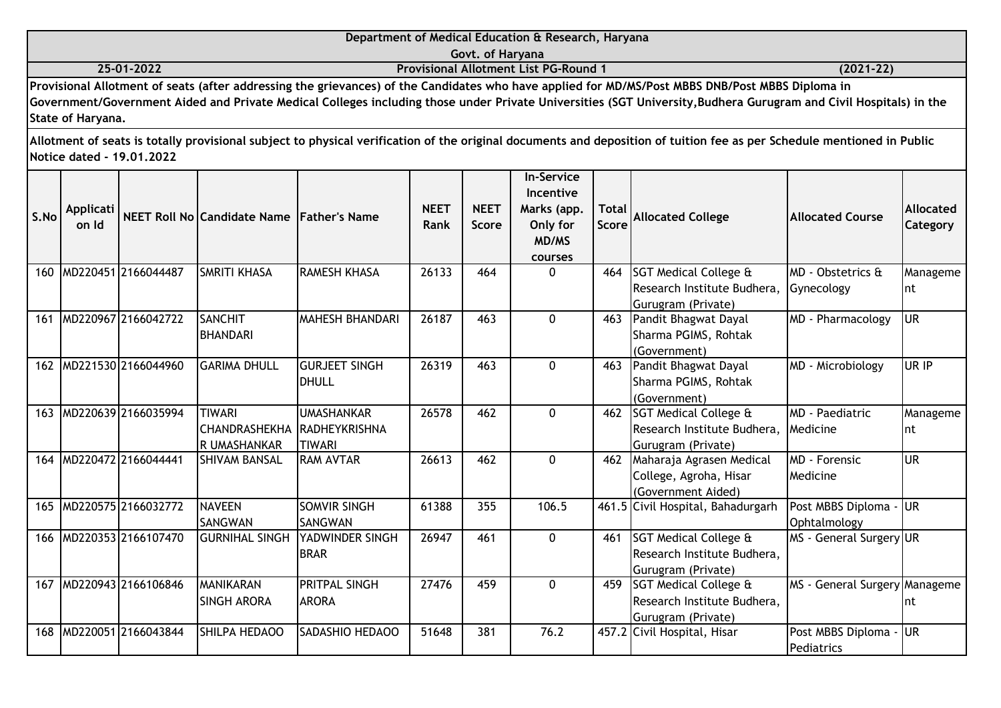|            | Department of Medical Education & Research, Haryana                                                                                              |               |
|------------|--------------------------------------------------------------------------------------------------------------------------------------------------|---------------|
|            | Govt. of Harvana                                                                                                                                 |               |
| 25-01-2022 | <b>Provisional Allotment List PG-Round 1</b>                                                                                                     | $(2021 - 22)$ |
|            | Provisional Allotment of seats (after addressing the grievances) of the Candidates who have applied for MD/MS/Post MBBS DNB/Post MBBS Diploma in |               |

| S.No | Applicati<br>on Id |                     | NEET Roll No Candidate Name Father's Name                    |                                       | <b>NEET</b><br>Rank | <b>NEET</b><br><b>Score</b> | <b>In-Service</b><br>Incentive<br>Marks (app.<br>Only for<br>MD/MS<br>courses | <b>Total</b><br><b>Score</b> | <b>Allocated College</b>                                                              | <b>Allocated Course</b>            | <b>Allocated</b><br>Category |
|------|--------------------|---------------------|--------------------------------------------------------------|---------------------------------------|---------------------|-----------------------------|-------------------------------------------------------------------------------|------------------------------|---------------------------------------------------------------------------------------|------------------------------------|------------------------------|
| 160  |                    | MD220451 2166044487 | SMRITI KHASA                                                 | <b>RAMESH KHASA</b>                   | 26133               | 464                         | $\Omega$                                                                      | 464                          | <b>SGT Medical College &amp;</b><br>Research Institute Budhera,<br>Gurugram (Private) | MD - Obstetrics &<br>Gynecology    | Manageme<br>Int              |
| 161  |                    | MD220967 2166042722 | <b>SANCHIT</b><br><b>BHANDARI</b>                            | <b>MAHESH BHANDARI</b>                | 26187               | 463                         | $\Omega$                                                                      | 463                          | Pandit Bhagwat Dayal<br>Sharma PGIMS, Rohtak<br>(Government)                          | MD - Pharmacology                  | <b>UR</b>                    |
| 162  |                    | MD221530 2166044960 | <b>GARIMA DHULL</b>                                          | <b>GURJEET SINGH</b><br>DHULL         | 26319               | 463                         | $\mathbf{0}$                                                                  | 463                          | Pandit Bhagwat Dayal<br>Sharma PGIMS, Rohtak<br>(Government)                          | MD - Microbiology                  | UR IP                        |
| 163  |                    | MD220639 2166035994 | <b>TIWARI</b><br>CHANDRASHEKHA RADHEYKRISHNA<br>R UMASHANKAR | <b>UMASHANKAR</b><br><b>TIWARI</b>    | 26578               | 462                         | $\Omega$                                                                      | 462                          | <b>SGT Medical College &amp;</b><br>Research Institute Budhera,<br>Gurugram (Private) | <b>MD</b> - Paediatric<br>Medicine | Manageme<br>Int              |
| 164  |                    | MD220472 2166044441 | <b>SHIVAM BANSAL</b>                                         | <b>RAM AVTAR</b>                      | 26613               | 462                         | $\Omega$                                                                      | 462                          | Maharaja Agrasen Medical<br>College, Agroha, Hisar<br>(Government Aided)              | MD - Forensic<br>Medicine          | <b>UR</b>                    |
| 165  |                    | MD220575 2166032772 | <b>NAVEEN</b><br>SANGWAN                                     | <b>SOMVIR SINGH</b><br><b>SANGWAN</b> | 61388               | 355                         | 106.5                                                                         |                              | 461.5 Civil Hospital, Bahadurgarh                                                     | Post MBBS Diploma<br>Ophtalmology  | <b>UR</b>                    |
| 166  |                    | MD220353 2166107470 | <b>GURNIHAL SINGH</b>                                        | <b>YADWINDER SINGH</b><br><b>BRAR</b> | 26947               | 461                         | $\Omega$                                                                      | 461                          | <b>SGT Medical College &amp;</b><br>Research Institute Budhera,<br>Gurugram (Private) | MS - General Surgery UR            |                              |
| 167  |                    | MD220943 2166106846 | <b>MANIKARAN</b><br>SINGH ARORA                              | <b>PRITPAL SINGH</b><br><b>ARORA</b>  | 27476               | 459                         | $\mathbf 0$                                                                   | 459                          | <b>SGT Medical College &amp;</b><br>Research Institute Budhera,<br>Gurugram (Private) | MS - General Surgery Manageme      | nt                           |
| 168  |                    | MD220051 2166043844 | SHILPA HEDAOO                                                | <b>SADASHIO HEDAOO</b>                | 51648               | 381                         | 76.2                                                                          |                              | 457.2 Civil Hospital, Hisar                                                           | Post MBBS Diploma -<br>Pediatrics  | lur                          |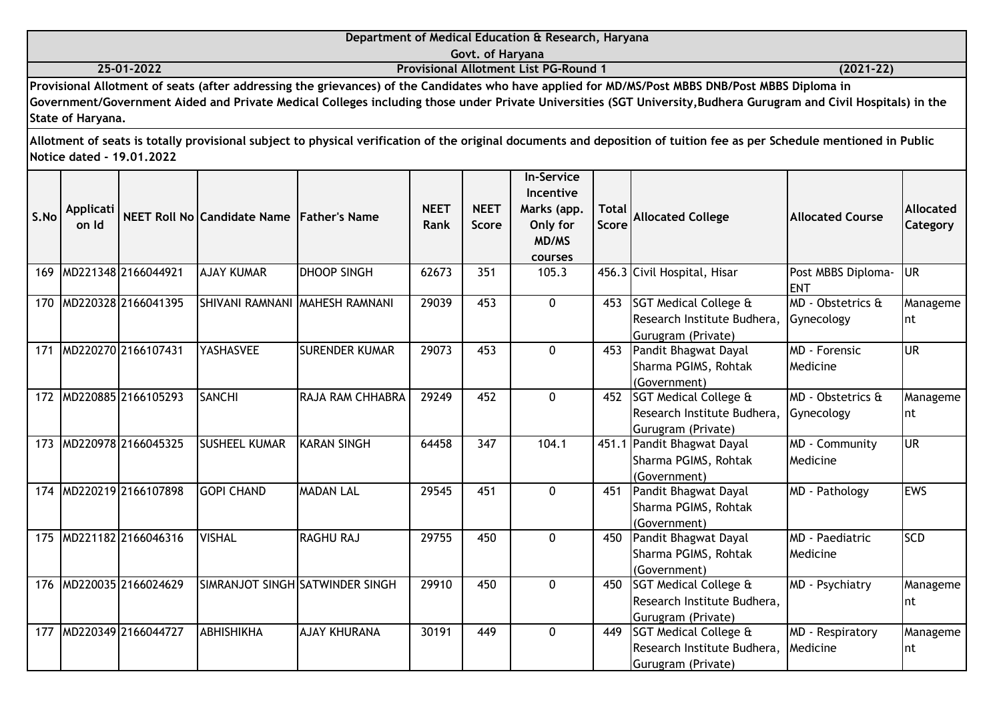|      |                           |                           |                                           |                                |                            | Govt. of Haryana            | Department of Medical Education & Research, Haryana                                  |                       |                                                                                                                                                                                                                                                                                                                       |                                         |                                     |
|------|---------------------------|---------------------------|-------------------------------------------|--------------------------------|----------------------------|-----------------------------|--------------------------------------------------------------------------------------|-----------------------|-----------------------------------------------------------------------------------------------------------------------------------------------------------------------------------------------------------------------------------------------------------------------------------------------------------------------|-----------------------------------------|-------------------------------------|
|      |                           | 25-01-2022                |                                           |                                |                            |                             | <b>Provisional Allotment List PG-Round 1</b>                                         |                       |                                                                                                                                                                                                                                                                                                                       | $(2021-22)$                             |                                     |
|      | State of Haryana.         |                           |                                           |                                |                            |                             |                                                                                      |                       | Provisional Allotment of seats (after addressing the grievances) of the Candidates who have applied for MD/MS/Post MBBS DNB/Post MBBS Diploma in<br>Government/Government Aided and Private Medical Colleges including those under Private Universities (SGT University, Budhera Gurugram and Civil Hospitals) in the |                                         |                                     |
|      |                           | Notice dated - 19.01.2022 |                                           |                                |                            |                             |                                                                                      |                       | Allotment of seats is totally provisional subject to physical verification of the original documents and deposition of tuition fee as per Schedule mentioned in Public                                                                                                                                                |                                         |                                     |
| S.No | <b>Applicati</b><br>on Id |                           | NEET Roll No Candidate Name Father's Name |                                | <b>NEET</b><br><b>Rank</b> | <b>NEET</b><br><b>Score</b> | <b>In-Service</b><br>Incentive<br>Marks (app.<br>Only for<br><b>MD/MS</b><br>courses | Total<br><b>Score</b> | <b>Allocated College</b>                                                                                                                                                                                                                                                                                              | <b>Allocated Course</b>                 | <b>Allocated</b><br><b>Category</b> |
| 169  |                           | MD221348 2166044921       | <b>AJAY KUMAR</b>                         | <b>DHOOP SINGH</b>             | 62673                      | 351                         | 105.3                                                                                |                       | 456.3 Civil Hospital, Hisar                                                                                                                                                                                                                                                                                           | Post MBBS Diploma-<br><b>IENT</b>       | <b>IUR</b>                          |
|      |                           | 170 MD220328 2166041395   |                                           | SHIVANI RAMNANI MAHESH RAMNANI | 29039                      | 453                         | 0                                                                                    | 453                   | SGT Medical College &<br>Research Institute Budhera,<br>Gurugram (Private)                                                                                                                                                                                                                                            | MD - Obstetrics &<br>Gynecology         | Manageme<br>Int                     |
| 171  |                           | MD220270 2166107431       | YASHASVEE                                 | <b>SURENDER KUMAR</b>          | 29073                      | 453                         | 0                                                                                    | 453                   | Pandit Bhagwat Dayal<br>Sharma PGIMS, Rohtak<br>(Government)                                                                                                                                                                                                                                                          | <b>MD</b> - Forensic<br><b>Medicine</b> | lur                                 |
|      |                           | 172 MD220885 2166105293   | <b>SANCHI</b>                             | <b>RAJA RAM CHHABRA</b>        | 29249                      | 452                         | 0                                                                                    | 452                   | <b>SGT Medical College &amp;</b><br>Research Institute Budhera,<br>Gurugram (Private)                                                                                                                                                                                                                                 | MD - Obstetrics &<br>Gynecology         | Manageme<br>Int                     |
|      |                           | 173 MD220978 2166045325   | <b>SUSHEEL KUMAR</b>                      | IKARAN SINGH                   | 64458                      | 347                         | 104.1                                                                                | 451.1                 | Pandit Bhagwat Dayal<br>Sharma PGIMS, Rohtak                                                                                                                                                                                                                                                                          | MD - Community<br>Medicine              | <b>UR</b>                           |

|  |                         |                    |                                 | .     |     | . |     |                                  |                  | $\cdots$   |
|--|-------------------------|--------------------|---------------------------------|-------|-----|---|-----|----------------------------------|------------------|------------|
|  |                         |                    |                                 |       |     |   |     | Sharma PGIMS, Rohtak             | Medicine         |            |
|  |                         |                    |                                 |       |     |   |     | (Government)                     |                  |            |
|  | 174 MD220219 2166107898 | <b>GOPI CHAND</b>  | <b>MADAN LAL</b>                | 29545 | 451 | 0 | 451 | Pandit Bhagwat Dayal             | MD - Pathology   | <b>EWS</b> |
|  |                         |                    |                                 |       |     |   |     | Sharma PGIMS, Rohtak             |                  |            |
|  |                         |                    |                                 |       |     |   |     | (Government)                     |                  |            |
|  | 175 MD221182 2166046316 | <b>VISHAL</b>      | <b>RAGHU RAJ</b>                | 29755 | 450 | O | 450 | Pandit Bhagwat Dayal             | MD - Paediatric  | <b>SCD</b> |
|  |                         |                    |                                 |       |     |   |     | Sharma PGIMS, Rohtak             | Medicine         |            |
|  |                         |                    |                                 |       |     |   |     | (Government)                     |                  |            |
|  | 176 MD22003512166024629 |                    | SIMRANJOT SINGH SATWINDER SINGH | 29910 | 450 | 0 | 450 | <b>SGT Medical College &amp;</b> | MD - Psychiatry  | Manageme   |
|  |                         |                    |                                 |       |     |   |     | Research Institute Budhera,      |                  | Int        |
|  |                         |                    |                                 |       |     |   |     | Gurugram (Private)               |                  |            |
|  | 177 MD220349 2166044727 | <b>LABHISHIKHA</b> | <b>LAJAY KHURANA</b>            | 30191 | 449 | 0 | 449 | <b>SGT Medical College &amp;</b> | MD - Respiratory | Manageme   |
|  |                         |                    |                                 |       |     |   |     | Research Institute Budhera,      | Medicine         | Int        |
|  |                         |                    |                                 |       |     |   |     | Gurugram (Private)               |                  |            |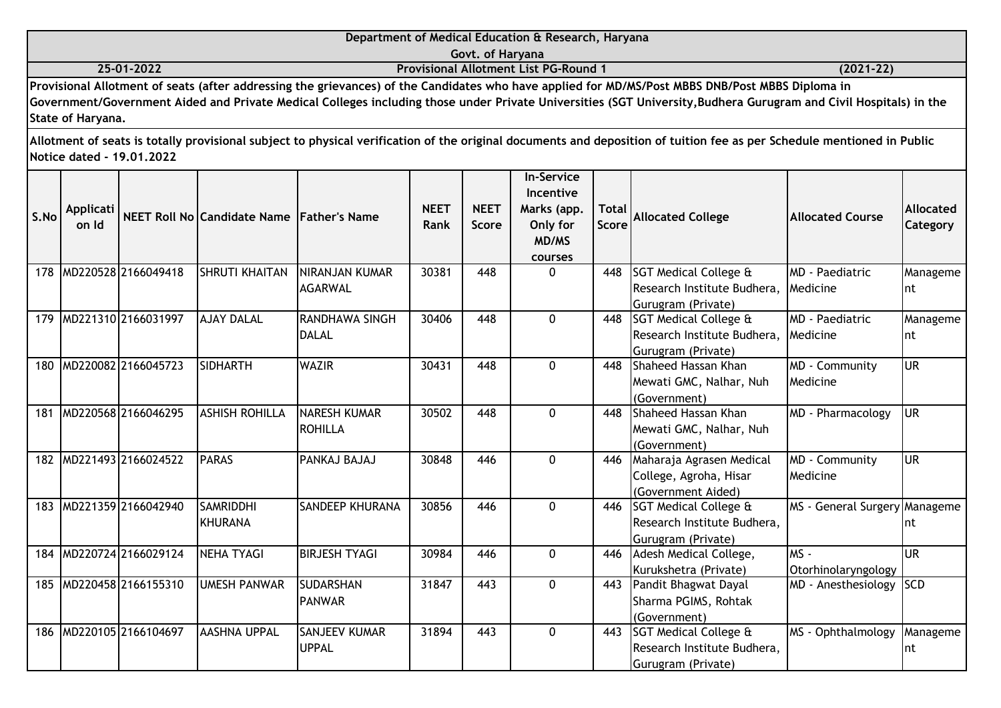|                   | Department of Medical Education & Research, Haryana                                                                                                               |               |
|-------------------|-------------------------------------------------------------------------------------------------------------------------------------------------------------------|---------------|
|                   | Govt. of Haryana                                                                                                                                                  |               |
| 25-01-2022        | <b>Provisional Allotment List PG-Round 1</b>                                                                                                                      | $(2021 - 22)$ |
|                   | Provisional Allotment of seats (after addressing the grievances) of the Candidates who have applied for MD/MS/Post MBBS DNB/Post MBBS Diploma in                  |               |
|                   | Government/Government Aided and Private Medical Colleges including those under Private Universities (SGT University, Budhera Gurugram and Civil Hospitals) in the |               |
| State of Haryana. |                                                                                                                                                                   |               |
|                   |                                                                                                                                                                   |               |

| S.No | Applicati<br>on Id |                     | NEET Roll No Candidate Name Father's Name |                                          | <b>NEET</b><br>Rank | <b>NEET</b><br><b>Score</b> | <b>In-Service</b><br>Incentive<br>Marks (app.<br>Only for<br>MD/MS<br>courses | <b>Total</b><br><b>Score</b> | <b>Allocated College</b>                                                   | <b>Allocated Course</b>             | Allocated<br>Category |
|------|--------------------|---------------------|-------------------------------------------|------------------------------------------|---------------------|-----------------------------|-------------------------------------------------------------------------------|------------------------------|----------------------------------------------------------------------------|-------------------------------------|-----------------------|
| 178  |                    | MD220528 2166049418 | <b>SHRUTI KHAITAN</b>                     | <b>INIRANJAN KUMAR</b><br><b>AGARWAL</b> | 30381               | 448                         | $\Omega$                                                                      | 448                          | SGT Medical College &<br>Research Institute Budhera,<br>Gurugram (Private) | <b>IMD</b> - Paediatric<br>Medicine | Manageme<br>Int       |
| 179  |                    | MD221310 2166031997 | <b>AJAY DALAL</b>                         | RANDHAWA SINGH<br>DALAL                  | 30406               | 448                         | $\mathbf{0}$                                                                  | 448                          | SGT Medical College &<br>Research Institute Budhera,<br>Gurugram (Private) | MD - Paediatric<br>Medicine         | Manageme<br>Int       |
| 180  |                    | MD220082 2166045723 | <b>SIDHARTH</b>                           | <b>WAZIR</b>                             | 30431               | 448                         | $\Omega$                                                                      | 448                          | Shaheed Hassan Khan<br>Mewati GMC, Nalhar, Nuh<br>(Government)             | MD - Community<br>Medicine          | lur                   |
| 181  |                    | MD220568 2166046295 | <b>ASHISH ROHILLA</b>                     | <b>NARESH KUMAR</b><br><b>ROHILLA</b>    | 30502               | 448                         | $\mathbf 0$                                                                   | 448                          | Shaheed Hassan Khan<br>Mewati GMC, Nalhar, Nuh<br>(Government)             | MD - Pharmacology                   | <b>I</b> UR           |
| 182  |                    | MD221493 2166024522 | <b>PARAS</b>                              | PANKAJ BAJAJ                             | 30848               | 446                         | $\mathbf{0}$                                                                  | 446                          | Maharaja Agrasen Medical<br>College, Agroha, Hisar<br>(Government Aided)   | MD - Community<br>Medicine          | lur                   |
| 183  |                    | MD221359 2166042940 | <b>SAMRIDDHI</b><br><b>KHURANA</b>        | <b>SANDEEP KHURANA</b>                   | 30856               | 446                         | $\Omega$                                                                      | 446                          | SGT Medical College &<br>Research Institute Budhera,<br>Gurugram (Private) | MS - General Surgery Manageme       | Int                   |
| 184  |                    | MD220724 2166029124 | <b>NEHA TYAGI</b>                         | <b>BIRJESH TYAGI</b>                     | 30984               | 446                         | $\mathbf 0$                                                                   | 446                          | Adesh Medical College,<br>Kurukshetra (Private)                            | MS -<br>Otorhinolaryngology         | lur                   |
| 185  |                    | MD220458 2166155310 | <b>UMESH PANWAR</b>                       | <b>SUDARSHAN</b><br><b>PANWAR</b>        | 31847               | 443                         | $\Omega$                                                                      | 443                          | Pandit Bhagwat Dayal<br>Sharma PGIMS, Rohtak<br>(Government)               | MD - Anesthesiology                 | <b>SCD</b>            |
| 186  |                    | MD220105 2166104697 | <b>AASHNA UPPAL</b>                       | <b>SANJEEV KUMAR</b><br><b>UPPAL</b>     | 31894               | 443                         | $\Omega$                                                                      | 443                          | SGT Medical College &<br>Research Institute Budhera,<br>Gurugram (Private) | MS - Ophthalmology                  | Manageme<br>Int       |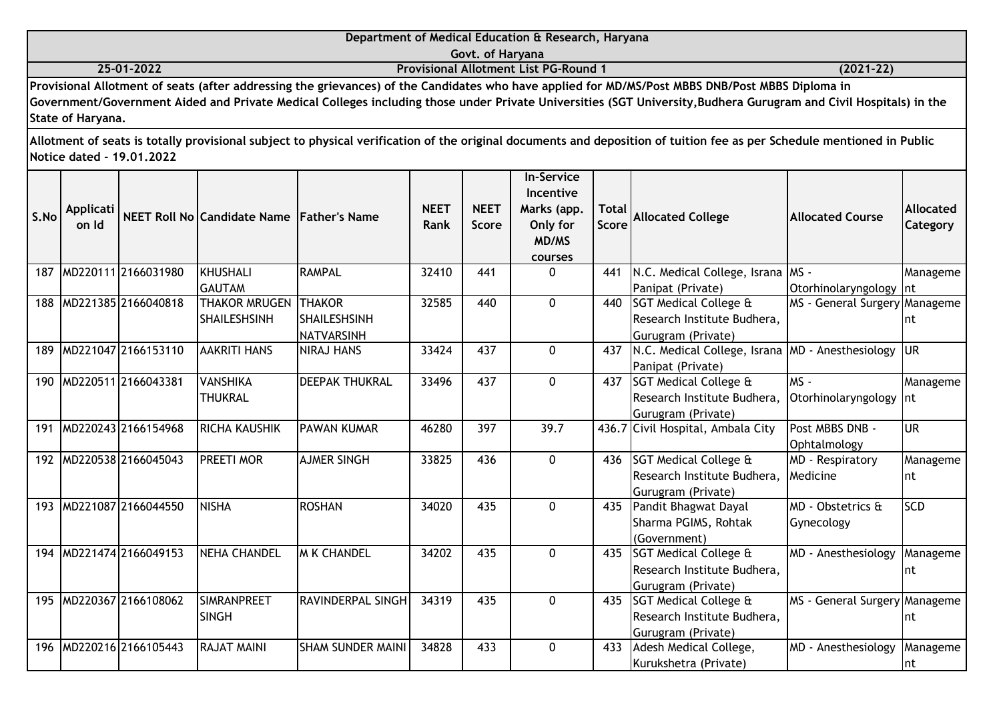|            | Department of Medical Education & Research, Haryana                                                                                              |               |
|------------|--------------------------------------------------------------------------------------------------------------------------------------------------|---------------|
|            | Govt. of Harvana                                                                                                                                 |               |
| 25-01-2022 | <b>Provisional Allotment List PG-Round 1</b>                                                                                                     | $(2021 - 22)$ |
|            | Provisional Allotment of seats (after addressing the grievances) of the Candidates who have applied for MD/MS/Post MBBS DNB/Post MBBS Diploma in |               |

| S.No | Applicati<br>on Id |                     | NEET Roll No Candidate Name Father's Name |                          | <b>NEET</b><br>Rank | <b>NEET</b><br><b>Score</b> | <b>In-Service</b><br>Incentive<br>Marks (app.<br>Only for<br>MD/MS<br>courses | <b>Total</b><br><b>Score</b> | <b>Allocated College</b>                         | <b>Allocated Course</b>          | <b>Allocated</b><br>Category |
|------|--------------------|---------------------|-------------------------------------------|--------------------------|---------------------|-----------------------------|-------------------------------------------------------------------------------|------------------------------|--------------------------------------------------|----------------------------------|------------------------------|
| 187  |                    | MD220111 2166031980 | <b>KHUSHALI</b>                           | RAMPAL                   | 32410               | 441                         | $\Omega$                                                                      | 441                          | N.C. Medical College, Israna MS -                |                                  | Manageme                     |
|      |                    |                     | <b>GAUTAM</b>                             |                          |                     |                             |                                                                               |                              | Panipat (Private)                                | Otorhinolaryngology Int          |                              |
| 188  |                    | MD221385 2166040818 | <b>THAKOR MRUGEN</b>                      | <b>THAKOR</b>            | 32585               | 440                         | $\mathbf{0}$                                                                  | 440                          | <b>SGT Medical College &amp;</b>                 | MS - General Surgery Manageme    |                              |
|      |                    |                     | <b>SHAILESHSINH</b>                       | ISHAILESHSINH            |                     |                             |                                                                               |                              | Research Institute Budhera,                      |                                  | nt                           |
|      |                    |                     |                                           | NATVARSINH               |                     |                             |                                                                               |                              | Gurugram (Private)                               |                                  |                              |
| 189  |                    | MD221047 2166153110 | <b>AAKRITI HANS</b>                       | <b>NIRAJ HANS</b>        | 33424               | 437                         | $\Omega$                                                                      | 437                          | N.C. Medical College, Israna MD - Anesthesiology |                                  | lur                          |
|      |                    |                     |                                           |                          |                     |                             |                                                                               |                              | Panipat (Private)                                |                                  |                              |
| 190  |                    | MD220511 2166043381 | <b>VANSHIKA</b>                           | <b>DEEPAK THUKRAL</b>    | 33496               | 437                         | $\Omega$                                                                      | 437                          | <b>SGT Medical College &amp;</b>                 | $MS -$                           | Manageme                     |
|      |                    |                     | <b>THUKRAL</b>                            |                          |                     |                             |                                                                               |                              | Research Institute Budhera,                      | Otorhinolaryngology              | Int                          |
|      |                    |                     |                                           |                          |                     |                             |                                                                               |                              | Gurugram (Private)                               |                                  |                              |
| 191  |                    | MD220243 2166154968 | RICHA KAUSHIK                             | <b>PAWAN KUMAR</b>       | 46280               | 397                         | 39.7                                                                          |                              | 436.7 Civil Hospital, Ambala City                | Post MBBS DNB -                  | <b>UR</b>                    |
| 192  |                    | MD220538 2166045043 | PREETI MOR                                | <b>AJMER SINGH</b>       | 33825               | 436                         | $\mathbf{0}$                                                                  | 436                          | <b>SGT Medical College &amp;</b>                 | Ophtalmology<br>MD - Respiratory |                              |
|      |                    |                     |                                           |                          |                     |                             |                                                                               |                              | Research Institute Budhera,                      | Medicine                         | Manageme                     |
|      |                    |                     |                                           |                          |                     |                             |                                                                               |                              | Gurugram (Private)                               |                                  | Int                          |
| 193  |                    | MD221087 2166044550 | <b>NISHA</b>                              | <b>ROSHAN</b>            | 34020               | 435                         | $\mathbf 0$                                                                   | 435                          | Pandit Bhagwat Dayal                             | MD - Obstetrics &                | <b>SCD</b>                   |
|      |                    |                     |                                           |                          |                     |                             |                                                                               |                              | Sharma PGIMS, Rohtak                             | Gynecology                       |                              |
|      |                    |                     |                                           |                          |                     |                             |                                                                               |                              | (Government)                                     |                                  |                              |
| 194  |                    | MD221474 2166049153 | <b>NEHA CHANDEL</b>                       | <b>M K CHANDEL</b>       | 34202               | 435                         | $\Omega$                                                                      | 435                          | <b>SGT Medical College &amp;</b>                 | MD - Anesthesiology              | Manageme                     |
|      |                    |                     |                                           |                          |                     |                             |                                                                               |                              | Research Institute Budhera,                      |                                  | nt                           |
|      |                    |                     |                                           |                          |                     |                             |                                                                               |                              | Gurugram (Private)                               |                                  |                              |
| 195  |                    | MD220367 2166108062 | <b>SIMRANPREET</b>                        | <b>RAVINDERPAL SINGH</b> | 34319               | 435                         | $\mathbf{0}$                                                                  | 435                          | SGT Medical College &                            | MS - General Surgery Manageme    |                              |
|      |                    |                     | <b>SINGH</b>                              |                          |                     |                             |                                                                               |                              | Research Institute Budhera,                      |                                  | nt                           |
|      |                    |                     |                                           |                          |                     |                             |                                                                               |                              | Gurugram (Private)                               |                                  |                              |
| 196  |                    | MD220216 2166105443 | <b>RAJAT MAINI</b>                        | <b>SHAM SUNDER MAINI</b> | 34828               | 433                         | $\Omega$                                                                      | 433                          | Adesh Medical College,                           | MD - Anesthesiology              | Manageme                     |
|      |                    |                     |                                           |                          |                     |                             |                                                                               |                              | Kurukshetra (Private)                            |                                  | Int                          |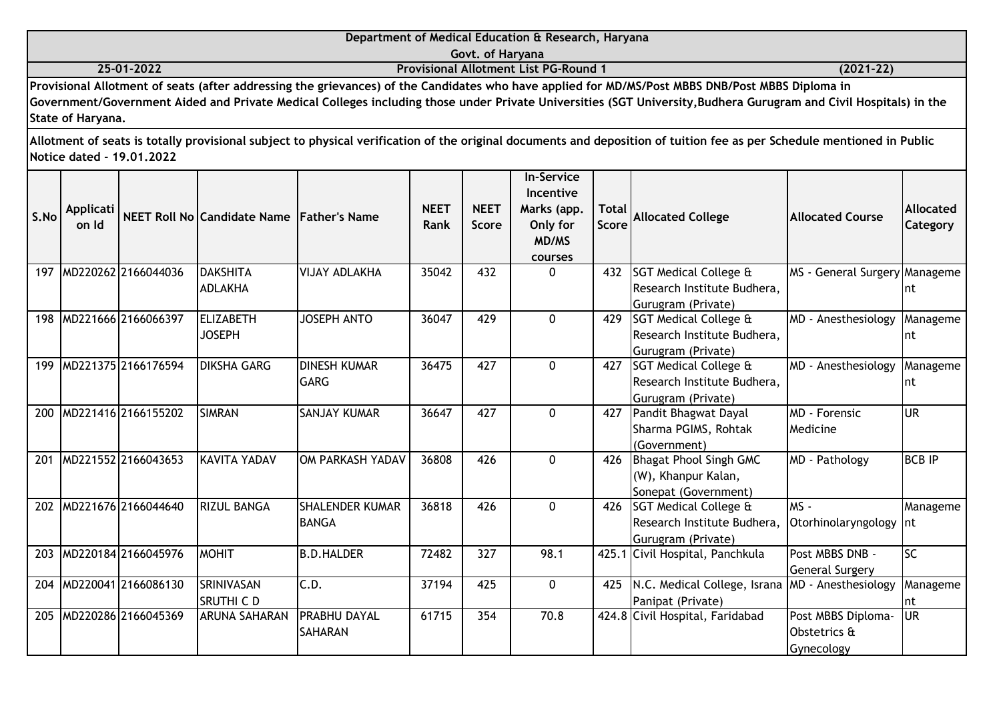|                                                                             | Department of Medical Education & Research, Haryana                                                                                                                                                                                                                                                                                                                                                                                                                                        |  |  |  |  |  |  |  |  |
|-----------------------------------------------------------------------------|--------------------------------------------------------------------------------------------------------------------------------------------------------------------------------------------------------------------------------------------------------------------------------------------------------------------------------------------------------------------------------------------------------------------------------------------------------------------------------------------|--|--|--|--|--|--|--|--|
|                                                                             | Govt. of Harvana                                                                                                                                                                                                                                                                                                                                                                                                                                                                           |  |  |  |  |  |  |  |  |
| $(2021 - 22)$<br>25-01-2022<br><b>Provisional Allotment List PG-Round 1</b> |                                                                                                                                                                                                                                                                                                                                                                                                                                                                                            |  |  |  |  |  |  |  |  |
| .<br>. .<br>$\sim$ $\sim$ $\sim$                                            | $\mathbf{1} \cdot \mathbf{1} \cdot \mathbf{1} \cdot \mathbf{1} \cdot \mathbf{1} \cdot \mathbf{1} \cdot \mathbf{1} \cdot \mathbf{1} \cdot \mathbf{1} \cdot \mathbf{1} \cdot \mathbf{1} \cdot \mathbf{1} \cdot \mathbf{1} \cdot \mathbf{1} \cdot \mathbf{1} \cdot \mathbf{1} \cdot \mathbf{1} \cdot \mathbf{1} \cdot \mathbf{1} \cdot \mathbf{1} \cdot \mathbf{1} \cdot \mathbf{1} \cdot \mathbf{1} \cdot \mathbf{1} \cdot \mathbf{1} \cdot \mathbf{1} \cdot \mathbf{1} \cdot \mathbf{$<br>. |  |  |  |  |  |  |  |  |

**Provisional Allotment of seats (after addressing the grievances) of the Candidates who have applied for MD/MS/Post MBBS DNB/Post MBBS Diploma in Government/Government Aided and Private Medical Colleges including those under Private Universities (SGT University,Budhera Gurugram and Civil Hospitals) in the State of Haryana.**

| S.No | <b>Applicati</b><br>on Id |                         | NEET Roll No Candidate Name Father's Name |                                        | <b>NEET</b><br>Rank | <b>NEET</b><br><b>Score</b> | <b>In-Service</b><br>Incentive<br>Marks (app.<br>Only for<br>MD/MS<br>courses | <b>Total</b><br><b>Score</b> | <b>Allocated College</b>                                                              | <b>Allocated Course</b>                          | <b>Allocated</b><br><b>Category</b> |
|------|---------------------------|-------------------------|-------------------------------------------|----------------------------------------|---------------------|-----------------------------|-------------------------------------------------------------------------------|------------------------------|---------------------------------------------------------------------------------------|--------------------------------------------------|-------------------------------------|
|      |                           | 197 MD220262 2166044036 | <b>DAKSHITA</b><br><b>ADLAKHA</b>         | VIJAY ADLAKHA                          | 35042               | 432                         | $\Omega$                                                                      | 432                          | SGT Medical College &<br>Research Institute Budhera,<br>Gurugram (Private)            | MS - General Surgery Manageme                    | Int                                 |
| 198  |                           | MD221666 2166066397     | <b>ELIZABETH</b><br><b>JOSEPH</b>         | <b>JOSEPH ANTO</b>                     | 36047               | 429                         | $\Omega$                                                                      | 429                          | <b>SGT Medical College &amp;</b><br>Research Institute Budhera,<br>Gurugram (Private) | MD - Anesthesiology                              | Manageme<br>Int                     |
| 199  |                           | MD221375 2166176594     | <b>DIKSHA GARG</b>                        | <b>DINESH KUMAR</b><br><b>GARG</b>     | 36475               | 427                         | $\Omega$                                                                      | 427                          | SGT Medical College &<br>Research Institute Budhera,<br>Gurugram (Private)            | MD - Anesthesiology                              | Manageme<br>Int                     |
| 200  |                           | MD221416 2166155202     | <b>SIMRAN</b>                             | <b>SANJAY KUMAR</b>                    | 36647               | 427                         | $\Omega$                                                                      | 427                          | Pandit Bhagwat Dayal<br>Sharma PGIMS, Rohtak<br>(Government)                          | MD - Forensic<br>Medicine                        | lur                                 |
| 201  |                           | MD221552 2166043653     | <b>KAVITA YADAV</b>                       | OM PARKASH YADAV                       | 36808               | 426                         | $\Omega$                                                                      | 426                          | Bhagat Phool Singh GMC<br>(W), Khanpur Kalan,<br>Sonepat (Government)                 | MD - Pathology                                   | <b>BCB IP</b>                       |
| 202  |                           | MD221676 2166044640     | <b>RIZUL BANGA</b>                        | <b>SHALENDER KUMAR</b><br><b>BANGA</b> | 36818               | 426                         | $\mathbf{0}$                                                                  | 426                          | <b>SGT Medical College &amp;</b><br>Research Institute Budhera,<br>Gurugram (Private) | MS-<br>Otorhinolaryngology Int                   | Manageme                            |
| 203  |                           | MD220184 2166045976     | <b>MOHIT</b>                              | <b>B.D.HALDER</b>                      | 72482               | 327                         | 98.1                                                                          | 425.1                        | Civil Hospital, Panchkula                                                             | Post MBBS DNB -<br>General Surgery               | lsc                                 |
| 204  |                           | MD220041 2166086130     | <b>SRINIVASAN</b><br>SRUTHI C D           | C.D.                                   | 37194               | 425                         | $\mathbf 0$                                                                   | 425                          | N.C. Medical College, Israna<br>Panipat (Private)                                     | MD - Anesthesiology                              | Manageme<br> nt                     |
| 205  |                           | MD220286 2166045369     | ARUNA SAHARAN                             | <b>PRABHU DAYAL</b><br><b>SAHARAN</b>  | 61715               | 354                         | 70.8                                                                          |                              | 424.8 Civil Hospital, Faridabad                                                       | Post MBBS Diploma-<br>Obstetrics &<br>Gynecology | lur                                 |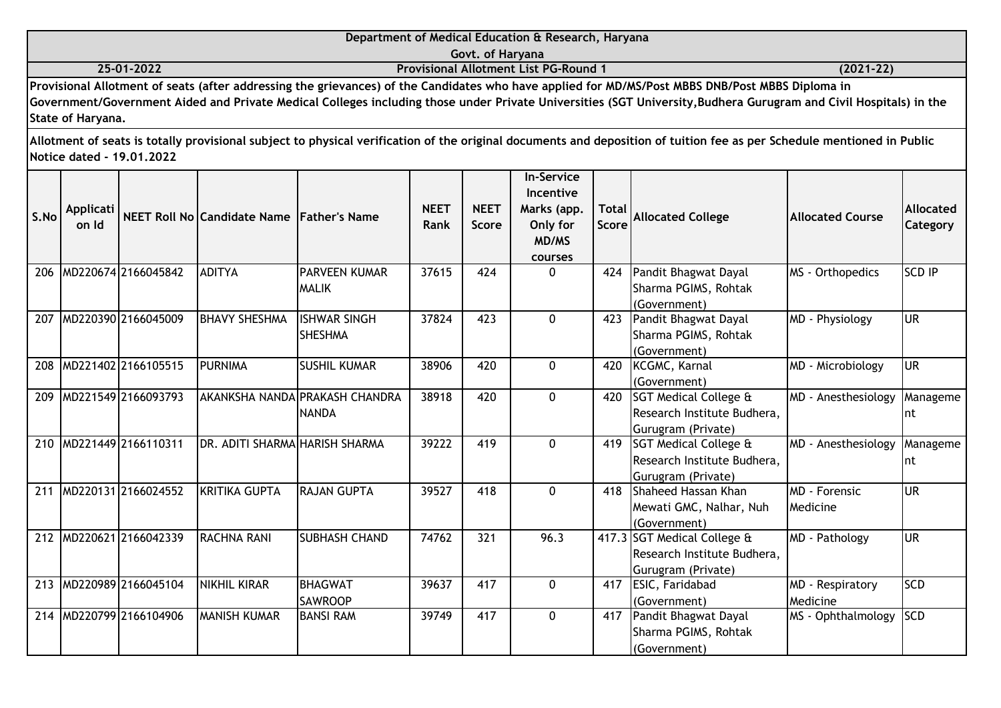|            | Department of Medical Education & Research, Haryana                                                                                              |               |
|------------|--------------------------------------------------------------------------------------------------------------------------------------------------|---------------|
|            | Govt. of Harvana                                                                                                                                 |               |
| 25-01-2022 | <b>Provisional Allotment List PG-Round 1</b>                                                                                                     | $(2021 - 22)$ |
|            | Provisional Allotment of seats (after addressing the grievances) of the Candidates who have applied for MD/MS/Post MBBS DNB/Post MBBS Diploma in |               |

| S.No | <b>Applicati</b><br>on Id |                         | NEET Roll No Candidate Name Father's Name |                                                | <b>NEET</b><br><b>Rank</b> | <b>NEET</b><br><b>Score</b> | <b>In-Service</b><br>Incentive<br>Marks (app.<br>Only for<br>MD/MS<br>courses | <b>Total</b><br><b>Score</b> | <b>Allocated College</b>                                                         | <b>Allocated Course</b>      | <b>Allocated</b><br>Category |
|------|---------------------------|-------------------------|-------------------------------------------|------------------------------------------------|----------------------------|-----------------------------|-------------------------------------------------------------------------------|------------------------------|----------------------------------------------------------------------------------|------------------------------|------------------------------|
| 206  |                           | MD220674 2166045842     | <b>ADITYA</b>                             | <b>PARVEEN KUMAR</b><br><b>MALIK</b>           | 37615                      | 424                         | $\Omega$                                                                      | 424                          | Pandit Bhagwat Dayal<br>Sharma PGIMS, Rohtak<br>(Government)                     | MS - Orthopedics             | <b>SCD IP</b>                |
| 207  |                           | MD220390 2166045009     | <b>BHAVY SHESHMA</b>                      | <b>ISHWAR SINGH</b><br><b>SHESHMA</b>          | 37824                      | 423                         | $\Omega$                                                                      | 423                          | Pandit Bhagwat Dayal<br>Sharma PGIMS, Rohtak<br>(Government)                     | MD - Physiology              | lur                          |
| 208  |                           | MD221402 2166105515     | <b>PURNIMA</b>                            | <b>SUSHIL KUMAR</b>                            | 38906                      | 420                         | $\Omega$                                                                      | 420                          | KCGMC, Karnal<br>(Government)                                                    | MD - Microbiology            | <b>UR</b>                    |
| 209  |                           | MD221549 2166093793     |                                           | AKANKSHA NANDA PRAKASH CHANDRA<br><b>NANDA</b> | 38918                      | 420                         | $\Omega$                                                                      |                              | 420 SGT Medical College &<br>Research Institute Budhera,<br>Gurugram (Private)   | MD - Anesthesiology          | Manageme<br>Int              |
|      |                           | 210 MD221449 2166110311 | DR. ADITI SHARMA HARISH SHARMA            |                                                | 39222                      | 419                         | $\mathbf{0}$                                                                  |                              | 419 SGT Medical College &<br>Research Institute Budhera,<br>Gurugram (Private)   | MD - Anesthesiology          | Manageme<br>Int              |
| 211  |                           | MD220131 2166024552     | <b>KRITIKA GUPTA</b>                      | <b>RAJAN GUPTA</b>                             | 39527                      | 418                         | $\mathbf{0}$                                                                  | 418                          | Shaheed Hassan Khan<br>Mewati GMC, Nalhar, Nuh<br>(Government)                   | MD - Forensic<br>Medicine    | <b>UR</b>                    |
| 212  |                           | MD220621 2166042339     | <b>RACHNA RANI</b>                        | <b>SUBHASH CHAND</b>                           | 74762                      | 321                         | 96.3                                                                          |                              | 417.3 SGT Medical College &<br>Research Institute Budhera,<br>Gurugram (Private) | MD - Pathology               | lur                          |
| 213  |                           | MD220989 2166045104     | <b>NIKHIL KIRAR</b>                       | BHAGWAT<br><b>SAWROOP</b>                      | 39637                      | 417                         | $\Omega$                                                                      | 417                          | ESIC, Faridabad<br>(Government)                                                  | MD - Respiratory<br>Medicine | <b>SCD</b>                   |
| 214  |                           | MD220799 2166104906     | <b>MANISH KUMAR</b>                       | <b>BANSI RAM</b>                               | 39749                      | 417                         | $\Omega$                                                                      | 417                          | Pandit Bhagwat Dayal<br>Sharma PGIMS, Rohtak<br>(Government)                     | MS - Ophthalmology           | <b>SCD</b>                   |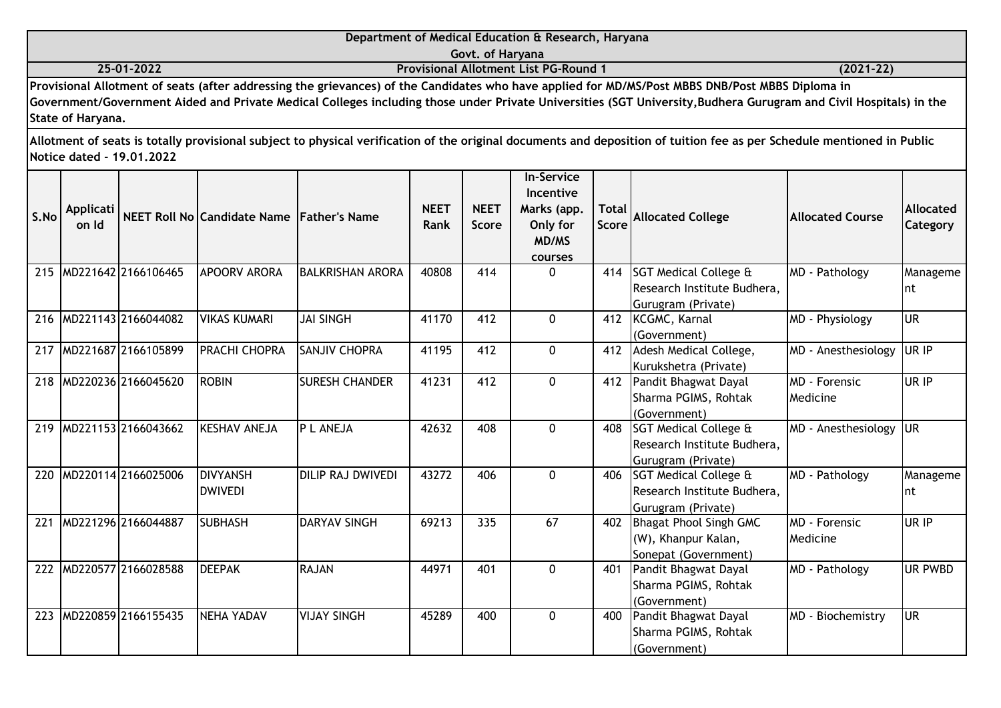|      |                    |                           |                                           |                         |                     | Govt. of Haryana            |                                                                               |                       |                                                                                                                                                                                                                                                                                                                       |                                        |                              |
|------|--------------------|---------------------------|-------------------------------------------|-------------------------|---------------------|-----------------------------|-------------------------------------------------------------------------------|-----------------------|-----------------------------------------------------------------------------------------------------------------------------------------------------------------------------------------------------------------------------------------------------------------------------------------------------------------------|----------------------------------------|------------------------------|
|      |                    | 25-01-2022                |                                           |                         |                     |                             | <b>Provisional Allotment List PG-Round 1</b>                                  |                       |                                                                                                                                                                                                                                                                                                                       | $(2021 - 22)$                          |                              |
|      | State of Haryana.  |                           |                                           |                         |                     |                             |                                                                               |                       | Provisional Allotment of seats (after addressing the grievances) of the Candidates who have applied for MD/MS/Post MBBS DNB/Post MBBS Diploma in<br>Government/Government Aided and Private Medical Colleges including those under Private Universities (SGT University, Budhera Gurugram and Civil Hospitals) in the |                                        |                              |
|      |                    | Notice dated - 19.01.2022 |                                           |                         |                     |                             |                                                                               |                       | Allotment of seats is totally provisional subject to physical verification of the original documents and deposition of tuition fee as per Schedule mentioned in Public                                                                                                                                                |                                        |                              |
| S.No | Applicati<br>on Id |                           | NEET Roll No Candidate Name Father's Name |                         | <b>NEET</b><br>Rank | <b>NEET</b><br><b>Score</b> | <b>In-Service</b><br>Incentive<br>Marks (app.<br>Only for<br>MD/MS<br>courses | <b>Total</b><br>Score | <b>Allocated College</b>                                                                                                                                                                                                                                                                                              | <b>Allocated Course</b>                | <b>Allocated</b><br>Category |
|      |                    | 215 MD221642 2166106465   | <b>APOORV ARORA</b>                       | <b>BALKRISHAN ARORA</b> | 40808               | 414                         | $\mathbf 0$                                                                   | 414                   | <b>SGT Medical College &amp;</b><br>Research Institute Budhera,<br>Gurugram (Private)                                                                                                                                                                                                                                 | MD - Pathology                         | Manageme<br>nt               |
|      |                    | 216 MD221143 2166044082   | <b>VIKAS KUMARI</b>                       | <b>JAI SINGH</b>        | 41170               | 412                         | $\mathbf{0}$                                                                  |                       | 412 KCGMC, Karnal<br>(Government)                                                                                                                                                                                                                                                                                     | MD - Physiology                        | $\overline{\mathsf{UR}}$     |
|      |                    | 217 MD221687 2166105899   | <b>PRACHI CHOPRA</b>                      | <b>SANJIV CHOPRA</b>    | 41195               | 412                         | $\mathbf 0$                                                                   | 412                   | Adesh Medical College,<br>Kurukshetra (Private)                                                                                                                                                                                                                                                                       | MD - Anesthesiology                    | UR IP                        |
|      |                    | 218 MD220236 2166045620   | <b>ROBIN</b>                              | <b>SURESH CHANDER</b>   | 41231               | 412                         | $\mathbf 0$                                                                   | 412                   | Pandit Bhagwat Dayal<br>Sharma PGIMS, Rohtak<br>(Government)                                                                                                                                                                                                                                                          | MD - Forensic<br>Medicine              | UR IP                        |
|      |                    | 219 MD221153 2166043662   | <b>KESHAV ANEJA</b>                       | P L ANEJA               | 42632               | 408                         | $\mathbf 0$                                                                   | 408                   | SGT Medical College &<br>Research Institute Budhera,<br>Gurugram (Private)                                                                                                                                                                                                                                            | MD - Anesthesiology                    | <b>UR</b>                    |
|      |                    | 220 MD220114 2166025006   | <b>DIVYANSH</b><br><b>DWIVEDI</b>         | DILIP RAJ DWIVEDI       | 43272               | 406                         | $\mathbf{0}$                                                                  | 406                   | <b>ISGT Medical College &amp;</b><br>Research Institute Budhera,<br>Gurugram (Private)                                                                                                                                                                                                                                | MD - Pathology                         | Manageme<br>nt               |
| 221  |                    | MD221296 2166044887       | <b>SUBHASH</b>                            | <b>DARYAV SINGH</b>     | 69213               | 335                         | 67                                                                            | 402                   | <b>Bhagat Phool Singh GMC</b><br>(W), Khanpur Kalan,<br>Sonepat (Government)                                                                                                                                                                                                                                          | $\overline{MD}$ - Forensic<br>Medicine | UR IP                        |
|      |                    | 222 MD220577 2166028588   | <b>DEEPAK</b>                             | <b>RAJAN</b>            | 44971               | 401                         | 0                                                                             | 401                   | Pandit Bhagwat Dayal<br>Sharma PGIMS, Rohtak<br>(Government)                                                                                                                                                                                                                                                          | MD - Pathology                         | <b>UR PWBD</b>               |
| 223  |                    | MD220859 2166155435       | NEHA YADAV                                | <b>VIJAY SINGH</b>      | 45289               | 400                         | $\mathbf 0$                                                                   | 400                   | Pandit Bhagwat Dayal<br>Sharma PGIMS, Rohtak<br>(Government)                                                                                                                                                                                                                                                          | MD - Biochemistry                      | <b>UR</b>                    |

**Department of Medical Education & Research, Haryana**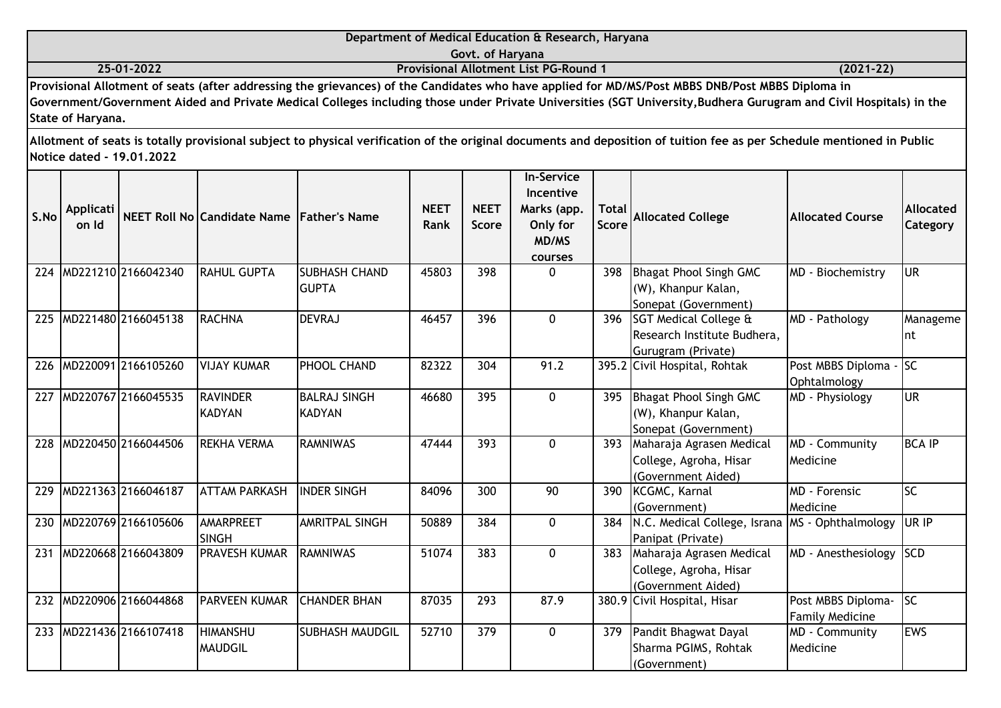|            | Department of Medical Education & Research, Haryana                                                                                                |           |
|------------|----------------------------------------------------------------------------------------------------------------------------------------------------|-----------|
|            | Govt. of Harvana                                                                                                                                   |           |
| 25-01-2022 | <b>Provisional Allotment List PG-Round 1</b>                                                                                                       | (2021-22) |
|            | David June 1 All charged of costs (after a diluscher the military of the Candidates who have confled for HD/HC/Deat HDDC DND/Deat HDDC Digitars in |           |

**Provisional Allotment of seats (after addressing the grievances) of the Candidates who have applied for MD/MS/Post MBBS DNB/Post MBBS Diploma in Government/Government Aided and Private Medical Colleges including those under Private Universities (SGT University,Budhera Gurugram and Civil Hospitals) in the State of Haryana.**

| S.No | <b>Applicati</b><br>on Id |                     | NEET Roll No Candidate Name Father's Name |                                      | <b>NEET</b><br><b>Rank</b> | <b>NEET</b><br><b>Score</b> | <b>In-Service</b><br>Incentive<br>Marks (app.<br>Only for<br>MD/MS<br>courses | <b>Total</b><br><b>Score</b> | <b>Allocated College</b>                                                              | <b>Allocated Course</b>                      | <b>Allocated</b><br>Category |
|------|---------------------------|---------------------|-------------------------------------------|--------------------------------------|----------------------------|-----------------------------|-------------------------------------------------------------------------------|------------------------------|---------------------------------------------------------------------------------------|----------------------------------------------|------------------------------|
| 224  |                           | MD221210 2166042340 | <b>RAHUL GUPTA</b>                        | <b>SUBHASH CHAND</b><br><b>GUPTA</b> | 45803                      | 398                         | $\Omega$                                                                      | 398                          | Bhagat Phool Singh GMC<br>(W), Khanpur Kalan,<br>Sonepat (Government)                 | MD - Biochemistry                            | lur                          |
| 225  |                           | MD221480 2166045138 | <b>RACHNA</b>                             | DEVRAJ                               | 46457                      | 396                         | $\Omega$                                                                      | 396                          | <b>SGT Medical College &amp;</b><br>Research Institute Budhera,<br>Gurugram (Private) | MD - Pathology                               | Manageme<br>nt               |
| 226  |                           | MD220091 2166105260 | <b>VIJAY KUMAR</b>                        | <b>PHOOL CHAND</b>                   | 82322                      | 304                         | 91.2                                                                          |                              | 395.2 Civil Hospital, Rohtak                                                          | Post MBBS Diploma -<br>Ophtalmology          | lsc                          |
| 227  |                           | MD220767 2166045535 | <b>RAVINDER</b><br><b>KADYAN</b>          | <b>BALRAJ SINGH</b><br><b>KADYAN</b> | 46680                      | 395                         | $\mathbf{0}$                                                                  | 395                          | Bhagat Phool Singh GMC<br>(W), Khanpur Kalan,<br>Sonepat (Government)                 | MD - Physiology                              | <b>UR</b>                    |
| 228  |                           | MD220450 2166044506 | <b>REKHA VERMA</b>                        | <b>RAMNIWAS</b>                      | 47444                      | 393                         | $\Omega$                                                                      | 393                          | Maharaja Agrasen Medical<br>College, Agroha, Hisar<br>(Government Aided)              | MD - Community<br>Medicine                   | <b>BCA IP</b>                |
| 229  |                           | MD221363 2166046187 | <b>ATTAM PARKASH</b>                      | <b>INDER SINGH</b>                   | 84096                      | 300                         | 90                                                                            | 390                          | KCGMC, Karnal<br>(Government)                                                         | <b>MD</b> - Forensic<br>Medicine             | lsc                          |
| 230  |                           | MD220769 2166105606 | AMARPREET<br><b>SINGH</b>                 | <b>AMRITPAL SINGH</b>                | 50889                      | 384                         | $\mathbf 0$                                                                   | 384                          | N.C. Medical College, Israna<br>Panipat (Private)                                     | MS - Ophthalmology                           | UR IP                        |
| 231  |                           | MD220668 2166043809 | PRAVESH KUMAR                             | <b>RAMNIWAS</b>                      | 51074                      | 383                         | $\Omega$                                                                      | 383                          | Maharaja Agrasen Medical<br>College, Agroha, Hisar<br>(Government Aided)              | MD - Anesthesiology                          | <b>SCD</b>                   |
| 232  |                           | MD220906 2166044868 | PARVEEN KUMAR                             | <b>CHANDER BHAN</b>                  | 87035                      | 293                         | 87.9                                                                          |                              | 380.9 Civil Hospital, Hisar                                                           | Post MBBS Diploma-<br><b>Family Medicine</b> | lsc                          |
| 233  |                           | MD221436 2166107418 | <b>HIMANSHU</b><br><b>MAUDGIL</b>         | <b>SUBHASH MAUDGIL</b>               | 52710                      | 379                         | $\mathbf{0}$                                                                  | 379                          | Pandit Bhagwat Dayal<br>Sharma PGIMS, Rohtak<br>(Government)                          | MD - Community<br>Medicine                   | <b>EWS</b>                   |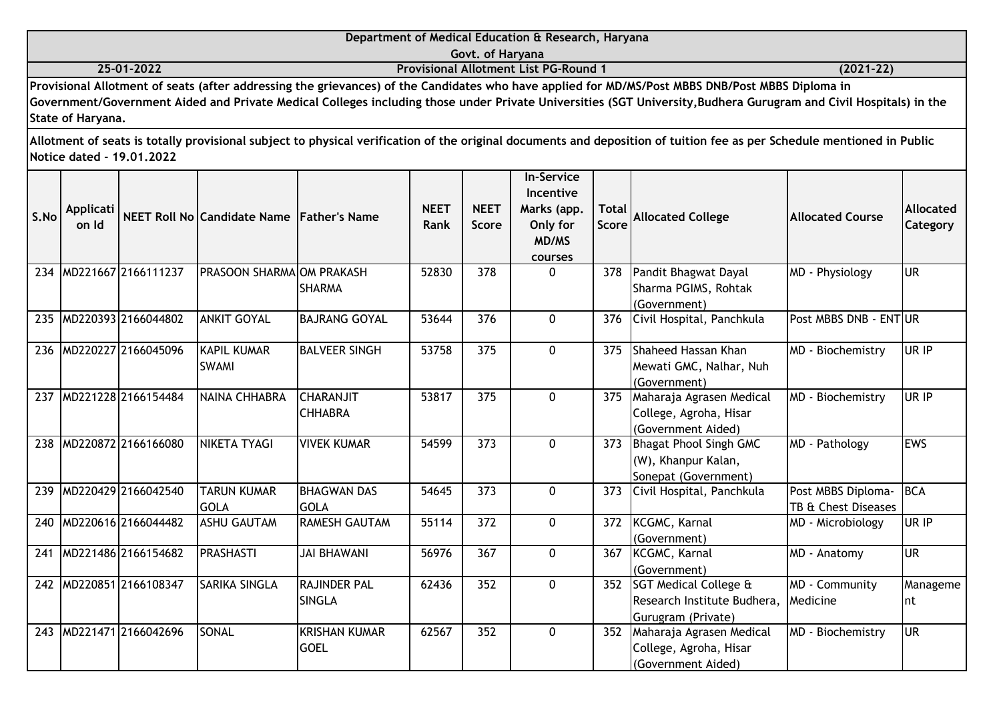|      |                    |                           |                                           |                                      |                     | Govt. of Haryana            |                                                                               |                              |                                                                                                                                                                                                                                                                                                                      |                                           |                              |
|------|--------------------|---------------------------|-------------------------------------------|--------------------------------------|---------------------|-----------------------------|-------------------------------------------------------------------------------|------------------------------|----------------------------------------------------------------------------------------------------------------------------------------------------------------------------------------------------------------------------------------------------------------------------------------------------------------------|-------------------------------------------|------------------------------|
|      |                    | 25-01-2022                |                                           |                                      |                     |                             | <b>Provisional Allotment List PG-Round 1</b>                                  |                              |                                                                                                                                                                                                                                                                                                                      | $(2021 - 22)$                             |                              |
|      | State of Haryana.  |                           |                                           |                                      |                     |                             |                                                                               |                              | Provisional Allotment of seats (after addressing the grievances) of the Candidates who have applied for MD/MS/Post MBBS DNB/Post MBBS Diploma in<br>Government/Government Aided and Private Medical Colleges including those under Private Universities (SGT University,Budhera Gurugram and Civil Hospitals) in the |                                           |                              |
|      |                    | Notice dated - 19.01.2022 |                                           |                                      |                     |                             |                                                                               |                              | Allotment of seats is totally provisional subject to physical verification of the original documents and deposition of tuition fee as per Schedule mentioned in Public                                                                                                                                               |                                           |                              |
| S.No | Applicati<br>on Id |                           | NEET Roll No Candidate Name Father's Name |                                      | <b>NEET</b><br>Rank | <b>NEET</b><br><b>Score</b> | <b>In-Service</b><br>Incentive<br>Marks (app.<br>Only for<br>MD/MS<br>courses | <b>Total</b><br><b>Score</b> | <b>Allocated College</b>                                                                                                                                                                                                                                                                                             | <b>Allocated Course</b>                   | <b>Allocated</b><br>Category |
|      |                    | 234 MD221667 2166111237   | PRASOON SHARMAOM PRAKASH                  | <b>SHARMA</b>                        | 52830               | 378                         | 0                                                                             | 378                          | Pandit Bhagwat Dayal<br>Sharma PGIMS, Rohtak<br>(Government)                                                                                                                                                                                                                                                         | MD - Physiology                           | <b>UR</b>                    |
|      |                    | 235 MD220393 2166044802   | <b>ANKIT GOYAL</b>                        | <b>BAJRANG GOYAL</b>                 | 53644               | 376                         | $\mathbf 0$                                                                   | 376                          | Civil Hospital, Panchkula                                                                                                                                                                                                                                                                                            | Post MBBS DNB - ENTUR                     |                              |
|      |                    | 236 MD220227 2166045096   | <b>KAPIL KUMAR</b><br><b>SWAMI</b>        | <b>BALVEER SINGH</b>                 | 53758               | 375                         | $\mathbf 0$                                                                   | 375                          | Shaheed Hassan Khan<br>Mewati GMC, Nalhar, Nuh<br>(Government)                                                                                                                                                                                                                                                       | MD - Biochemistry                         | UR IP                        |
|      |                    | 237 MD221228 2166154484   | NAINA CHHABRA                             | <b>CHARANJIT</b><br><b>CHHABRA</b>   | 53817               | 375                         | 0                                                                             | 375                          | Maharaja Agrasen Medical<br>College, Agroha, Hisar<br>(Government Aided)                                                                                                                                                                                                                                             | MD - Biochemistry                         | UR IP                        |
|      |                    | 238 MD220872 2166166080   | NIKETA TYAGI                              | <b>VIVEK KUMAR</b>                   | 54599               | 373                         | $\mathbf 0$                                                                   | 373                          | Bhagat Phool Singh GMC<br>(W), Khanpur Kalan,<br>Sonepat (Government)                                                                                                                                                                                                                                                | MD - Pathology                            | <b>EWS</b>                   |
| 239  |                    | MD220429 2166042540       | <b>TARUN KUMAR</b><br><b>GOLA</b>         | <b>BHAGWAN DAS</b><br><b>GOLA</b>    | 54645               | 373                         | $\mathbf 0$                                                                   | 373                          | Civil Hospital, Panchkula                                                                                                                                                                                                                                                                                            | Post MBBS Diploma-<br>TB & Chest Diseases | <b>BCA</b>                   |
| 240  |                    | MD220616 2166044482       | <b>ASHU GAUTAM</b>                        | <b>RAMESH GAUTAM</b>                 | 55114               | 372                         | 0                                                                             | 372                          | KCGMC, Karnal<br>(Government)                                                                                                                                                                                                                                                                                        | MD - Microbiology                         | UR IP                        |
|      |                    | 241 MD221486 2166154682   | <b>PRASHASTI</b>                          | <b>JAI BHAWANI</b>                   | 56976               | 367                         | $\mathbf 0$                                                                   | 367                          | <b>KCGMC, Karnal</b><br>(Government)                                                                                                                                                                                                                                                                                 | MD - Anatomy                              | lur                          |
|      |                    | 242 MD220851 2166108347   | <b>SARIKA SINGLA</b>                      | <b>RAJINDER PAL</b><br><b>SINGLA</b> | 62436               | 352                         | $\mathbf 0$                                                                   |                              | 352 SGT Medical College &<br>Research Institute Budhera,<br>Gurugram (Private)                                                                                                                                                                                                                                       | MD - Community<br>Medicine                | Manageme<br> nt              |
|      |                    | 243 MD221471 2166042696   | SONAL                                     | <b>KRISHAN KUMAR</b><br><b>GOEL</b>  | 62567               | 352                         | $\mathbf 0$                                                                   |                              | 352 Maharaja Agrasen Medical<br>College, Agroha, Hisar<br>(Government Aided)                                                                                                                                                                                                                                         | MD - Biochemistry                         | <b>UR</b>                    |

**Department of Medical Education & Research, Haryana**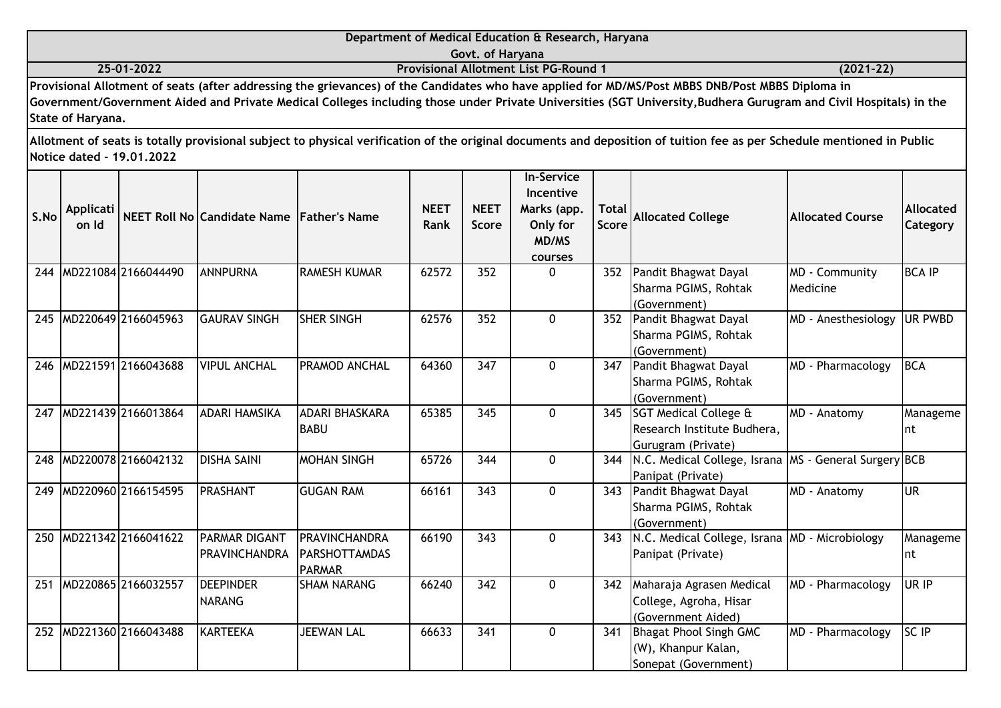|                                                                                                                                                  | Department of Medical Education & Research, Haryana                                                                                                               |               |  |  |  |  |  |  |
|--------------------------------------------------------------------------------------------------------------------------------------------------|-------------------------------------------------------------------------------------------------------------------------------------------------------------------|---------------|--|--|--|--|--|--|
|                                                                                                                                                  | Govt. of Haryana                                                                                                                                                  |               |  |  |  |  |  |  |
| 25-01-2022                                                                                                                                       | <b>Provisional Allotment List PG-Round 1</b>                                                                                                                      | $(2021 - 22)$ |  |  |  |  |  |  |
| Provisional Allotment of seats (after addressing the grievances) of the Candidates who have applied for MD/MS/Post MBBS DNB/Post MBBS Diploma in |                                                                                                                                                                   |               |  |  |  |  |  |  |
|                                                                                                                                                  | Government/Government Aided and Private Medical Colleges including those under Private Universities (SGT University, Budhera Gurugram and Civil Hospitals) in the |               |  |  |  |  |  |  |
| State of Haryana.                                                                                                                                |                                                                                                                                                                   |               |  |  |  |  |  |  |
|                                                                                                                                                  |                                                                                                                                                                   |               |  |  |  |  |  |  |

| S.No | <b>Applicati</b><br>on Id |                     | NEET Roll No Candidate Name Father's Name |                                                        | <b>NEET</b><br>Rank | <b>NEET</b><br>Score | <b>In-Service</b><br>Incentive<br>Marks (app.<br>Only for<br>MD/MS<br>courses | <b>Total</b><br><b>Score</b> | <b>Allocated College</b>                                                              | <b>Allocated Course</b>    | Allocated<br>Category |
|------|---------------------------|---------------------|-------------------------------------------|--------------------------------------------------------|---------------------|----------------------|-------------------------------------------------------------------------------|------------------------------|---------------------------------------------------------------------------------------|----------------------------|-----------------------|
| 244  |                           | MD221084 2166044490 | <b>ANNPURNA</b>                           | <b>RAMESH KUMAR</b>                                    | 62572               | 352                  | $\Omega$                                                                      | 352                          | Pandit Bhagwat Dayal<br>Sharma PGIMS, Rohtak<br>(Government)                          | MD - Community<br>Medicine | <b>BCA IP</b>         |
| 245  |                           | MD220649 2166045963 | <b>GAURAV SINGH</b>                       | <b>SHER SINGH</b>                                      | 62576               | 352                  | $\Omega$                                                                      | 352                          | Pandit Bhagwat Dayal<br>Sharma PGIMS, Rohtak<br>(Government)                          | MD - Anesthesiology        | UR PWBD               |
| 246  |                           | MD221591 2166043688 | <b>VIPUL ANCHAL</b>                       | <b>PRAMOD ANCHAL</b>                                   | 64360               | 347                  | $\mathbf{0}$                                                                  | 347                          | Pandit Bhagwat Dayal<br>Sharma PGIMS, Rohtak<br>(Government)                          | MD - Pharmacology          | <b>BCA</b>            |
| 247  |                           | MD221439 2166013864 | <b>ADARI HAMSIKA</b>                      | <b>ADARI BHASKARA</b><br><b>BABU</b>                   | 65385               | 345                  | $\mathbf 0$                                                                   | 345                          | <b>SGT Medical College &amp;</b><br>Research Institute Budhera,<br>Gurugram (Private) | MD - Anatomy               | Manageme<br>Int       |
| 248  |                           | MD220078 2166042132 | <b>DISHA SAINI</b>                        | <b>MOHAN SINGH</b>                                     | 65726               | 344                  | $\Omega$                                                                      | 344                          | N.C. Medical College, Israna MS - General Surgery BCB<br>Panipat (Private)            |                            |                       |
| 249  |                           | MD220960 2166154595 | <b>PRASHANT</b>                           | <b>GUGAN RAM</b>                                       | 66161               | 343                  | $\Omega$                                                                      | 343                          | Pandit Bhagwat Dayal<br>Sharma PGIMS, Rohtak<br>(Government)                          | MD - Anatomy               | lur                   |
| 250  |                           | MD221342 2166041622 | PARMAR DIGANT<br><b>PRAVINCHANDRA</b>     | PRAVINCHANDRA<br><b>PARSHOTTAMDAS</b><br><b>PARMAR</b> | 66190               | 343                  | $\Omega$                                                                      | 343                          | N.C. Medical College, Israna MD - Microbiology<br>Panipat (Private)                   |                            | Manageme<br>Int       |
| 251  |                           | MD220865 2166032557 | <b>DEEPINDER</b><br><b>NARANG</b>         | <b>ISHAM NARANG</b>                                    | 66240               | 342                  | $\Omega$                                                                      | 342                          | Maharaja Agrasen Medical<br>College, Agroha, Hisar<br>(Government Aided)              | MD - Pharmacology          | UR IP                 |
| 252  |                           | MD221360 2166043488 | <b>KARTEEKA</b>                           | <b>JEEWAN LAL</b>                                      | 66633               | 341                  | $\Omega$                                                                      | 341                          | Bhagat Phool Singh GMC<br>(W), Khanpur Kalan,<br>Sonepat (Government)                 | MD - Pharmacology          | SC IP                 |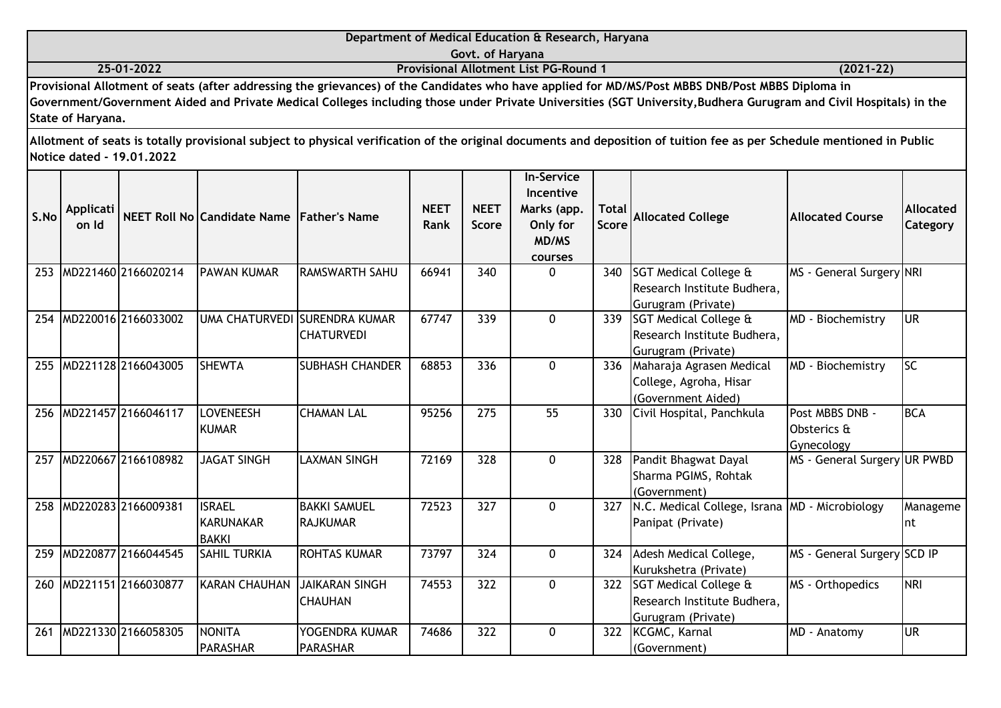|      |                    |                           |                                                   |                                                      |                     |                             | Department of Medical Education & Research, Haryana                           |                              |                                                                                                                                                                                                                                                                                                                                                                                                                                                                                                 |                                              |                              |
|------|--------------------|---------------------------|---------------------------------------------------|------------------------------------------------------|---------------------|-----------------------------|-------------------------------------------------------------------------------|------------------------------|-------------------------------------------------------------------------------------------------------------------------------------------------------------------------------------------------------------------------------------------------------------------------------------------------------------------------------------------------------------------------------------------------------------------------------------------------------------------------------------------------|----------------------------------------------|------------------------------|
|      |                    | 25-01-2022                |                                                   |                                                      |                     | Govt. of Haryana            | <b>Provisional Allotment List PG-Round 1</b>                                  |                              |                                                                                                                                                                                                                                                                                                                                                                                                                                                                                                 | $(2021 - 22)$                                |                              |
|      | State of Haryana.  |                           |                                                   |                                                      |                     |                             |                                                                               |                              | Provisional Allotment of seats (after addressing the grievances) of the Candidates who have applied for MD/MS/Post MBBS DNB/Post MBBS Diploma in<br>Government/Government Aided and Private Medical Colleges including those under Private Universities (SGT University, Budhera Gurugram and Civil Hospitals) in the<br>Allotment of seats is totally provisional subject to physical verification of the original documents and deposition of tuition fee as per Schedule mentioned in Public |                                              |                              |
| S.No | Applicati<br>on Id | Notice dated - 19.01.2022 | NEET Roll No Candidate Name Father's Name         |                                                      | <b>NEET</b><br>Rank | <b>NEET</b><br><b>Score</b> | <b>In-Service</b><br>Incentive<br>Marks (app.<br>Only for<br>MD/MS<br>courses | <b>Total</b><br><b>Score</b> | <b>Allocated College</b>                                                                                                                                                                                                                                                                                                                                                                                                                                                                        | <b>Allocated Course</b>                      | <b>Allocated</b><br>Category |
| 253  |                    | MD221460 2166020214       | <b>PAWAN KUMAR</b>                                | <b>RAMSWARTH SAHU</b>                                | 66941               | 340                         | $\Omega$                                                                      | 340                          | SGT Medical College &<br>Research Institute Budhera,<br>Gurugram (Private)                                                                                                                                                                                                                                                                                                                                                                                                                      | MS - General Surgery NRI                     |                              |
| 254  |                    | MD220016 2166033002       |                                                   | IUMA CHATURVEDI ISURENDRA KUMAR<br><b>CHATURVEDI</b> | 67747               | 339                         | $\Omega$                                                                      |                              | 339 SGT Medical College &<br>Research Institute Budhera,<br>Gurugram (Private)                                                                                                                                                                                                                                                                                                                                                                                                                  | MD - Biochemistry                            | lur                          |
| 255  |                    | MD221128 2166043005       | <b>SHEWTA</b>                                     | <b>SUBHASH CHANDER</b>                               | 68853               | 336                         | $\mathbf{0}$                                                                  |                              | 336 Maharaja Agrasen Medical<br>College, Agroha, Hisar<br>(Government Aided)                                                                                                                                                                                                                                                                                                                                                                                                                    | MD - Biochemistry                            | lsc                          |
| 256  |                    | MD221457 2166046117       | LOVENEESH<br><b>KUMAR</b>                         | <b>CHAMAN LAL</b>                                    | 95256               | 275                         | 55                                                                            | 330                          | Civil Hospital, Panchkula                                                                                                                                                                                                                                                                                                                                                                                                                                                                       | Post MBBS DNB -<br>Obsterics &<br>Gynecology | <b>BCA</b>                   |
| 257  |                    | MD220667 2166108982       | <b>JAGAT SINGH</b>                                | <b>LAXMAN SINGH</b>                                  | 72169               | 328                         | $\Omega$                                                                      | 328                          | Pandit Bhagwat Dayal<br>Sharma PGIMS, Rohtak<br>(Government)                                                                                                                                                                                                                                                                                                                                                                                                                                    | MS - General Surgery UR PWBD                 |                              |
| 258  |                    | MD220283 2166009381       | <b>ISRAEL</b><br><b>KARUNAKAR</b><br><b>RAKKI</b> | <b>BAKKI SAMUEL</b><br><b>RAJKUMAR</b>               | 72523               | 327                         | $\mathbf 0$                                                                   |                              | 327   N.C. Medical College, Israna   MD - Microbiology<br>Panipat (Private)                                                                                                                                                                                                                                                                                                                                                                                                                     |                                              | Manageme<br>Int              |

Kurukshetra (Private)

Gurugram (Private)

(Government)

Research Institute Budhera,

74553 322 0 322 SGT Medical College &

74686 322 0 322 KCGMC, Karnal

MS - General Surgery SCD IP

MS - Orthopedics NRI

MD - Anatomy UR

259 MD220877 2166044545 SAHIL TURKIA ROHTAS KUMAR 73797 324 0 324 Adesh Medical College,

**CHAUHAN** 

PARASHAR

YOGENDRA KUMAR

SAHIL TURKIA

**PARASHAR** 

260 MD221151 2166030877 KARAN CHAUHAN JAIKARAN SINGH

261 MD221330 2166058305 NONITA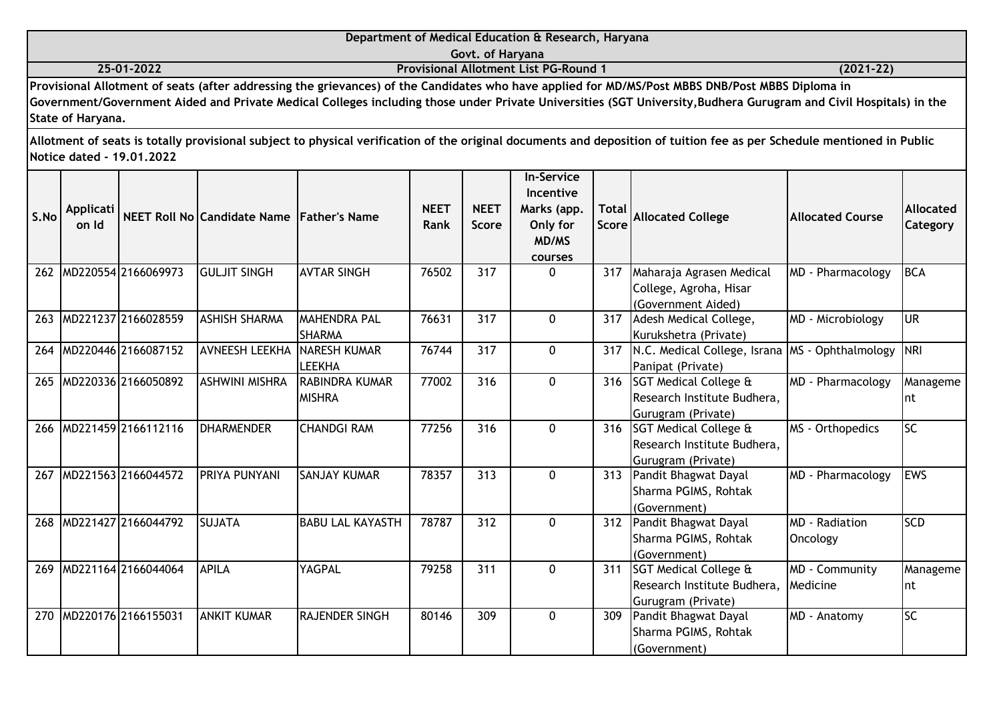|                                                                                                                                                                                                                                                     | Department of Medical Education & Research, Haryana |  |
|-----------------------------------------------------------------------------------------------------------------------------------------------------------------------------------------------------------------------------------------------------|-----------------------------------------------------|--|
| Govt. of Harvana<br>25-01-2022<br><b>Provisional Allotment List PG-Round 1</b><br>$(2021 - 22)$<br>Provisional Allotment of seats (after addressing the grievances) of the Candidates who have applied for MD/MS/Post MBBS DNB/Post MBBS Diploma in |                                                     |  |
|                                                                                                                                                                                                                                                     |                                                     |  |
|                                                                                                                                                                                                                                                     |                                                     |  |

| S.No | Applicati<br>on Id |                     | NEET Roll No Candidate Name Father's Name |                         | <b>NEET</b><br>Rank | <b>NEET</b><br><b>Score</b> | <b>In-Service</b><br>Incentive<br>Marks (app.<br>Only for<br>MD/MS | Total  <br>Score | <b>Allocated College</b>         | <b>Allocated Course</b> | <b>Allocated</b><br>Category |
|------|--------------------|---------------------|-------------------------------------------|-------------------------|---------------------|-----------------------------|--------------------------------------------------------------------|------------------|----------------------------------|-------------------------|------------------------------|
|      |                    |                     |                                           |                         |                     |                             | courses                                                            |                  |                                  |                         |                              |
| 262  |                    | MD220554 2166069973 | <b>GULJIT SINGH</b>                       | <b>AVTAR SINGH</b>      | 76502               | 317                         | $\Omega$                                                           | 317              | Maharaja Agrasen Medical         | MD - Pharmacology       | BCA                          |
|      |                    |                     |                                           |                         |                     |                             |                                                                    |                  | College, Agroha, Hisar           |                         |                              |
|      |                    |                     |                                           |                         |                     |                             |                                                                    |                  | (Government Aided)               |                         |                              |
| 263  |                    | MD221237 2166028559 | <b>ASHISH SHARMA</b>                      | MAHENDRA PAL            | 76631               | 317                         | $\Omega$                                                           | 317              | Adesh Medical College,           | MD - Microbiology       | <b>UR</b>                    |
|      |                    |                     |                                           | <b>SHARMA</b>           |                     |                             |                                                                    |                  | Kurukshetra (Private)            |                         |                              |
| 264  |                    | MD220446 2166087152 | <b>AVNEESH LEEKHA</b>                     | <b>NARESH KUMAR</b>     | 76744               | 317                         | $\mathbf{0}$                                                       | 317              | N.C. Medical College, Israna     | MS - Ophthalmology      | <b>NRI</b>                   |
|      |                    |                     |                                           | <b>LEEKHA</b>           |                     |                             |                                                                    |                  | Panipat (Private)                |                         |                              |
| 265  |                    | MD220336 2166050892 | <b>ASHWINI MISHRA</b>                     | RABINDRA KUMAR          | 77002               | 316                         | $\mathbf 0$                                                        | 316              | <b>SGT Medical College &amp;</b> | MD - Pharmacology       | Manageme                     |
|      |                    |                     |                                           | <b>MISHRA</b>           |                     |                             |                                                                    |                  | Research Institute Budhera,      |                         | Int                          |
|      |                    |                     |                                           |                         |                     |                             |                                                                    |                  | Gurugram (Private)               |                         |                              |
| 266  |                    | MD221459 2166112116 | <b>DHARMENDER</b>                         | <b>CHANDGI RAM</b>      | 77256               | 316                         | $\mathbf{0}$                                                       | 316              | SGT Medical College &            | MS - Orthopedics        | lsc                          |
|      |                    |                     |                                           |                         |                     |                             |                                                                    |                  | Research Institute Budhera,      |                         |                              |
|      |                    |                     |                                           |                         |                     |                             |                                                                    |                  | Gurugram (Private)               |                         |                              |
| 267  |                    | MD221563 2166044572 | PRIYA PUNYANI                             | <b>SANJAY KUMAR</b>     | 78357               | 313                         | $\Omega$                                                           | 313              | Pandit Bhagwat Dayal             | MD - Pharmacology       | <b>EWS</b>                   |
|      |                    |                     |                                           |                         |                     |                             |                                                                    |                  | Sharma PGIMS, Rohtak             |                         |                              |
|      |                    | MD221427 2166044792 | <b>SUJATA</b>                             | <b>BABU LAL KAYASTH</b> | 78787               | 312                         | $\Omega$                                                           |                  | (Government)                     | <b>MD</b> - Radiation   | <b>SCD</b>                   |
| 268  |                    |                     |                                           |                         |                     |                             |                                                                    | 312              | Pandit Bhagwat Dayal             |                         |                              |
|      |                    |                     |                                           |                         |                     |                             |                                                                    |                  | Sharma PGIMS, Rohtak             | Oncology                |                              |
|      |                    | MD221164 2166044064 | <b>APILA</b>                              | YAGPAL                  |                     |                             |                                                                    |                  | (Government)                     |                         |                              |
| 269  |                    |                     |                                           |                         | 79258               | 311                         | $\mathbf{0}$                                                       | 311              | <b>SGT Medical College &amp;</b> | MD - Community          | Manageme                     |
|      |                    |                     |                                           |                         |                     |                             |                                                                    |                  | Research Institute Budhera,      | Medicine                | Int                          |
|      |                    | MD220176 2166155031 | <b>ANKIT KUMAR</b>                        | <b>RAJENDER SINGH</b>   |                     | 309                         | $\Omega$                                                           |                  | Gurugram (Private)               |                         | <b>SC</b>                    |
| 270  |                    |                     |                                           |                         | 80146               |                             |                                                                    | 309              | Pandit Bhagwat Dayal             | MD - Anatomy            |                              |
|      |                    |                     |                                           |                         |                     |                             |                                                                    |                  | Sharma PGIMS, Rohtak             |                         |                              |
|      |                    |                     |                                           |                         |                     |                             |                                                                    |                  | (Government)                     |                         |                              |